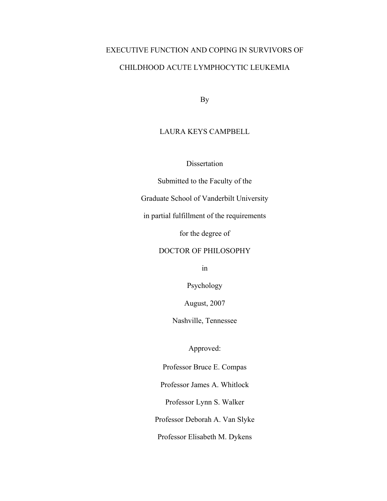# EXECUTIVE FUNCTION AND COPING IN SURVIVORS OF CHILDHOOD ACUTE LYMPHOCYTIC LEUKEMIA

By

# LAURA KEYS CAMPBELL

Dissertation

Submitted to the Faculty of the

Graduate School of Vanderbilt University

in partial fulfillment of the requirements

for the degree of

# DOCTOR OF PHILOSOPHY

in

Psychology

August, 2007

Nashville, Tennessee

Approved:

Professor Bruce E. Compas

Professor James A. Whitlock

Professor Lynn S. Walker

Professor Deborah A. Van Slyke

Professor Elisabeth M. Dykens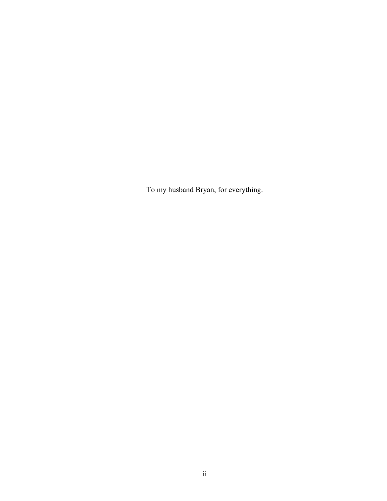To my husband Bryan, for everything.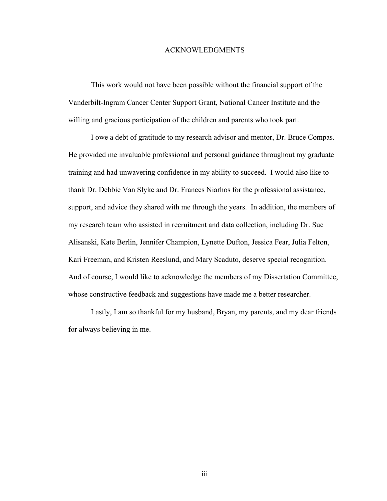### ACKNOWLEDGMENTS

 This work would not have been possible without the financial support of the Vanderbilt-Ingram Cancer Center Support Grant, National Cancer Institute and the willing and gracious participation of the children and parents who took part.

I owe a debt of gratitude to my research advisor and mentor, Dr. Bruce Compas. He provided me invaluable professional and personal guidance throughout my graduate training and had unwavering confidence in my ability to succeed. I would also like to thank Dr. Debbie Van Slyke and Dr. Frances Niarhos for the professional assistance, support, and advice they shared with me through the years. In addition, the members of my research team who assisted in recruitment and data collection, including Dr. Sue Alisanski, Kate Berlin, Jennifer Champion, Lynette Dufton, Jessica Fear, Julia Felton, Kari Freeman, and Kristen Reeslund, and Mary Scaduto, deserve special recognition. And of course, I would like to acknowledge the members of my Dissertation Committee, whose constructive feedback and suggestions have made me a better researcher.

 Lastly, I am so thankful for my husband, Bryan, my parents, and my dear friends for always believing in me.

iii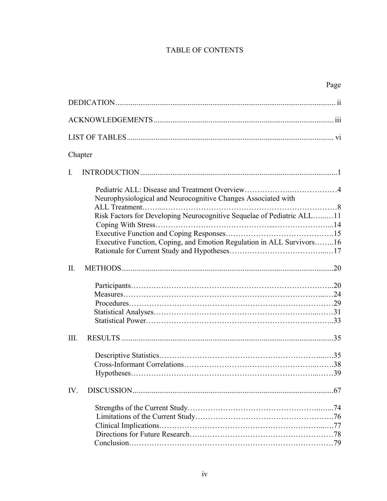# TABLE OF CONTENTS

|                                                                        | Page |
|------------------------------------------------------------------------|------|
|                                                                        |      |
|                                                                        |      |
|                                                                        |      |
| Chapter                                                                |      |
| $\mathbf{I}$ .                                                         |      |
| Neurophysiological and Neurocognitive Changes Associated with          |      |
| Risk Factors for Developing Neurocognitive Sequelae of Pediatric ALL11 |      |
|                                                                        |      |
| Executive Function, Coping, and Emotion Regulation in ALL Survivors16  |      |
|                                                                        |      |
| $\Pi$ .                                                                |      |
|                                                                        |      |
|                                                                        |      |
|                                                                        |      |
|                                                                        |      |
|                                                                        |      |
| III.                                                                   |      |
|                                                                        |      |
|                                                                        |      |
|                                                                        |      |
| IV.                                                                    |      |
|                                                                        |      |
|                                                                        |      |
|                                                                        |      |
|                                                                        |      |
|                                                                        |      |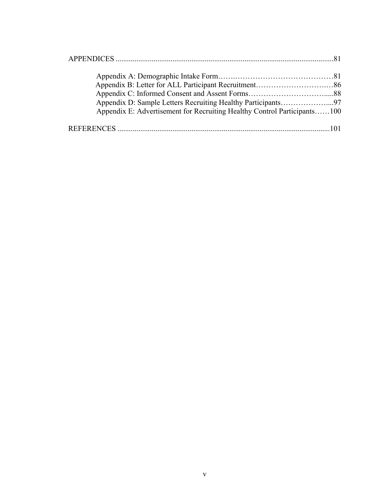| Appendix E: Advertisement for Recruiting Healthy Control Participants100 |  |
|--------------------------------------------------------------------------|--|
|                                                                          |  |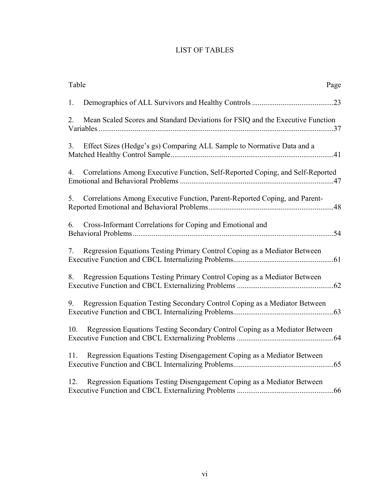# LIST OF TABLES

| Table<br>Page                                                                            |
|------------------------------------------------------------------------------------------|
| 1.                                                                                       |
| 2.<br>Mean Scaled Scores and Standard Deviations for FSIQ and the Executive Function     |
| 3 <sub>1</sub><br>Effect Sizes (Hedge's gs) Comparing ALL Sample to Normative Data and a |
| Correlations Among Executive Function, Self-Reported Coping, and Self-Reported<br>4.     |
| Correlations Among Executive Function, Parent-Reported Coping, and Parent-<br>5.         |
| Cross-Informant Correlations for Coping and Emotional and<br>6.                          |
| Regression Equations Testing Primary Control Coping as a Mediator Between<br>7.          |
| Regression Equations Testing Primary Control Coping as a Mediator Between<br>8.          |
| Regression Equation Testing Secondary Control Coping as a Mediator Between<br>9.         |
| Regression Equations Testing Secondary Control Coping as a Mediator Between<br>10.       |
| Regression Equations Testing Disengagement Coping as a Mediator Between<br>11.           |
| 12.<br>Regression Equations Testing Disengagement Coping as a Mediator Between           |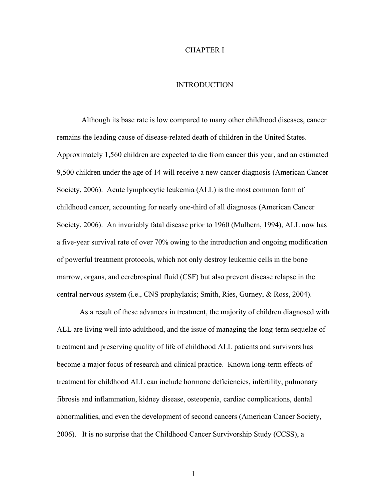### CHAPTER I

# **INTRODUCTION**

 Although its base rate is low compared to many other childhood diseases, cancer remains the leading cause of disease-related death of children in the United States. Approximately 1,560 children are expected to die from cancer this year, and an estimated 9,500 children under the age of 14 will receive a new cancer diagnosis (American Cancer Society, 2006). Acute lymphocytic leukemia (ALL) is the most common form of childhood cancer, accounting for nearly one-third of all diagnoses (American Cancer Society, 2006). An invariably fatal disease prior to 1960 (Mulhern, 1994), ALL now has a five-year survival rate of over 70% owing to the introduction and ongoing modification of powerful treatment protocols, which not only destroy leukemic cells in the bone marrow, organs, and cerebrospinal fluid (CSF) but also prevent disease relapse in the central nervous system (i.e., CNS prophylaxis; Smith, Ries, Gurney, & Ross, 2004).

As a result of these advances in treatment, the majority of children diagnosed with ALL are living well into adulthood, and the issue of managing the long-term sequelae of treatment and preserving quality of life of childhood ALL patients and survivors has become a major focus of research and clinical practice. Known long-term effects of treatment for childhood ALL can include hormone deficiencies, infertility, pulmonary fibrosis and inflammation, kidney disease, osteopenia, cardiac complications, dental abnormalities, and even the development of second cancers (American Cancer Society, 2006). It is no surprise that the Childhood Cancer Survivorship Study (CCSS), a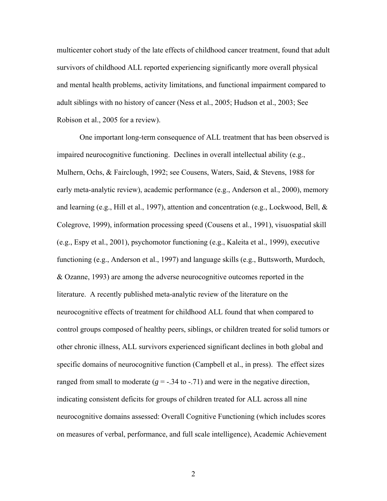multicenter cohort study of the late effects of childhood cancer treatment, found that adult survivors of childhood ALL reported experiencing significantly more overall physical and mental health problems, activity limitations, and functional impairment compared to adult siblings with no history of cancer (Ness et al., 2005; Hudson et al., 2003; See Robison et al., 2005 for a review).

One important long-term consequence of ALL treatment that has been observed is impaired neurocognitive functioning. Declines in overall intellectual ability (e.g., Mulhern, Ochs, & Fairclough, 1992; see Cousens, Waters, Said, & Stevens, 1988 for early meta-analytic review), academic performance (e.g., Anderson et al., 2000), memory and learning (e.g., Hill et al., 1997), attention and concentration (e.g., Lockwood, Bell, & Colegrove, 1999), information processing speed (Cousens et al., 1991), visuospatial skill (e.g., Espy et al., 2001), psychomotor functioning (e.g., Kaleita et al., 1999), executive functioning (e.g., Anderson et al., 1997) and language skills (e.g., Buttsworth, Murdoch, & Ozanne, 1993) are among the adverse neurocognitive outcomes reported in the literature. A recently published meta-analytic review of the literature on the neurocognitive effects of treatment for childhood ALL found that when compared to control groups composed of healthy peers, siblings, or children treated for solid tumors or other chronic illness, ALL survivors experienced significant declines in both global and specific domains of neurocognitive function (Campbell et al., in press). The effect sizes ranged from small to moderate  $(g = -34$  to  $-71$ ) and were in the negative direction, indicating consistent deficits for groups of children treated for ALL across all nine neurocognitive domains assessed: Overall Cognitive Functioning (which includes scores on measures of verbal, performance, and full scale intelligence), Academic Achievement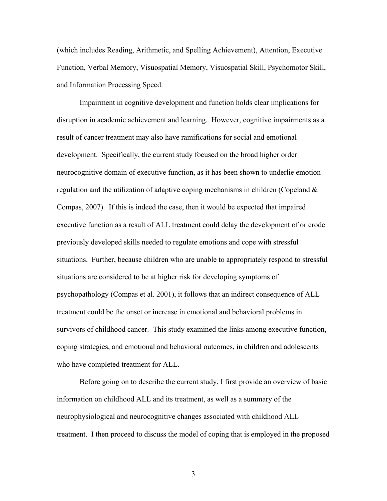(which includes Reading, Arithmetic, and Spelling Achievement), Attention, Executive Function, Verbal Memory, Visuospatial Memory, Visuospatial Skill, Psychomotor Skill, and Information Processing Speed.

Impairment in cognitive development and function holds clear implications for disruption in academic achievement and learning. However, cognitive impairments as a result of cancer treatment may also have ramifications for social and emotional development. Specifically, the current study focused on the broad higher order neurocognitive domain of executive function, as it has been shown to underlie emotion regulation and the utilization of adaptive coping mechanisms in children (Copeland & Compas, 2007). If this is indeed the case, then it would be expected that impaired executive function as a result of ALL treatment could delay the development of or erode previously developed skills needed to regulate emotions and cope with stressful situations. Further, because children who are unable to appropriately respond to stressful situations are considered to be at higher risk for developing symptoms of psychopathology (Compas et al. 2001), it follows that an indirect consequence of ALL treatment could be the onset or increase in emotional and behavioral problems in survivors of childhood cancer. This study examined the links among executive function, coping strategies, and emotional and behavioral outcomes, in children and adolescents who have completed treatment for ALL.

Before going on to describe the current study, I first provide an overview of basic information on childhood ALL and its treatment, as well as a summary of the neurophysiological and neurocognitive changes associated with childhood ALL treatment. I then proceed to discuss the model of coping that is employed in the proposed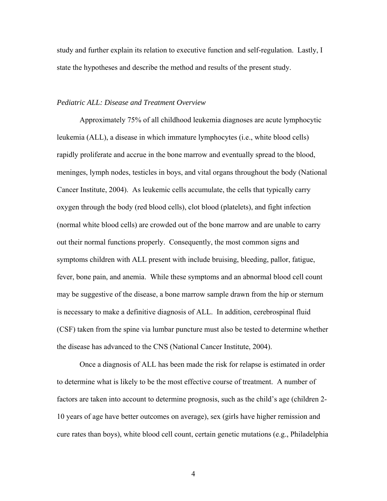study and further explain its relation to executive function and self-regulation. Lastly, I state the hypotheses and describe the method and results of the present study.

# *Pediatric ALL: Disease and Treatment Overview*

 Approximately 75% of all childhood leukemia diagnoses are acute lymphocytic leukemia (ALL), a disease in which immature lymphocytes (i.e., white blood cells) rapidly proliferate and accrue in the bone marrow and eventually spread to the blood, meninges, lymph nodes, testicles in boys, and vital organs throughout the body (National Cancer Institute, 2004). As leukemic cells accumulate, the cells that typically carry oxygen through the body (red blood cells), clot blood (platelets), and fight infection (normal white blood cells) are crowded out of the bone marrow and are unable to carry out their normal functions properly. Consequently, the most common signs and symptoms children with ALL present with include bruising, bleeding, pallor, fatigue, fever, bone pain, and anemia. While these symptoms and an abnormal blood cell count may be suggestive of the disease, a bone marrow sample drawn from the hip or sternum is necessary to make a definitive diagnosis of ALL. In addition, cerebrospinal fluid (CSF) taken from the spine via lumbar puncture must also be tested to determine whether the disease has advanced to the CNS (National Cancer Institute, 2004).

Once a diagnosis of ALL has been made the risk for relapse is estimated in order to determine what is likely to be the most effective course of treatment. A number of factors are taken into account to determine prognosis, such as the child's age (children 2- 10 years of age have better outcomes on average), sex (girls have higher remission and cure rates than boys), white blood cell count, certain genetic mutations (e.g., Philadelphia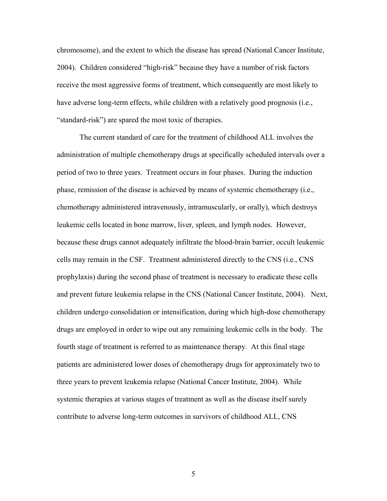chromosome), and the extent to which the disease has spread (National Cancer Institute, 2004). Children considered "high-risk" because they have a number of risk factors receive the most aggressive forms of treatment, which consequently are most likely to have adverse long-term effects, while children with a relatively good prognosis (i.e., "standard-risk") are spared the most toxic of therapies.

The current standard of care for the treatment of childhood ALL involves the administration of multiple chemotherapy drugs at specifically scheduled intervals over a period of two to three years. Treatment occurs in four phases. During the induction phase, remission of the disease is achieved by means of systemic chemotherapy (i.e., chemotherapy administered intravenously, intramuscularly, or orally), which destroys leukemic cells located in bone marrow, liver, spleen, and lymph nodes. However, because these drugs cannot adequately infiltrate the blood-brain barrier, occult leukemic cells may remain in the CSF. Treatment administered directly to the CNS (i.e., CNS prophylaxis) during the second phase of treatment is necessary to eradicate these cells and prevent future leukemia relapse in the CNS (National Cancer Institute, 2004). Next, children undergo consolidation or intensification, during which high-dose chemotherapy drugs are employed in order to wipe out any remaining leukemic cells in the body. The fourth stage of treatment is referred to as maintenance therapy. At this final stage patients are administered lower doses of chemotherapy drugs for approximately two to three years to prevent leukemia relapse (National Cancer Institute, 2004). While systemic therapies at various stages of treatment as well as the disease itself surely contribute to adverse long-term outcomes in survivors of childhood ALL, CNS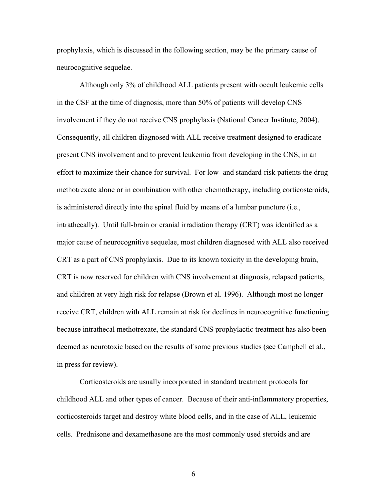prophylaxis, which is discussed in the following section, may be the primary cause of neurocognitive sequelae.

Although only 3% of childhood ALL patients present with occult leukemic cells in the CSF at the time of diagnosis, more than 50% of patients will develop CNS involvement if they do not receive CNS prophylaxis (National Cancer Institute, 2004). Consequently, all children diagnosed with ALL receive treatment designed to eradicate present CNS involvement and to prevent leukemia from developing in the CNS, in an effort to maximize their chance for survival. For low- and standard-risk patients the drug methotrexate alone or in combination with other chemotherapy, including corticosteroids, is administered directly into the spinal fluid by means of a lumbar puncture (i.e., intrathecally). Until full-brain or cranial irradiation therapy (CRT) was identified as a major cause of neurocognitive sequelae, most children diagnosed with ALL also received CRT as a part of CNS prophylaxis. Due to its known toxicity in the developing brain, CRT is now reserved for children with CNS involvement at diagnosis, relapsed patients, and children at very high risk for relapse (Brown et al. 1996). Although most no longer receive CRT, children with ALL remain at risk for declines in neurocognitive functioning because intrathecal methotrexate, the standard CNS prophylactic treatment has also been deemed as neurotoxic based on the results of some previous studies (see Campbell et al., in press for review).

Corticosteroids are usually incorporated in standard treatment protocols for childhood ALL and other types of cancer. Because of their anti-inflammatory properties, corticosteroids target and destroy white blood cells, and in the case of ALL, leukemic cells. Prednisone and dexamethasone are the most commonly used steroids and are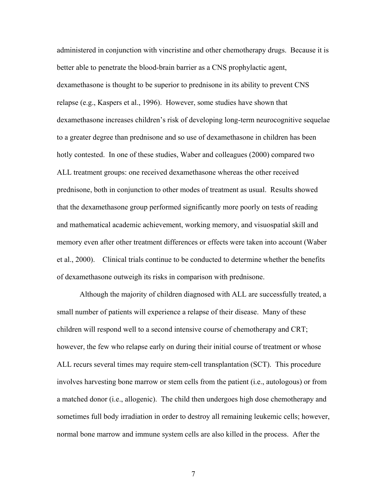administered in conjunction with vincristine and other chemotherapy drugs. Because it is better able to penetrate the blood-brain barrier as a CNS prophylactic agent, dexamethasone is thought to be superior to prednisone in its ability to prevent CNS relapse (e.g., Kaspers et al., 1996). However, some studies have shown that dexamethasone increases children's risk of developing long-term neurocognitive sequelae to a greater degree than prednisone and so use of dexamethasone in children has been hotly contested. In one of these studies, Waber and colleagues (2000) compared two ALL treatment groups: one received dexamethasone whereas the other received prednisone, both in conjunction to other modes of treatment as usual. Results showed that the dexamethasone group performed significantly more poorly on tests of reading and mathematical academic achievement, working memory, and visuospatial skill and memory even after other treatment differences or effects were taken into account (Waber et al., 2000). Clinical trials continue to be conducted to determine whether the benefits of dexamethasone outweigh its risks in comparison with prednisone.

Although the majority of children diagnosed with ALL are successfully treated, a small number of patients will experience a relapse of their disease. Many of these children will respond well to a second intensive course of chemotherapy and CRT; however, the few who relapse early on during their initial course of treatment or whose ALL recurs several times may require stem-cell transplantation (SCT). This procedure involves harvesting bone marrow or stem cells from the patient (i.e., autologous) or from a matched donor (i.e., allogenic). The child then undergoes high dose chemotherapy and sometimes full body irradiation in order to destroy all remaining leukemic cells; however, normal bone marrow and immune system cells are also killed in the process. After the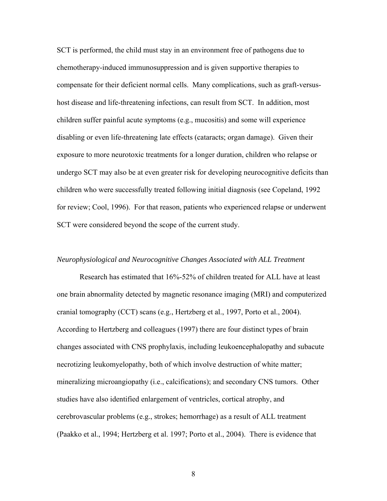SCT is performed, the child must stay in an environment free of pathogens due to chemotherapy-induced immunosuppression and is given supportive therapies to compensate for their deficient normal cells. Many complications, such as graft-versushost disease and life-threatening infections, can result from SCT. In addition, most children suffer painful acute symptoms (e.g., mucositis) and some will experience disabling or even life-threatening late effects (cataracts; organ damage). Given their exposure to more neurotoxic treatments for a longer duration, children who relapse or undergo SCT may also be at even greater risk for developing neurocognitive deficits than children who were successfully treated following initial diagnosis (see Copeland, 1992 for review; Cool, 1996). For that reason, patients who experienced relapse or underwent SCT were considered beyond the scope of the current study.

## *Neurophysiological and Neurocognitive Changes Associated with ALL Treatment*

Research has estimated that 16%-52% of children treated for ALL have at least one brain abnormality detected by magnetic resonance imaging (MRI) and computerized cranial tomography (CCT) scans (e.g., Hertzberg et al., 1997, Porto et al., 2004). According to Hertzberg and colleagues (1997) there are four distinct types of brain changes associated with CNS prophylaxis, including leukoencephalopathy and subacute necrotizing leukomyelopathy, both of which involve destruction of white matter; mineralizing microangiopathy (i.e., calcifications); and secondary CNS tumors. Other studies have also identified enlargement of ventricles, cortical atrophy, and cerebrovascular problems (e.g., strokes; hemorrhage) as a result of ALL treatment (Paakko et al., 1994; Hertzberg et al. 1997; Porto et al., 2004). There is evidence that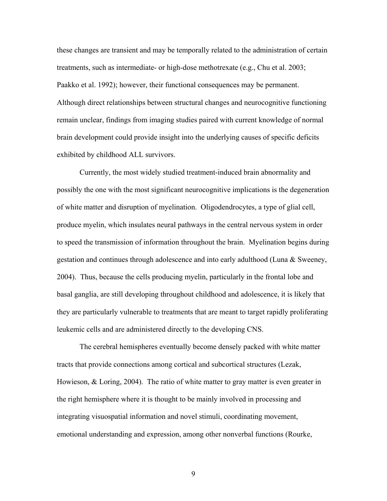these changes are transient and may be temporally related to the administration of certain treatments, such as intermediate- or high-dose methotrexate (e.g., Chu et al. 2003; Paakko et al. 1992); however, their functional consequences may be permanent. Although direct relationships between structural changes and neurocognitive functioning remain unclear, findings from imaging studies paired with current knowledge of normal brain development could provide insight into the underlying causes of specific deficits exhibited by childhood ALL survivors.

Currently, the most widely studied treatment-induced brain abnormality and possibly the one with the most significant neurocognitive implications is the degeneration of white matter and disruption of myelination. Oligodendrocytes, a type of glial cell, produce myelin, which insulates neural pathways in the central nervous system in order to speed the transmission of information throughout the brain. Myelination begins during gestation and continues through adolescence and into early adulthood (Luna & Sweeney, 2004). Thus, because the cells producing myelin, particularly in the frontal lobe and basal ganglia, are still developing throughout childhood and adolescence, it is likely that they are particularly vulnerable to treatments that are meant to target rapidly proliferating leukemic cells and are administered directly to the developing CNS.

The cerebral hemispheres eventually become densely packed with white matter tracts that provide connections among cortical and subcortical structures (Lezak, Howieson, & Loring, 2004). The ratio of white matter to gray matter is even greater in the right hemisphere where it is thought to be mainly involved in processing and integrating visuospatial information and novel stimuli, coordinating movement, emotional understanding and expression, among other nonverbal functions (Rourke,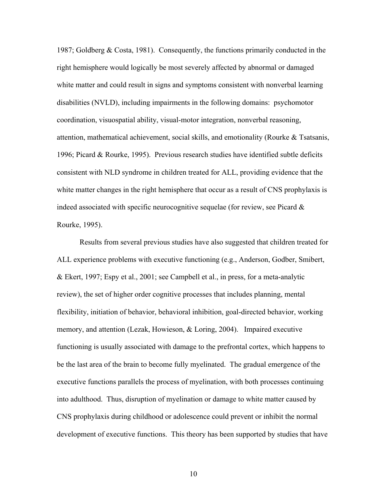1987; Goldberg & Costa, 1981). Consequently, the functions primarily conducted in the right hemisphere would logically be most severely affected by abnormal or damaged white matter and could result in signs and symptoms consistent with nonverbal learning disabilities (NVLD), including impairments in the following domains: psychomotor coordination, visuospatial ability, visual-motor integration, nonverbal reasoning, attention, mathematical achievement, social skills, and emotionality (Rourke & Tsatsanis, 1996; Picard & Rourke, 1995). Previous research studies have identified subtle deficits consistent with NLD syndrome in children treated for ALL, providing evidence that the white matter changes in the right hemisphere that occur as a result of CNS prophylaxis is indeed associated with specific neurocognitive sequelae (for review, see Picard  $\&$ Rourke, 1995).

Results from several previous studies have also suggested that children treated for ALL experience problems with executive functioning (e.g., Anderson, Godber, Smibert, & Ekert, 1997; Espy et al., 2001; see Campbell et al., in press, for a meta-analytic review), the set of higher order cognitive processes that includes planning, mental flexibility, initiation of behavior, behavioral inhibition, goal-directed behavior, working memory, and attention (Lezak, Howieson, & Loring, 2004). Impaired executive functioning is usually associated with damage to the prefrontal cortex, which happens to be the last area of the brain to become fully myelinated. The gradual emergence of the executive functions parallels the process of myelination, with both processes continuing into adulthood. Thus, disruption of myelination or damage to white matter caused by CNS prophylaxis during childhood or adolescence could prevent or inhibit the normal development of executive functions. This theory has been supported by studies that have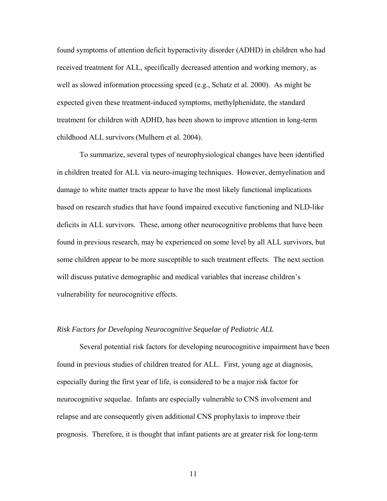found symptoms of attention deficit hyperactivity disorder (ADHD) in children who had received treatment for ALL, specifically decreased attention and working memory, as well as slowed information processing speed (e.g., Schatz et al. 2000). As might be expected given these treatment-induced symptoms, methylphenidate, the standard treatment for children with ADHD, has been shown to improve attention in long-term childhood ALL survivors (Mulhern et al. 2004).

To summarize, several types of neurophysiological changes have been identified in children treated for ALL via neuro-imaging techniques. However, demyelination and damage to white matter tracts appear to have the most likely functional implications based on research studies that have found impaired executive functioning and NLD-like deficits in ALL survivors. These, among other neurocognitive problems that have been found in previous research, may be experienced on some level by all ALL survivors, but some children appear to be more susceptible to such treatment effects. The next section will discuss putative demographic and medical variables that increase children's vulnerability for neurocognitive effects.

# *Risk Factors for Developing Neurocognitive Sequelae of Pediatric ALL*

 Several potential risk factors for developing neurocognitive impairment have been found in previous studies of children treated for ALL. First, young age at diagnosis, especially during the first year of life, is considered to be a major risk factor for neurocognitive sequelae. Infants are especially vulnerable to CNS involvement and relapse and are consequently given additional CNS prophylaxis to improve their prognosis. Therefore, it is thought that infant patients are at greater risk for long-term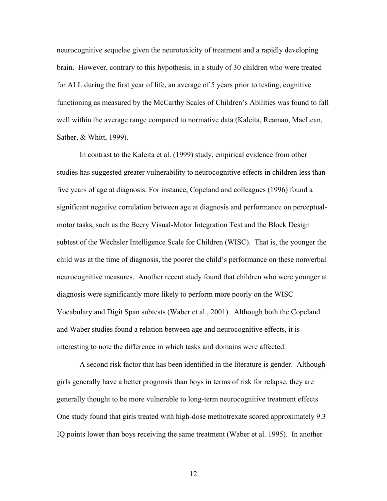neurocognitive sequelae given the neurotoxicity of treatment and a rapidly developing brain. However, contrary to this hypothesis, in a study of 30 children who were treated for ALL during the first year of life, an average of 5 years prior to testing, cognitive functioning as measured by the McCarthy Scales of Children's Abilities was found to fall well within the average range compared to normative data (Kaleita, Reaman, MacLean, Sather, & Whitt, 1999).

In contrast to the Kaleita et al. (1999) study, empirical evidence from other studies has suggested greater vulnerability to neurocognitive effects in children less than five years of age at diagnosis. For instance, Copeland and colleagues (1996) found a significant negative correlation between age at diagnosis and performance on perceptualmotor tasks, such as the Beery Visual-Motor Integration Test and the Block Design subtest of the Wechsler Intelligence Scale for Children (WISC). That is, the younger the child was at the time of diagnosis, the poorer the child's performance on these nonverbal neurocognitive measures. Another recent study found that children who were younger at diagnosis were significantly more likely to perform more poorly on the WISC Vocabulary and Digit Span subtests (Waber et al., 2001). Although both the Copeland and Waber studies found a relation between age and neurocognitive effects, it is interesting to note the difference in which tasks and domains were affected.

A second risk factor that has been identified in the literature is gender. Although girls generally have a better prognosis than boys in terms of risk for relapse, they are generally thought to be more vulnerable to long-term neurocognitive treatment effects. One study found that girls treated with high-dose methotrexate scored approximately 9.3 IQ points lower than boys receiving the same treatment (Waber et al. 1995). In another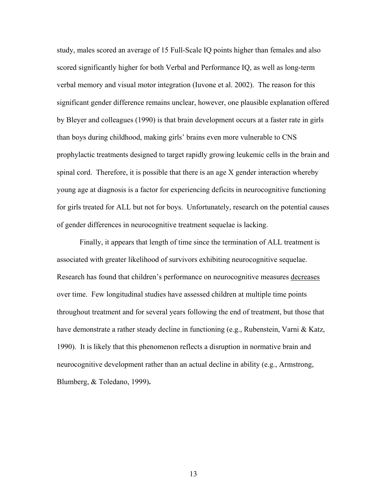study, males scored an average of 15 Full-Scale IQ points higher than females and also scored significantly higher for both Verbal and Performance IQ, as well as long-term verbal memory and visual motor integration (Iuvone et al. 2002). The reason for this significant gender difference remains unclear, however, one plausible explanation offered by Bleyer and colleagues (1990) is that brain development occurs at a faster rate in girls than boys during childhood, making girls' brains even more vulnerable to CNS prophylactic treatments designed to target rapidly growing leukemic cells in the brain and spinal cord. Therefore, it is possible that there is an age X gender interaction whereby young age at diagnosis is a factor for experiencing deficits in neurocognitive functioning for girls treated for ALL but not for boys. Unfortunately, research on the potential causes of gender differences in neurocognitive treatment sequelae is lacking.

Finally, it appears that length of time since the termination of ALL treatment is associated with greater likelihood of survivors exhibiting neurocognitive sequelae. Research has found that children's performance on neurocognitive measures decreases over time. Few longitudinal studies have assessed children at multiple time points throughout treatment and for several years following the end of treatment, but those that have demonstrate a rather steady decline in functioning (e.g., Rubenstein, Varni & Katz, 1990). It is likely that this phenomenon reflects a disruption in normative brain and neurocognitive development rather than an actual decline in ability (e.g., Armstrong, Blumberg, & Toledano, 1999)**.**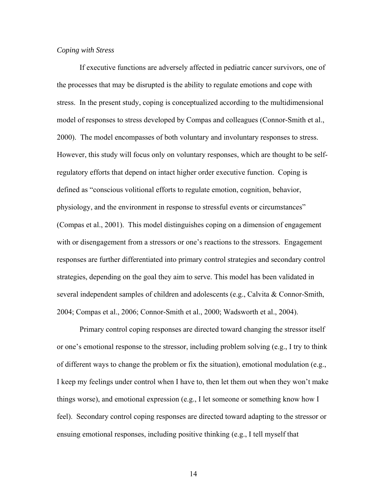# *Coping with Stress*

If executive functions are adversely affected in pediatric cancer survivors, one of the processes that may be disrupted is the ability to regulate emotions and cope with stress. In the present study, coping is conceptualized according to the multidimensional model of responses to stress developed by Compas and colleagues (Connor-Smith et al., 2000). The model encompasses of both voluntary and involuntary responses to stress. However, this study will focus only on voluntary responses, which are thought to be selfregulatory efforts that depend on intact higher order executive function. Coping is defined as "conscious volitional efforts to regulate emotion, cognition, behavior, physiology, and the environment in response to stressful events or circumstances" (Compas et al., 2001). This model distinguishes coping on a dimension of engagement with or disengagement from a stressors or one's reactions to the stressors. Engagement responses are further differentiated into primary control strategies and secondary control strategies, depending on the goal they aim to serve. This model has been validated in several independent samples of children and adolescents (e.g., Calvita & Connor-Smith, 2004; Compas et al., 2006; Connor-Smith et al., 2000; Wadsworth et al., 2004).

Primary control coping responses are directed toward changing the stressor itself or one's emotional response to the stressor, including problem solving (e.g., I try to think of different ways to change the problem or fix the situation), emotional modulation (e.g., I keep my feelings under control when I have to, then let them out when they won't make things worse), and emotional expression (e.g., I let someone or something know how I feel). Secondary control coping responses are directed toward adapting to the stressor or ensuing emotional responses, including positive thinking (e.g., I tell myself that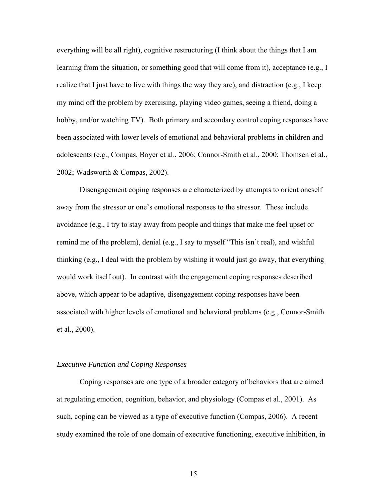everything will be all right), cognitive restructuring (I think about the things that I am learning from the situation, or something good that will come from it), acceptance (e.g., I realize that I just have to live with things the way they are), and distraction (e.g., I keep my mind off the problem by exercising, playing video games, seeing a friend, doing a hobby, and/or watching TV). Both primary and secondary control coping responses have been associated with lower levels of emotional and behavioral problems in children and adolescents (e.g., Compas, Boyer et al., 2006; Connor-Smith et al., 2000; Thomsen et al., 2002; Wadsworth & Compas, 2002).

Disengagement coping responses are characterized by attempts to orient oneself away from the stressor or one's emotional responses to the stressor. These include avoidance (e.g., I try to stay away from people and things that make me feel upset or remind me of the problem), denial (e.g., I say to myself "This isn't real), and wishful thinking (e.g., I deal with the problem by wishing it would just go away, that everything would work itself out). In contrast with the engagement coping responses described above, which appear to be adaptive, disengagement coping responses have been associated with higher levels of emotional and behavioral problems (e.g., Connor-Smith et al., 2000).

#### *Executive Function and Coping Responses*

Coping responses are one type of a broader category of behaviors that are aimed at regulating emotion, cognition, behavior, and physiology (Compas et al., 2001). As such, coping can be viewed as a type of executive function (Compas, 2006). A recent study examined the role of one domain of executive functioning, executive inhibition, in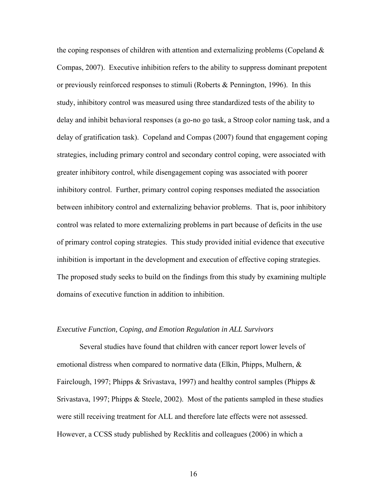the coping responses of children with attention and externalizing problems (Copeland  $\&$ Compas, 2007). Executive inhibition refers to the ability to suppress dominant prepotent or previously reinforced responses to stimuli (Roberts & Pennington, 1996). In this study, inhibitory control was measured using three standardized tests of the ability to delay and inhibit behavioral responses (a go-no go task, a Stroop color naming task, and a delay of gratification task). Copeland and Compas (2007) found that engagement coping strategies, including primary control and secondary control coping, were associated with greater inhibitory control, while disengagement coping was associated with poorer inhibitory control. Further, primary control coping responses mediated the association between inhibitory control and externalizing behavior problems. That is, poor inhibitory control was related to more externalizing problems in part because of deficits in the use of primary control coping strategies. This study provided initial evidence that executive inhibition is important in the development and execution of effective coping strategies. The proposed study seeks to build on the findings from this study by examining multiple domains of executive function in addition to inhibition.

# *Executive Function, Coping, and Emotion Regulation in ALL Survivors*

Several studies have found that children with cancer report lower levels of emotional distress when compared to normative data (Elkin, Phipps, Mulhern, & Fairclough, 1997; Phipps & Srivastava, 1997) and healthy control samples (Phipps & Srivastava, 1997; Phipps & Steele, 2002). Most of the patients sampled in these studies were still receiving treatment for ALL and therefore late effects were not assessed. However, a CCSS study published by Recklitis and colleagues (2006) in which a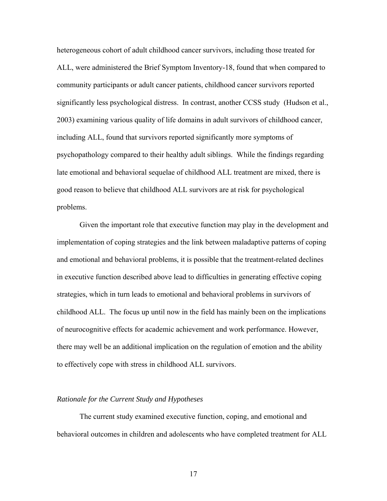heterogeneous cohort of adult childhood cancer survivors, including those treated for ALL, were administered the Brief Symptom Inventory-18, found that when compared to community participants or adult cancer patients, childhood cancer survivors reported significantly less psychological distress. In contrast, another CCSS study (Hudson et al., 2003) examining various quality of life domains in adult survivors of childhood cancer, including ALL, found that survivors reported significantly more symptoms of psychopathology compared to their healthy adult siblings. While the findings regarding late emotional and behavioral sequelae of childhood ALL treatment are mixed, there is good reason to believe that childhood ALL survivors are at risk for psychological problems.

 Given the important role that executive function may play in the development and implementation of coping strategies and the link between maladaptive patterns of coping and emotional and behavioral problems, it is possible that the treatment-related declines in executive function described above lead to difficulties in generating effective coping strategies, which in turn leads to emotional and behavioral problems in survivors of childhood ALL. The focus up until now in the field has mainly been on the implications of neurocognitive effects for academic achievement and work performance. However, there may well be an additional implication on the regulation of emotion and the ability to effectively cope with stress in childhood ALL survivors.

#### *Rationale for the Current Study and Hypotheses*

The current study examined executive function, coping, and emotional and behavioral outcomes in children and adolescents who have completed treatment for ALL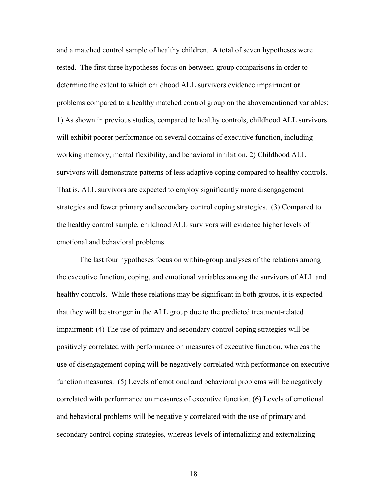and a matched control sample of healthy children. A total of seven hypotheses were tested. The first three hypotheses focus on between-group comparisons in order to determine the extent to which childhood ALL survivors evidence impairment or problems compared to a healthy matched control group on the abovementioned variables: 1) As shown in previous studies, compared to healthy controls, childhood ALL survivors will exhibit poorer performance on several domains of executive function, including working memory, mental flexibility, and behavioral inhibition. 2) Childhood ALL survivors will demonstrate patterns of less adaptive coping compared to healthy controls. That is, ALL survivors are expected to employ significantly more disengagement strategies and fewer primary and secondary control coping strategies. (3) Compared to the healthy control sample, childhood ALL survivors will evidence higher levels of emotional and behavioral problems.

The last four hypotheses focus on within-group analyses of the relations among the executive function, coping, and emotional variables among the survivors of ALL and healthy controls. While these relations may be significant in both groups, it is expected that they will be stronger in the ALL group due to the predicted treatment-related impairment: (4) The use of primary and secondary control coping strategies will be positively correlated with performance on measures of executive function, whereas the use of disengagement coping will be negatively correlated with performance on executive function measures. (5) Levels of emotional and behavioral problems will be negatively correlated with performance on measures of executive function. (6) Levels of emotional and behavioral problems will be negatively correlated with the use of primary and secondary control coping strategies, whereas levels of internalizing and externalizing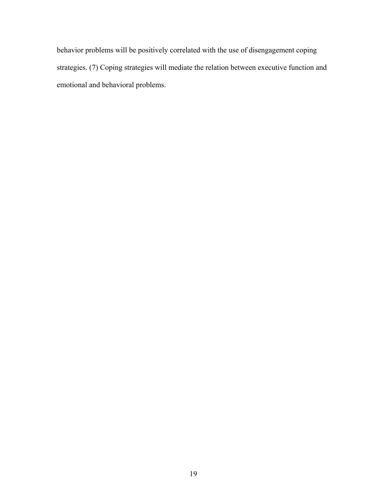behavior problems will be positively correlated with the use of disengagement coping strategies. (7) Coping strategies will mediate the relation between executive function and emotional and behavioral problems.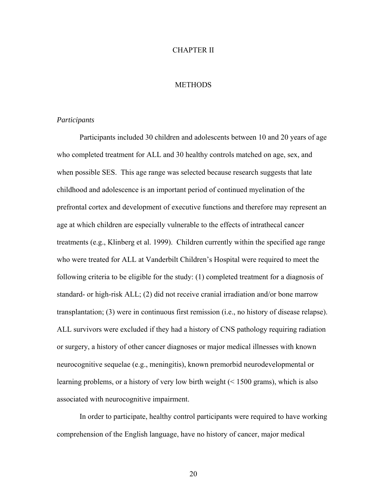### CHAPTER II

# **METHODS**

# *Participants*

 Participants included 30 children and adolescents between 10 and 20 years of age who completed treatment for ALL and 30 healthy controls matched on age, sex, and when possible SES. This age range was selected because research suggests that late childhood and adolescence is an important period of continued myelination of the prefrontal cortex and development of executive functions and therefore may represent an age at which children are especially vulnerable to the effects of intrathecal cancer treatments (e.g., Klinberg et al. 1999).Children currently within the specified age range who were treated for ALL at Vanderbilt Children's Hospital were required to meet the following criteria to be eligible for the study: (1) completed treatment for a diagnosis of standard- or high-risk ALL; (2) did not receive cranial irradiation and/or bone marrow transplantation; (3) were in continuous first remission (i.e., no history of disease relapse). ALL survivors were excluded if they had a history of CNS pathology requiring radiation or surgery, a history of other cancer diagnoses or major medical illnesses with known neurocognitive sequelae (e.g., meningitis), known premorbid neurodevelopmental or learning problems, or a history of very low birth weight (< 1500 grams), which is also associated with neurocognitive impairment.

In order to participate, healthy control participants were required to have working comprehension of the English language, have no history of cancer, major medical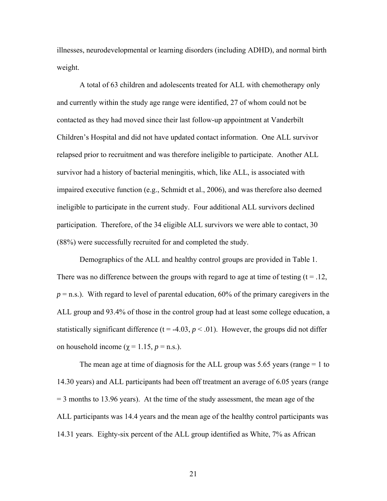illnesses, neurodevelopmental or learning disorders (including ADHD), and normal birth weight.

A total of 63 children and adolescents treated for ALL with chemotherapy only and currently within the study age range were identified, 27 of whom could not be contacted as they had moved since their last follow-up appointment at Vanderbilt Children's Hospital and did not have updated contact information. One ALL survivor relapsed prior to recruitment and was therefore ineligible to participate. Another ALL survivor had a history of bacterial meningitis, which, like ALL, is associated with impaired executive function (e.g., Schmidt et al., 2006), and was therefore also deemed ineligible to participate in the current study. Four additional ALL survivors declined participation. Therefore, of the 34 eligible ALL survivors we were able to contact, 30 (88%) were successfully recruited for and completed the study.

Demographics of the ALL and healthy control groups are provided in Table 1. There was no difference between the groups with regard to age at time of testing  $(t = .12, )$  $p =$ n.s.). With regard to level of parental education, 60% of the primary caregivers in the ALL group and 93.4% of those in the control group had at least some college education, a statistically significant difference ( $t = -4.03$ ,  $p < .01$ ). However, the groups did not differ on household income ( $\chi$  = 1.15,  $p$  = n.s.).

The mean age at time of diagnosis for the ALL group was 5.65 years (range  $= 1$  to 14.30 years) and ALL participants had been off treatment an average of 6.05 years (range  $=$  3 months to 13.96 years). At the time of the study assessment, the mean age of the ALL participants was 14.4 years and the mean age of the healthy control participants was 14.31 years. Eighty-six percent of the ALL group identified as White, 7% as African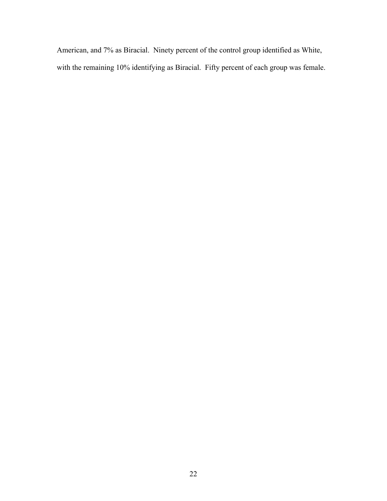American, and 7% as Biracial. Ninety percent of the control group identified as White, with the remaining 10% identifying as Biracial. Fifty percent of each group was female.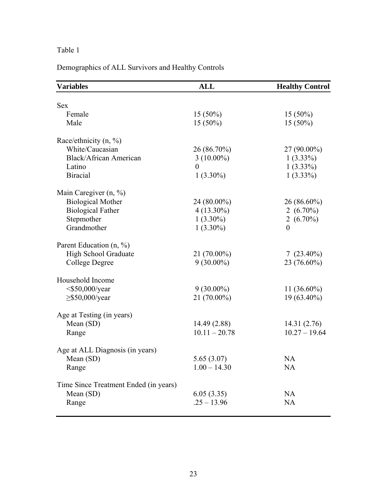# Table 1

# Demographics of ALL Survivors and Healthy Controls

| <b>Variables</b>                      | <b>ALL</b>      | <b>Healthy Control</b> |
|---------------------------------------|-----------------|------------------------|
| <b>Sex</b>                            |                 |                        |
| Female                                |                 |                        |
|                                       | $15(50\%)$      | $15(50\%)$             |
| Male                                  | $15(50\%)$      | $15(50\%)$             |
| Race/ethnicity $(n, %)$               |                 |                        |
| White/Caucasian                       | 26 (86.70%)     | $27(90.00\%)$          |
| <b>Black/African American</b>         | $3(10.00\%)$    | $1(3.33\%)$            |
| Latino                                | $\theta$        | $1(3.33\%)$            |
| <b>Biracial</b>                       | $1(3.30\%)$     | $1(3.33\%)$            |
| Main Caregiver $(n, %)$               |                 |                        |
| <b>Biological Mother</b>              | 24 (80.00%)     | 26 (86.60%)            |
| <b>Biological Father</b>              | $4(13.30\%)$    | 2 $(6.70\%)$           |
| Stepmother                            | $1(3.30\%)$     | 2 $(6.70\%)$           |
| Grandmother                           | $1(3.30\%)$     | $\overline{0}$         |
|                                       |                 |                        |
| Parent Education (n, %)               |                 |                        |
| High School Graduate                  | $21(70.00\%)$   | $7(23.40\%)$           |
| College Degree                        | $9(30.00\%)$    | 23 (76.60%)            |
|                                       |                 |                        |
| Household Income                      |                 |                        |
| $<$ \$50,000/year                     | $9(30.00\%)$    | $11(36.60\%)$          |
| $\geq$ \$50,000/year                  | 21 (70.00%)     | 19 (63.40%)            |
| Age at Testing (in years)             |                 |                        |
| Mean (SD)                             | 14.49 (2.88)    | 14.31(2.76)            |
| Range                                 | $10.11 - 20.78$ | $10.27 - 19.64$        |
|                                       |                 |                        |
| Age at ALL Diagnosis (in years)       |                 |                        |
| Mean (SD)                             | 5.65(3.07)      | <b>NA</b>              |
| Range                                 | $1.00 - 14.30$  | <b>NA</b>              |
| Time Since Treatment Ended (in years) |                 |                        |
| Mean (SD)                             | 6.05(3.35)      | <b>NA</b>              |
| Range                                 | $.25 - 13.96$   | <b>NA</b>              |
|                                       |                 |                        |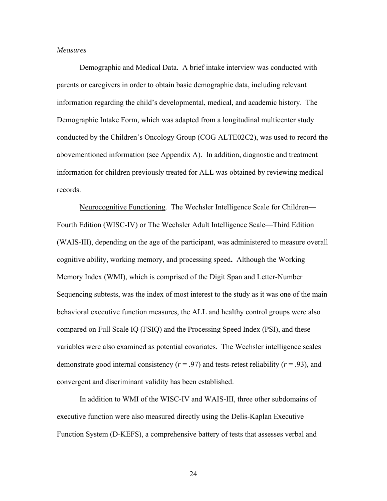# *Measures*

Demographic and Medical Data*.* A brief intake interview was conducted with parents or caregivers in order to obtain basic demographic data, including relevant information regarding the child's developmental, medical, and academic history. The Demographic Intake Form, which was adapted from a longitudinal multicenter study conducted by the Children's Oncology Group (COG ALTE02C2), was used to record the abovementioned information (see Appendix A). In addition, diagnostic and treatment information for children previously treated for ALL was obtained by reviewing medical records.

Neurocognitive Functioning*.* The Wechsler Intelligence Scale for Children— Fourth Edition (WISC-IV) or The Wechsler Adult Intelligence Scale—Third Edition (WAIS-III), depending on the age of the participant, was administered to measure overall cognitive ability, working memory, and processing speed**.** Although the Working Memory Index (WMI), which is comprised of the Digit Span and Letter-Number Sequencing subtests, was the index of most interest to the study as it was one of the main behavioral executive function measures, the ALL and healthy control groups were also compared on Full Scale IQ (FSIQ) and the Processing Speed Index (PSI), and these variables were also examined as potential covariates. The Wechsler intelligence scales demonstrate good internal consistency (*r* = .97) and tests-retest reliability (*r* = .93), and convergent and discriminant validity has been established.

In addition to WMI of the WISC-IV and WAIS-III, three other subdomains of executive function were also measured directly using the Delis-Kaplan Executive Function System (D-KEFS), a comprehensive battery of tests that assesses verbal and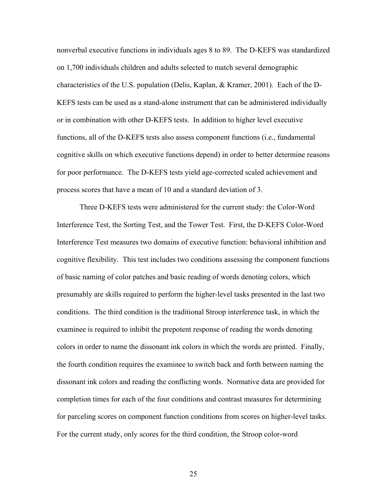nonverbal executive functions in individuals ages 8 to 89. The D-KEFS was standardized on 1,700 individuals children and adults selected to match several demographic characteristics of the U.S. population (Delis, Kaplan, & Kramer, 2001). Each of the D-KEFS tests can be used as a stand-alone instrument that can be administered individually or in combination with other D-KEFS tests. In addition to higher level executive functions, all of the D-KEFS tests also assess component functions (i.e., fundamental cognitive skills on which executive functions depend) in order to better determine reasons for poor performance. The D-KEFS tests yield age-corrected scaled achievement and process scores that have a mean of 10 and a standard deviation of 3.

Three D-KEFS tests were administered for the current study: the Color-Word Interference Test, the Sorting Test, and the Tower Test. First, the D-KEFS Color-Word Interference Test measures two domains of executive function: behavioral inhibition and cognitive flexibility. This test includes two conditions assessing the component functions of basic naming of color patches and basic reading of words denoting colors, which presumably are skills required to perform the higher-level tasks presented in the last two conditions. The third condition is the traditional Stroop interference task, in which the examinee is required to inhibit the prepotent response of reading the words denoting colors in order to name the dissonant ink colors in which the words are printed. Finally, the fourth condition requires the examinee to switch back and forth between naming the dissonant ink colors and reading the conflicting words. Normative data are provided for completion times for each of the four conditions and contrast measures for determining for parceling scores on component function conditions from scores on higher-level tasks. For the current study, only scores for the third condition, the Stroop color-word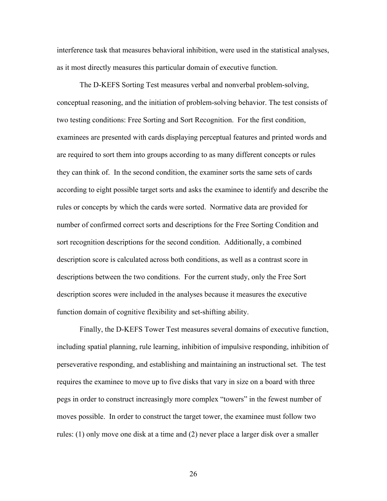interference task that measures behavioral inhibition, were used in the statistical analyses, as it most directly measures this particular domain of executive function.

The D-KEFS Sorting Test measures verbal and nonverbal problem-solving, conceptual reasoning, and the initiation of problem-solving behavior. The test consists of two testing conditions: Free Sorting and Sort Recognition. For the first condition, examinees are presented with cards displaying perceptual features and printed words and are required to sort them into groups according to as many different concepts or rules they can think of. In the second condition, the examiner sorts the same sets of cards according to eight possible target sorts and asks the examinee to identify and describe the rules or concepts by which the cards were sorted. Normative data are provided for number of confirmed correct sorts and descriptions for the Free Sorting Condition and sort recognition descriptions for the second condition. Additionally, a combined description score is calculated across both conditions, as well as a contrast score in descriptions between the two conditions. For the current study, only the Free Sort description scores were included in the analyses because it measures the executive function domain of cognitive flexibility and set-shifting ability.

Finally, the D-KEFS Tower Test measures several domains of executive function, including spatial planning, rule learning, inhibition of impulsive responding, inhibition of perseverative responding, and establishing and maintaining an instructional set. The test requires the examinee to move up to five disks that vary in size on a board with three pegs in order to construct increasingly more complex "towers" in the fewest number of moves possible. In order to construct the target tower, the examinee must follow two rules: (1) only move one disk at a time and (2) never place a larger disk over a smaller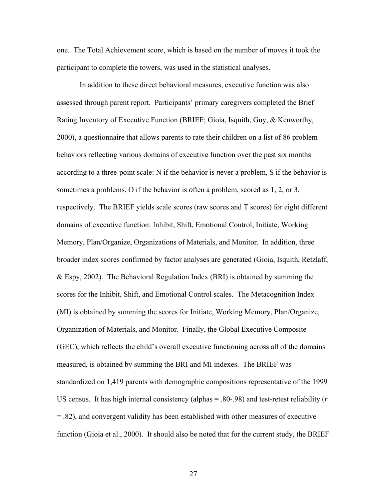one. The Total Achievement score, which is based on the number of moves it took the participant to complete the towers, was used in the statistical analyses.

In addition to these direct behavioral measures, executive function was also assessed through parent report. Participants' primary caregivers completed the Brief Rating Inventory of Executive Function (BRIEF; Gioia, Isquith, Guy, & Kenworthy, 2000), a questionnaire that allows parents to rate their children on a list of 86 problem behaviors reflecting various domains of executive function over the past six months according to a three-point scale: N if the behavior is *n*ever a problem, S if the behavior is *s*ometimes a problems, O if the behavior is *o*ften a problem, scored as 1, 2, or 3, respectively. The BRIEF yields scale scores (raw scores and T scores) for eight different domains of executive function: Inhibit, Shift, Emotional Control, Initiate, Working Memory, Plan/Organize, Organizations of Materials, and Monitor. In addition, three broader index scores confirmed by factor analyses are generated (Gioia, Isquith, Retzlaff, & Espy, 2002). The Behavioral Regulation Index (BRI) is obtained by summing the scores for the Inhibit, Shift, and Emotional Control scales. The Metacognition Index (MI) is obtained by summing the scores for Initiate, Working Memory, Plan/Organize, Organization of Materials, and Monitor. Finally, the Global Executive Composite (GEC), which reflects the child's overall executive functioning across all of the domains measured, is obtained by summing the BRI and MI indexes. The BRIEF was standardized on 1,419 parents with demographic compositions representative of the 1999 US census. It has high internal consistency (alphas = .80-.98) and test-retest reliability (*r* = .82), and convergent validity has been established with other measures of executive function (Gioia et al., 2000). It should also be noted that for the current study, the BRIEF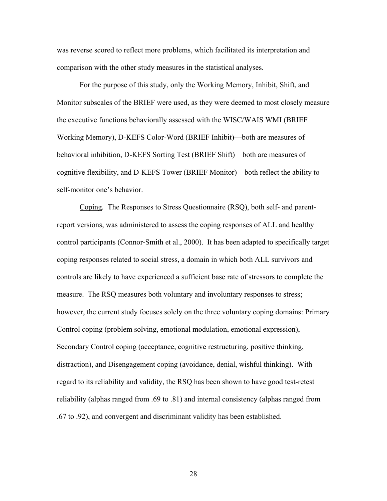was reverse scored to reflect more problems, which facilitated its interpretation and comparison with the other study measures in the statistical analyses.

For the purpose of this study, only the Working Memory, Inhibit, Shift, and Monitor subscales of the BRIEF were used, as they were deemed to most closely measure the executive functions behaviorally assessed with the WISC/WAIS WMI (BRIEF Working Memory), D-KEFS Color-Word (BRIEF Inhibit)—both are measures of behavioral inhibition, D-KEFS Sorting Test (BRIEF Shift)—both are measures of cognitive flexibility, and D-KEFS Tower (BRIEF Monitor)—both reflect the ability to self-monitor one's behavior.

Coping*.* The Responses to Stress Questionnaire (RSQ), both self- and parentreport versions, was administered to assess the coping responses of ALL and healthy control participants (Connor-Smith et al., 2000). It has been adapted to specifically target coping responses related to social stress, a domain in which both ALL survivors and controls are likely to have experienced a sufficient base rate of stressors to complete the measure. The RSQ measures both voluntary and involuntary responses to stress; however, the current study focuses solely on the three voluntary coping domains: Primary Control coping (problem solving, emotional modulation, emotional expression), Secondary Control coping (acceptance, cognitive restructuring, positive thinking, distraction), and Disengagement coping (avoidance, denial, wishful thinking). With regard to its reliability and validity, the RSQ has been shown to have good test-retest reliability (alphas ranged from .69 to .81) and internal consistency (alphas ranged from .67 to .92), and convergent and discriminant validity has been established.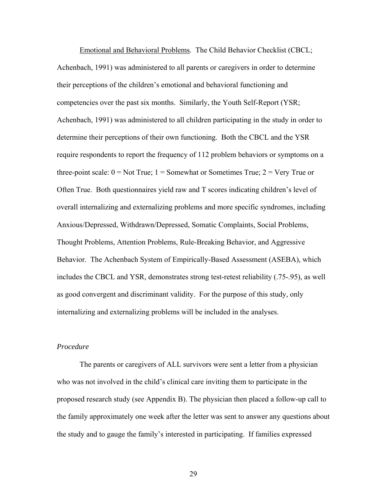Emotional and Behavioral Problems*.* The Child Behavior Checklist (CBCL; Achenbach, 1991) was administered to all parents or caregivers in order to determine their perceptions of the children's emotional and behavioral functioning and competencies over the past six months. Similarly, the Youth Self-Report (YSR; Achenbach, 1991) was administered to all children participating in the study in order to determine their perceptions of their own functioning. Both the CBCL and the YSR require respondents to report the frequency of 112 problem behaviors or symptoms on a three-point scale:  $0 = Not True$ ;  $1 = Somewhat$  or Sometimes True;  $2 = Very True$  or Often True. Both questionnaires yield raw and T scores indicating children's level of overall internalizing and externalizing problems and more specific syndromes, including Anxious/Depressed, Withdrawn/Depressed, Somatic Complaints, Social Problems, Thought Problems, Attention Problems, Rule-Breaking Behavior, and Aggressive Behavior. The Achenbach System of Empirically-Based Assessment (ASEBA), which includes the CBCL and YSR, demonstrates strong test-retest reliability (.75-.95), as well as good convergent and discriminant validity. For the purpose of this study, only internalizing and externalizing problems will be included in the analyses.

# *Procedure*

The parents or caregivers of ALL survivors were sent a letter from a physician who was not involved in the child's clinical care inviting them to participate in the proposed research study (see Appendix B). The physician then placed a follow-up call to the family approximately one week after the letter was sent to answer any questions about the study and to gauge the family's interested in participating. If families expressed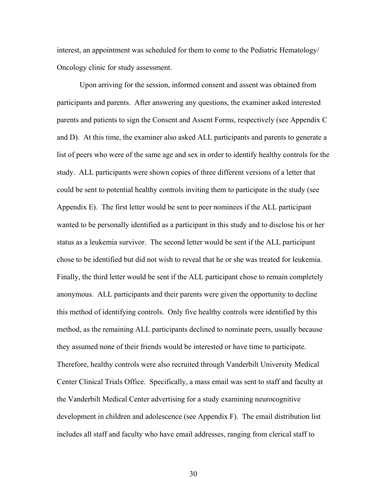interest, an appointment was scheduled for them to come to the Pediatric Hematology/ Oncology clinic for study assessment.

Upon arriving for the session, informed consent and assent was obtained from participants and parents. After answering any questions, the examiner asked interested parents and patients to sign the Consent and Assent Forms, respectively (see Appendix C and D). At this time, the examiner also asked ALL participants and parents to generate a list of peers who were of the same age and sex in order to identify healthy controls for the study. ALL participants were shown copies of three different versions of a letter that could be sent to potential healthy controls inviting them to participate in the study (see Appendix E). The first letter would be sent to peer nominees if the ALL participant wanted to be personally identified as a participant in this study and to disclose his or her status as a leukemia survivor. The second letter would be sent if the ALL participant chose to be identified but did not wish to reveal that he or she was treated for leukemia. Finally, the third letter would be sent if the ALL participant chose to remain completely anonymous. ALL participants and their parents were given the opportunity to decline this method of identifying controls. Only five healthy controls were identified by this method, as the remaining ALL participants declined to nominate peers, usually because they assumed none of their friends would be interested or have time to participate. Therefore, healthy controls were also recruited through Vanderbilt University Medical Center Clinical Trials Office. Specifically, a mass email was sent to staff and faculty at the Vanderbilt Medical Center advertising for a study examining neurocognitive development in children and adolescence (see Appendix F). The email distribution list includes all staff and faculty who have email addresses, ranging from clerical staff to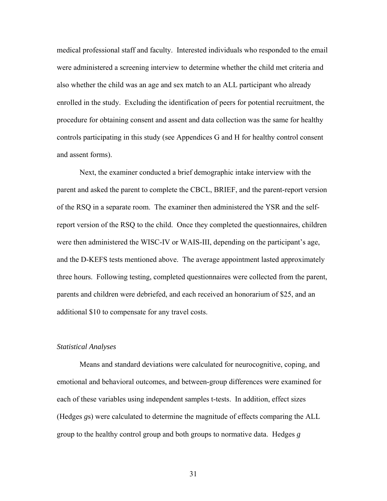medical professional staff and faculty. Interested individuals who responded to the email were administered a screening interview to determine whether the child met criteria and also whether the child was an age and sex match to an ALL participant who already enrolled in the study. Excluding the identification of peers for potential recruitment, the procedure for obtaining consent and assent and data collection was the same for healthy controls participating in this study (see Appendices G and H for healthy control consent and assent forms).

 Next, the examiner conducted a brief demographic intake interview with the parent and asked the parent to complete the CBCL, BRIEF, and the parent-report version of the RSQ in a separate room. The examiner then administered the YSR and the selfreport version of the RSQ to the child. Once they completed the questionnaires, children were then administered the WISC-IV or WAIS-III, depending on the participant's age, and the D-KEFS tests mentioned above. The average appointment lasted approximately three hours. Following testing, completed questionnaires were collected from the parent, parents and children were debriefed, and each received an honorarium of \$25, and an additional \$10 to compensate for any travel costs.

### *Statistical Analyses*

 Means and standard deviations were calculated for neurocognitive, coping, and emotional and behavioral outcomes, and between-group differences were examined for each of these variables using independent samples t-tests. In addition, effect sizes (Hedges *g*s) were calculated to determine the magnitude of effects comparing the ALL group to the healthy control group and both groups to normative data. Hedges *g*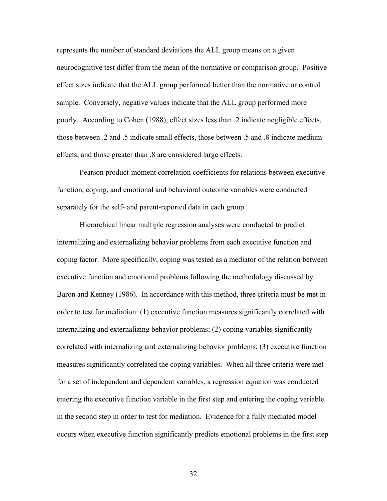represents the number of standard deviations the ALL group means on a given neurocognitive test differ from the mean of the normative or comparison group. Positive effect sizes indicate that the ALL group performed better than the normative or control sample. Conversely, negative values indicate that the ALL group performed more poorly. According to Cohen (1988), effect sizes less than .2 indicate negligible effects, those between .2 and .5 indicate small effects, those between .5 and .8 indicate medium effects, and those greater than .8 are considered large effects.

Pearson product-moment correlation coefficients for relations between executive function, coping, and emotional and behavioral outcome variables were conducted separately for the self- and parent-reported data in each group.

Hierarchical linear multiple regression analyses were conducted to predict internalizing and externalizing behavior problems from each executive function and coping factor. More specifically, coping was tested as a mediator of the relation between executive function and emotional problems following the methodology discussed by Baron and Kenney (1986). In accordance with this method, three criteria must be met in order to test for mediation: (1) executive function measures significantly correlated with internalizing and externalizing behavior problems; (2) coping variables significantly correlated with internalizing and externalizing behavior problems; (3) executive function measures significantly correlated the coping variables. When all three criteria were met for a set of independent and dependent variables, a regression equation was conducted entering the executive function variable in the first step and entering the coping variable in the second step in order to test for mediation. Evidence for a fully mediated model occurs when executive function significantly predicts emotional problems in the first step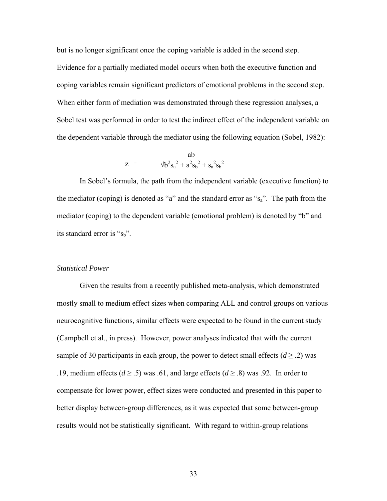but is no longer significant once the coping variable is added in the second step.

Evidence for a partially mediated model occurs when both the executive function and coping variables remain significant predictors of emotional problems in the second step. When either form of mediation was demonstrated through these regression analyses, a Sobel test was performed in order to test the indirect effect of the independent variable on the dependent variable through the mediator using the following equation (Sobel, 1982):

$$
z = \frac{ab}{\sqrt{b^2 s_a^2 + a^2 s_b^2 + s_a^2 s_b^2}}
$$

In Sobel's formula, the path from the independent variable (executive function) to the mediator (coping) is denoted as "a" and the standard error as " $s_a$ ". The path from the mediator (coping) to the dependent variable (emotional problem) is denoted by "b" and its standard error is " $s_b$ ".

## *Statistical Power*

 Given the results from a recently published meta-analysis, which demonstrated mostly small to medium effect sizes when comparing ALL and control groups on various neurocognitive functions, similar effects were expected to be found in the current study (Campbell et al., in press). However, power analyses indicated that with the current sample of 30 participants in each group, the power to detect small effects  $(d \ge 2)$  was .19, medium effects ( $d \ge 0.5$ ) was .61, and large effects ( $d \ge 0.8$ ) was .92. In order to compensate for lower power, effect sizes were conducted and presented in this paper to better display between-group differences, as it was expected that some between-group results would not be statistically significant. With regard to within-group relations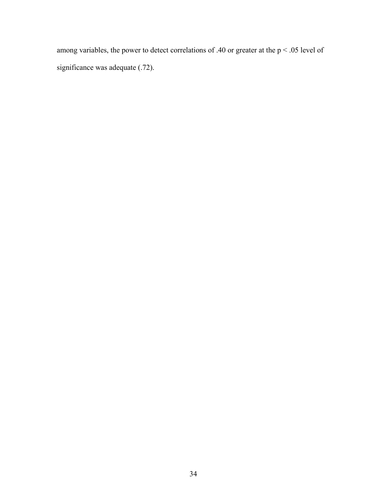among variables, the power to detect correlations of .40 or greater at the  $p < .05$  level of significance was adequate (.72).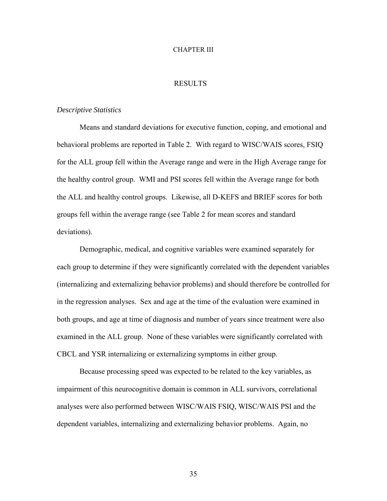### CHAPTER III

## **RESULTS**

### *Descriptive Statistics*

 Means and standard deviations for executive function, coping, and emotional and behavioral problems are reported in Table 2. With regard to WISC/WAIS scores, FSIQ for the ALL group fell within the Average range and were in the High Average range for the healthy control group.WMI and PSI scores fell within the Average range for both the ALL and healthy control groups. Likewise, all D-KEFS and BRIEF scores for both groups fell within the average range (see Table 2 for mean scores and standard deviations).

 Demographic, medical, and cognitive variables were examined separately for each group to determine if they were significantly correlated with the dependent variables (internalizing and externalizing behavior problems) and should therefore be controlled for in the regression analyses. Sex and age at the time of the evaluation were examined in both groups, and age at time of diagnosis and number of years since treatment were also examined in the ALL group. None of these variables were significantly correlated with CBCL and YSR internalizing or externalizing symptoms in either group.

Because processing speed was expected to be related to the key variables, as impairment of this neurocognitive domain is common in ALL survivors, correlational analyses were also performed between WISC/WAIS FSIQ, WISC/WAIS PSI and the dependent variables, internalizing and externalizing behavior problems. Again, no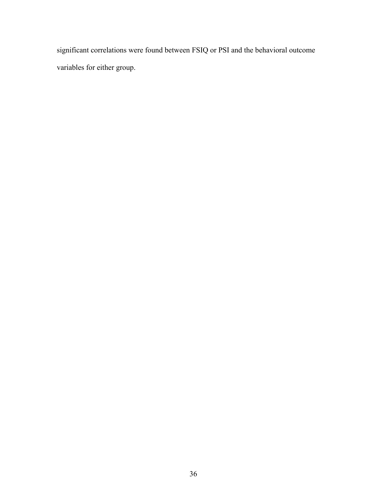significant correlations were found between FSIQ or PSI and the behavioral outcome variables for either group.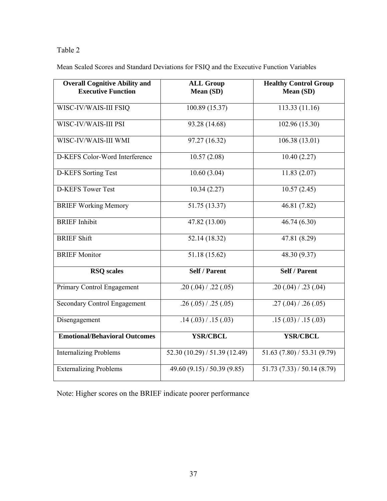Mean Scaled Scores and Standard Deviations for FSIQ and the Executive Function Variables

| <b>Overall Cognitive Ability and</b><br><b>Executive Function</b> | <b>ALL Group</b><br>Mean (SD) | <b>Healthy Control Group</b><br>Mean (SD) |
|-------------------------------------------------------------------|-------------------------------|-------------------------------------------|
| WISC-IV/WAIS-III FSIQ                                             | 100.89 (15.37)                | 113.33 (11.16)                            |
| WISC-IV/WAIS-III PSI                                              | 93.28 (14.68)                 | 102.96 (15.30)                            |
| WISC-IV/WAIS-III WMI                                              | 97.27 (16.32)                 | 106.38 (13.01)                            |
| D-KEFS Color-Word Interference                                    | 10.57(2.08)                   | 10.40(2.27)                               |
| <b>D-KEFS</b> Sorting Test                                        | 10.60(3.04)                   | 11.83(2.07)                               |
| <b>D-KEFS Tower Test</b>                                          | 10.34(2.27)                   | 10.57(2.45)                               |
| <b>BRIEF Working Memory</b>                                       | 51.75 (13.37)                 | 46.81 (7.82)                              |
| <b>BRIEF</b> Inhibit                                              | 47.82(13.00)                  | 46.74(6.30)                               |
| <b>BRIEF Shift</b>                                                | 52.14(18.32)                  | 47.81(8.29)                               |
| <b>BRIEF Monitor</b>                                              | 51.18 (15.62)                 | 48.30 (9.37)                              |
| <b>RSQ</b> scales                                                 | <b>Self / Parent</b>          | <b>Self / Parent</b>                      |
| Primary Control Engagement                                        | .20(.04) / .22(.05)           | .20(.04) / .23(.04)                       |
| <b>Secondary Control Engagement</b>                               | .26(.05) / .25(.05)           | .27(.04)/.26(.05)                         |
| Disengagement                                                     | .14(.03) / .15(.03)           | .15(.03)/.15(.03)                         |
| <b>Emotional/Behavioral Outcomes</b>                              | <b>YSR/CBCL</b>               | <b>YSR/CBCL</b>                           |
| <b>Internalizing Problems</b>                                     | 52.30(10.29)/51.39(12.49)     | 51.63(7.80)/53.31(9.79)                   |
| <b>Externalizing Problems</b>                                     | 49.60 $(9.15) / 50.39 (9.85)$ | 51.73(7.33)/50.14(8.79)                   |

Note: Higher scores on the BRIEF indicate poorer performance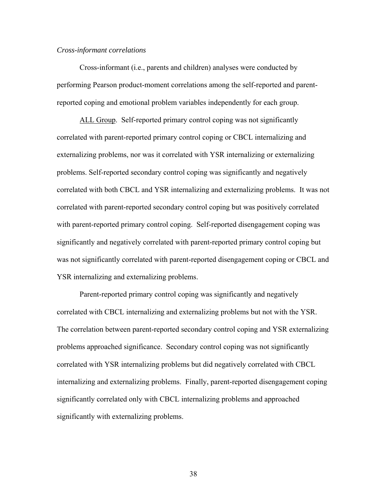### *Cross-informant correlations*

 Cross-informant (i.e., parents and children) analyses were conducted by performing Pearson product-moment correlations among the self-reported and parentreported coping and emotional problem variables independently for each group.

ALL Group. Self-reported primary control coping was not significantly correlated with parent-reported primary control coping or CBCL internalizing and externalizing problems, nor was it correlated with YSR internalizing or externalizing problems. Self-reported secondary control coping was significantly and negatively correlated with both CBCL and YSR internalizing and externalizing problems. It was not correlated with parent-reported secondary control coping but was positively correlated with parent-reported primary control coping. Self-reported disengagement coping was significantly and negatively correlated with parent-reported primary control coping but was not significantly correlated with parent-reported disengagement coping or CBCL and YSR internalizing and externalizing problems.

Parent-reported primary control coping was significantly and negatively correlated with CBCL internalizing and externalizing problems but not with the YSR. The correlation between parent-reported secondary control coping and YSR externalizing problems approached significance. Secondary control coping was not significantly correlated with YSR internalizing problems but did negatively correlated with CBCL internalizing and externalizing problems. Finally, parent-reported disengagement coping significantly correlated only with CBCL internalizing problems and approached significantly with externalizing problems.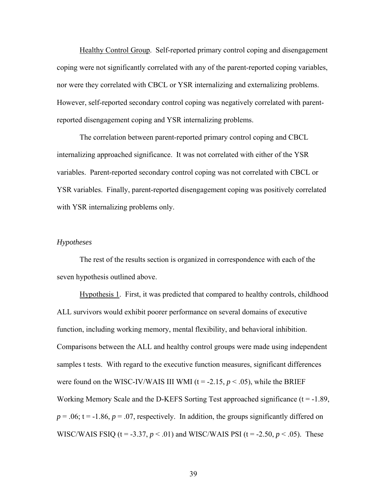Healthy Control Group. Self-reported primary control coping and disengagement coping were not significantly correlated with any of the parent-reported coping variables, nor were they correlated with CBCL or YSR internalizing and externalizing problems. However, self-reported secondary control coping was negatively correlated with parentreported disengagement coping and YSR internalizing problems.

 The correlation between parent-reported primary control coping and CBCL internalizing approached significance. It was not correlated with either of the YSR variables. Parent-reported secondary control coping was not correlated with CBCL or YSR variables. Finally, parent-reported disengagement coping was positively correlated with YSR internalizing problems only.

### *Hypotheses*

The rest of the results section is organized in correspondence with each of the seven hypothesis outlined above.

Hypothesis 1. First, it was predicted that compared to healthy controls, childhood ALL survivors would exhibit poorer performance on several domains of executive function, including working memory, mental flexibility, and behavioral inhibition. Comparisons between the ALL and healthy control groups were made using independent samples t tests. With regard to the executive function measures, significant differences were found on the WISC-IV/WAIS III WMI  $(t = -2.15, p < .05)$ , while the BRIEF Working Memory Scale and the D-KEFS Sorting Test approached significance  $(t = -1.89)$ ,  $p = 0.06$ ; t = -1.86,  $p = 0.07$ , respectively. In addition, the groups significantly differed on WISC/WAIS FSIQ ( $t = -3.37$ ,  $p < .01$ ) and WISC/WAIS PSI ( $t = -2.50$ ,  $p < .05$ ). These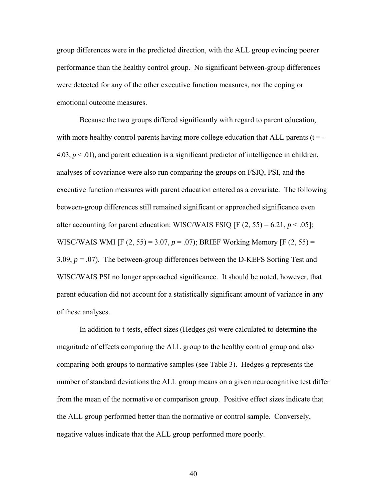group differences were in the predicted direction, with the ALL group evincing poorer performance than the healthy control group. No significant between-group differences were detected for any of the other executive function measures, nor the coping or emotional outcome measures.

Because the two groups differed significantly with regard to parent education, with more healthy control parents having more college education that ALL parents  $(t = -1)$ 4.03,  $p < 0.01$ ), and parent education is a significant predictor of intelligence in children, analyses of covariance were also run comparing the groups on FSIQ, PSI, and the executive function measures with parent education entered as a covariate. The following between-group differences still remained significant or approached significance even after accounting for parent education: WISC/WAIS FSIQ [F  $(2, 55) = 6.21$ ,  $p < .05$ ]; WISC/WAIS WMI [F (2, 55) = 3.07, *p* = .07); BRIEF Working Memory [F (2, 55) = 3.09,  $p = 0.07$ ). The between-group differences between the D-KEFS Sorting Test and WISC/WAIS PSI no longer approached significance. It should be noted, however, that parent education did not account for a statistically significant amount of variance in any of these analyses.

 In addition to t-tests, effect sizes (Hedges *g*s) were calculated to determine the magnitude of effects comparing the ALL group to the healthy control group and also comparing both groups to normative samples (see Table 3). Hedges *g* represents the number of standard deviations the ALL group means on a given neurocognitive test differ from the mean of the normative or comparison group. Positive effect sizes indicate that the ALL group performed better than the normative or control sample. Conversely, negative values indicate that the ALL group performed more poorly.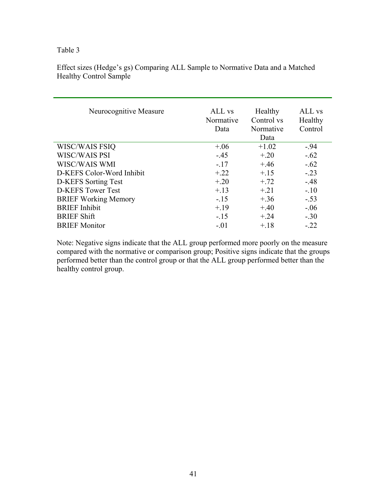Effect sizes (Hedge's gs) Comparing ALL Sample to Normative Data and a Matched Healthy Control Sample

| Neurocognitive Measure      | ALL vs<br>Normative<br>Data | Healthy<br>Control vs<br>Normative<br>Data | ALL vs<br>Healthy<br>Control |
|-----------------------------|-----------------------------|--------------------------------------------|------------------------------|
| WISC/WAIS FSIQ              | $+.06$                      | $+1.02$                                    | $-.94$                       |
| WISC/WAIS PSI               | $-.45$                      | $+.20$                                     | $-.62$                       |
| WISC/WAIS WMI               | $-.17$                      | $+.46$                                     | $-.62$                       |
| D-KEFS Color-Word Inhibit   | $+.22$                      | $+.15$                                     | $-.23$                       |
| D-KEFS Sorting Test         | $+.20$                      | $+.72$                                     | $-.48$                       |
| <b>D-KEFS</b> Tower Test    | $+.13$                      | $+21$                                      | $-.10$                       |
| <b>BRIEF Working Memory</b> | $-.15$                      | $+.36$                                     | $-.53$                       |
| <b>BRIEF</b> Inhibit        | $+.19$                      | $+.40$                                     | $-.06$                       |
| <b>BRIEF Shift</b>          | $-.15$                      | $+.24$                                     | $-.30$                       |
| <b>BRIEF Monitor</b>        | $-.01$                      | $+.18$                                     | $-22$                        |

Note: Negative signs indicate that the ALL group performed more poorly on the measure compared with the normative or comparison group; Positive signs indicate that the groups performed better than the control group or that the ALL group performed better than the healthy control group.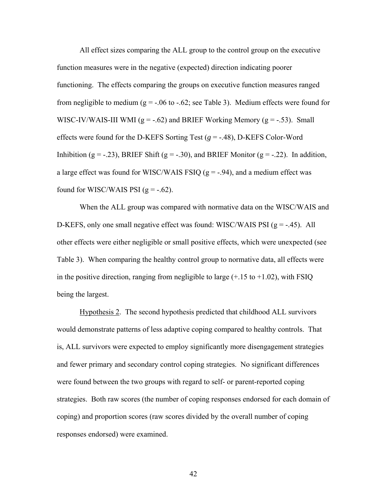All effect sizes comparing the ALL group to the control group on the executive function measures were in the negative (expected) direction indicating poorer functioning. The effects comparing the groups on executive function measures ranged from negligible to medium ( $g = -06$  to  $-0.62$ ; see Table 3). Medium effects were found for WISC-IV/WAIS-III WMI ( $g = -.62$ ) and BRIEF Working Memory ( $g = -.53$ ). Small effects were found for the D-KEFS Sorting Test  $(g = -.48)$ , D-KEFS Color-Word Inhibition (g = -.23), BRIEF Shift (g = -.30), and BRIEF Monitor (g = -.22). In addition, a large effect was found for WISC/WAIS FSIQ ( $g = -0.94$ ), and a medium effect was found for WISC/WAIS PSI  $(g = -.62)$ .

 When the ALL group was compared with normative data on the WISC/WAIS and D-KEFS, only one small negative effect was found: WISC/WAIS PSI  $(g = -0.45)$ . All other effects were either negligible or small positive effects, which were unexpected (see Table 3). When comparing the healthy control group to normative data, all effects were in the positive direction, ranging from negligible to large  $(+.15 \text{ to } +1.02)$ , with FSIQ being the largest.

Hypothesis 2. The second hypothesis predicted that childhood ALL survivors would demonstrate patterns of less adaptive coping compared to healthy controls. That is, ALL survivors were expected to employ significantly more disengagement strategies and fewer primary and secondary control coping strategies. No significant differences were found between the two groups with regard to self- or parent-reported coping strategies. Both raw scores (the number of coping responses endorsed for each domain of coping) and proportion scores (raw scores divided by the overall number of coping responses endorsed) were examined.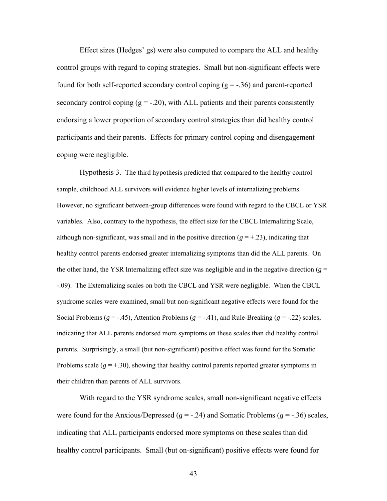Effect sizes (Hedges' gs) were also computed to compare the ALL and healthy control groups with regard to coping strategies. Small but non-significant effects were found for both self-reported secondary control coping  $(g = -.36)$  and parent-reported secondary control coping  $(g = -20)$ , with ALL patients and their parents consistently endorsing a lower proportion of secondary control strategies than did healthy control participants and their parents. Effects for primary control coping and disengagement coping were negligible.

Hypothesis 3. The third hypothesis predicted that compared to the healthy control sample, childhood ALL survivors will evidence higher levels of internalizing problems. However, no significant between-group differences were found with regard to the CBCL or YSR variables. Also, contrary to the hypothesis, the effect size for the CBCL Internalizing Scale, although non-significant, was small and in the positive direction  $(g = +.23)$ , indicating that healthy control parents endorsed greater internalizing symptoms than did the ALL parents. On the other hand, the YSR Internalizing effect size was negligible and in the negative direction ( $g =$ -.09). The Externalizing scales on both the CBCL and YSR were negligible. When the CBCL syndrome scales were examined, small but non-significant negative effects were found for the Social Problems ( $g = -0.45$ ), Attention Problems ( $g = -0.41$ ), and Rule-Breaking ( $g = -0.22$ ) scales, indicating that ALL parents endorsed more symptoms on these scales than did healthy control parents. Surprisingly, a small (but non-significant) positive effect was found for the Somatic Problems scale  $(g = +.30)$ , showing that healthy control parents reported greater symptoms in their children than parents of ALL survivors.

With regard to the YSR syndrome scales, small non-significant negative effects were found for the Anxious/Depressed ( $g = -.24$ ) and Somatic Problems ( $g = -.36$ ) scales, indicating that ALL participants endorsed more symptoms on these scales than did healthy control participants. Small (but on-significant) positive effects were found for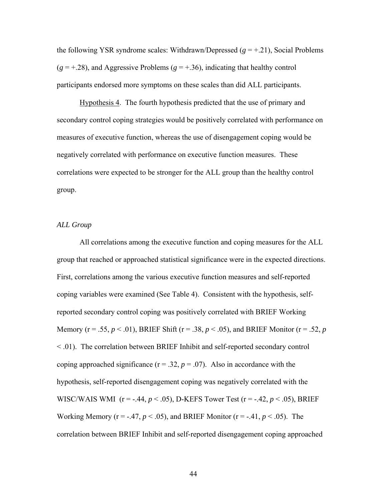the following YSR syndrome scales: Withdrawn/Depressed  $(g = +.21)$ , Social Problems  $(g = +.28)$ , and Aggressive Problems  $(g = +.36)$ , indicating that healthy control participants endorsed more symptoms on these scales than did ALL participants.

Hypothesis 4. The fourth hypothesis predicted that the use of primary and secondary control coping strategies would be positively correlated with performance on measures of executive function, whereas the use of disengagement coping would be negatively correlated with performance on executive function measures. These correlations were expected to be stronger for the ALL group than the healthy control group.

### *ALL Group*

 All correlations among the executive function and coping measures for the ALL group that reached or approached statistical significance were in the expected directions. First, correlations among the various executive function measures and self-reported coping variables were examined (See Table 4). Consistent with the hypothesis, selfreported secondary control coping was positively correlated with BRIEF Working Memory (r = .55, *p* < .01), BRIEF Shift (r = .38, *p* < .05), and BRIEF Monitor (r = .52, *p* < .01). The correlation between BRIEF Inhibit and self-reported secondary control coping approached significance ( $r = .32$ ,  $p = .07$ ). Also in accordance with the hypothesis, self-reported disengagement coping was negatively correlated with the WISC/WAIS WMI  $(r = -.44, p < .05)$ , D-KEFS Tower Test  $(r = -.42, p < .05)$ , BRIEF Working Memory ( $r = -0.47$ ,  $p < 0.05$ ), and BRIEF Monitor ( $r = -0.41$ ,  $p < 0.05$ ). The correlation between BRIEF Inhibit and self-reported disengagement coping approached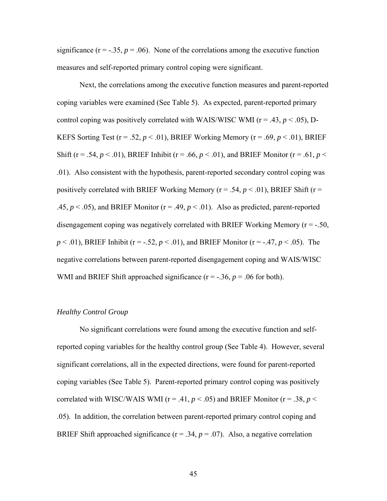significance  $(r = -0.35, p = 0.06)$ . None of the correlations among the executive function measures and self-reported primary control coping were significant.

 Next, the correlations among the executive function measures and parent-reported coping variables were examined (See Table 5). As expected, parent-reported primary control coping was positively correlated with WAIS/WISC WMI ( $r = .43$ ,  $p < .05$ ), D-KEFS Sorting Test ( $r = .52$ ,  $p < .01$ ), BRIEF Working Memory ( $r = .69$ ,  $p < .01$ ), BRIEF Shift (r = .54,  $p < .01$ ), BRIEF Inhibit (r = .66,  $p < .01$ ), and BRIEF Monitor (r = .61,  $p <$ .01). Also consistent with the hypothesis, parent-reported secondary control coping was positively correlated with BRIEF Working Memory ( $r = .54$ ,  $p < .01$ ), BRIEF Shift ( $r =$ .45,  $p < .05$ ), and BRIEF Monitor ( $r = .49$ ,  $p < .01$ ). Also as predicted, parent-reported disengagement coping was negatively correlated with BRIEF Working Memory  $(r = -.50, ...)$ *p* < .01), BRIEF Inhibit ( $r = -0.52$ ,  $p \le 0.01$ ), and BRIEF Monitor ( $r = -0.47$ ,  $p \le 0.05$ ). The negative correlations between parent-reported disengagement coping and WAIS/WISC WMI and BRIEF Shift approached significance  $(r = -0.36, p = 0.06)$  for both).

### *Healthy Control Group*

 No significant correlations were found among the executive function and selfreported coping variables for the healthy control group (See Table 4). However, several significant correlations, all in the expected directions, were found for parent-reported coping variables (See Table 5). Parent-reported primary control coping was positively correlated with WISC/WAIS WMI ( $r = .41$ ,  $p < .05$ ) and BRIEF Monitor ( $r = .38$ ,  $p <$ .05). In addition, the correlation between parent-reported primary control coping and BRIEF Shift approached significance  $(r = .34, p = .07)$ . Also, a negative correlation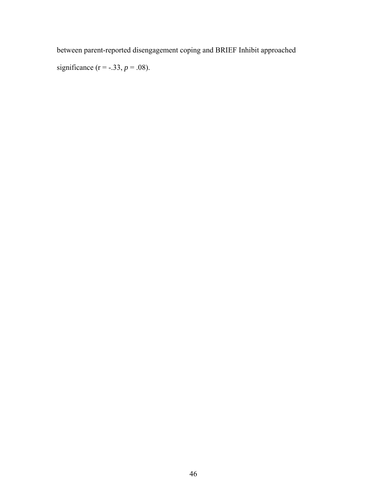between parent-reported disengagement coping and BRIEF Inhibit approached

significance ( $r = -.33, p = .08$ ).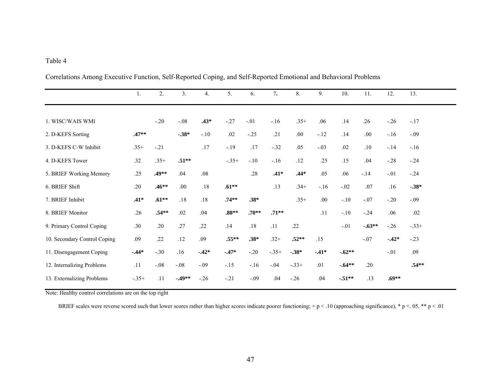|                              | 1.      | 2.       | 3.        | $\overline{4}$ . | 5.       | 6.      | 7.      | 8.      | 9.      | 10.      | 11.      | 12.     | 13.     |
|------------------------------|---------|----------|-----------|------------------|----------|---------|---------|---------|---------|----------|----------|---------|---------|
|                              |         |          |           |                  |          |         |         |         |         |          |          |         |         |
| 1. WISC/WAIS WMI             |         | $-.20$   | $-.08$    | $.43*$           | $-.27$   | $-.01$  | $-16$   | $.35+$  | .06     | .14      | .26      | $-.26$  | $-.17$  |
| 2. D-KEFS Sorting            | $.47**$ |          | $-0.38*$  | $-.10$           | .02      | $-.25$  | .21     | $.00\,$ | $-.12$  | .14      | $.00\,$  | $-16$   | $-.09$  |
| 3. D-KEFS C-W Inhibit        | $.35+$  | $-.21$   |           | .17              | $-.19$   | .17     | $-.32$  | .05     | $-.03$  | .02      | .10      | $-14$   | $-.16$  |
| 4. D-KEFS Tower              | .32     | $.35+$   | $.51**$   |                  | $-.35+$  | $-.10$  | $-.16$  | .12     | .25     | .15      | .04      | $-.28$  | $-.24$  |
| 5. BRIEF Working Memory      | .25     | $.49**$  | .04       | .08              |          | .28     | $.41*$  | $.44*$  | .05     | .06      | $-14$    | $-.01$  | $-.24$  |
| 6. BRIEF Shift               | .20     | $.46**$  | .00       | .18              | $.61***$ |         | .13     | $.34+$  | $-.16$  | $-.02$   | .07      | .16     | $-.38*$ |
| 7. BRIEF Inhibit             | $.41*$  | $.61***$ | .18       | $.18$            | $.74**$  | $.38*$  |         | $.35+$  | .00.    | $-.10$   | $-.07$   | $-.20$  | $-.09$  |
| 8. BRIEF Monitor             | .26     | $.54**$  | .02       | .04              | $.88**$  | $.70**$ | $.71**$ |         | .11     | $-.10$   | $-.24$   | .06     | .02     |
| 9. Primary Control Coping    | .30     | .20      | .27       | .22              | .14      | .18     | .11     | .22     |         | $-.01$   | $-.63**$ | $-26$   | $-.33+$ |
| 10. Secondary Control Coping | .09     | .22      | .12       | .09              | $.55***$ | $.38*$  | $.32+$  | $.52**$ | .15     |          | $-.07$   | $-42*$  | $-.23$  |
| 11. Disengagement Coping     | $-44*$  | $-.30$   | .16       | $-.42*$          | $-47*$   | $-.20$  | $-.35+$ | $-.38*$ | $-.41*$ | $-.62**$ |          | $-.01$  | .09     |
| 12. Internalizing Problems   | .11     | $-.08$   | $-.08$    | $-.09$           | $-.15$   | $-.16$  | $-.04$  | $-.33+$ | .01     | $-64**$  | .20      |         | $.54**$ |
| 13. Externalizing Problems   | $-.35+$ | .11      | $-0.49**$ | $-.26$           | $-.21$   | $-.09$  | .04     | $-.26$  | .04     | $-.51**$ | .13      | $.69**$ |         |

Correlations Among Executive Function, Self-Reported Coping, and Self-Reported Emotional and Behavioral Problems

Note: Healthy control correlations are on the top right

BRIEF scales were reverse scored such that lower scores rather than higher scores indicate poorer functioning; + p < .10 (approaching significance), \* p < .05, \*\* p < .01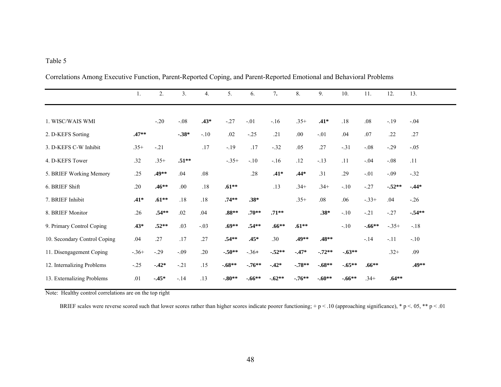|                              |         | 2.       | 3.      |        |          |          | 7.       | 8.       | 9.       | 10.      |          | 12.     |         |
|------------------------------|---------|----------|---------|--------|----------|----------|----------|----------|----------|----------|----------|---------|---------|
|                              | 1.      |          |         | 4.     | 5.       | 6.       |          |          |          |          | 11.      |         | 13.     |
|                              |         |          |         |        |          |          |          |          |          |          |          |         |         |
| 1. WISC/WAIS WMI             |         | $-.20$   | $-.08$  | $.43*$ | $-.27$   | $-.01$   | $-16$    | $.35+$   | $.41*$   | .18      | .08      | $-.19$  | $-.04$  |
| 2. D-KEFS Sorting            | $.47**$ |          | $-.38*$ | $-.10$ | .02      | $-.25$   | .21      | .00.     | $-.01$   | .04      | .07      | .22     | .27     |
| 3. D-KEFS C-W Inhibit        | $.35+$  | $-.21$   |         | .17    | $-.19$   | .17      | $-.32$   | .05      | .27      | $-.31$   | $-.08$   | $-.29$  | $-.05$  |
| 4. D-KEFS Tower              | .32     | $.35+$   | $.51**$ |        | $-.35+$  | $-.10$   | $-16$    | .12      | $-.13$   | .11      | $-.04$   | $-.08$  | .11     |
| 5. BRIEF Working Memory      | .25     | .49**    | .04     | .08    |          | .28      | $.41*$   | $.44*$   | .31      | .29      | $-.01$   | $-.09$  | $-.32$  |
| 6. BRIEF Shift               | .20     | $.46**$  | .00.    | .18    | $.61***$ |          | .13      | $.34+$   | $.34+$   | $-.10$   | $-.27$   | $-52**$ | $-44*$  |
| 7. BRIEF Inhibit             | $.41*$  | $.61***$ | .18     | .18    | $.74**$  | $.38*$   |          | $.35+$   | .08      | .06      | $-.33+$  | .04     | $-.26$  |
| 8. BRIEF Monitor             | .26     | $.54**$  | .02     | .04    | $.88**$  | $.70**$  | $.71**$  |          | $.38*$   | $-.10$   | $-.21$   | $-.27$  | $-54**$ |
| 9. Primary Control Coping    | $.43*$  | $.52**$  | .03     | $-.03$ | $.69**$  | $.54**$  | $.66***$ | $.61***$ |          | $-.10$   | $-.66**$ | $-.35+$ | $-.18$  |
| 10. Secondary Control Coping | .04     | .27      | .17     | .27    | $.54**$  | $.45*$   | .30      | .49**    | $.48**$  |          | $-14$    | $-.11$  | $-.10$  |
| 11. Disengagement Coping     | $-.36+$ | $-.29$   | $-.09$  | .20    | $-.50**$ | $-.36+$  | $-.52**$ | $-.47*$  | $-.72**$ | $-.63**$ |          | $.32+$  | .09     |
| 12. Internalizing Problems   | $-.25$  | $-42*$   | $-.21$  | .15    | $-.68**$ | $-.76**$ | $-.42*$  | $-.78**$ | $-.68**$ | $-.65**$ | $.66**$  |         | .49**   |
| 13. Externalizing Problems   | .01     | $-.45*$  | $-.14$  | .13    | $-.80**$ | $-.66**$ | $-.62**$ | $-76**$  | $-.60**$ | $-.66**$ | $.34+$   | $.64**$ |         |
|                              |         |          |         |        |          |          |          |          |          |          |          |         |         |

Correlations Among Executive Function, Parent-Reported Coping, and Parent-Reported Emotional and Behavioral Problems

Note: Healthy control correlations are on the top right

BRIEF scales were reverse scored such that lower scores rather than higher scores indicate poorer functioning; + p < .10 (approaching significance), \* p < .05, \*\* p < .01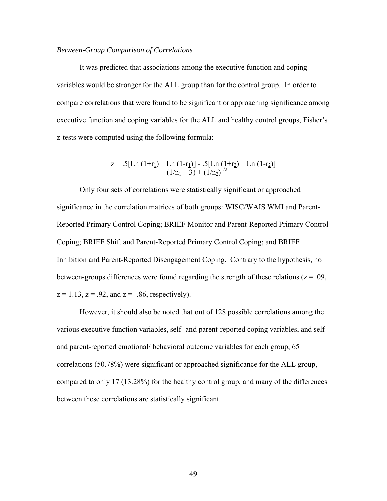### *Between-Group Comparison of Correlations*

It was predicted that associations among the executive function and coping variables would be stronger for the ALL group than for the control group. In order to compare correlations that were found to be significant or approaching significance among executive function and coping variables for the ALL and healthy control groups, Fisher's z-tests were computed using the following formula:

$$
z = .5[\text{Ln}(1+r_1) - \text{Ln}(1-r_1)] - .5[\text{Ln}(1+r_2) - \text{Ln}(1-r_2)]
$$
  

$$
(1/n_1 - 3) + (1/n_2)^{1/2}
$$

Only four sets of correlations were statistically significant or approached significance in the correlation matrices of both groups: WISC/WAIS WMI and Parent-Reported Primary Control Coping; BRIEF Monitor and Parent-Reported Primary Control Coping; BRIEF Shift and Parent-Reported Primary Control Coping; and BRIEF Inhibition and Parent-Reported Disengagement Coping. Contrary to the hypothesis, no between-groups differences were found regarding the strength of these relations ( $z = .09$ ,  $z = 1.13$ ,  $z = .92$ , and  $z = -.86$ , respectively).

However, it should also be noted that out of 128 possible correlations among the various executive function variables, self- and parent-reported coping variables, and selfand parent-reported emotional/ behavioral outcome variables for each group, 65 correlations (50.78%) were significant or approached significance for the ALL group, compared to only 17 (13.28%) for the healthy control group, and many of the differences between these correlations are statistically significant.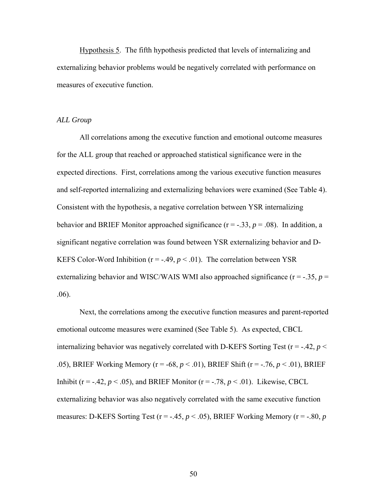Hypothesis 5. The fifth hypothesis predicted that levels of internalizing and externalizing behavior problems would be negatively correlated with performance on measures of executive function.

### *ALL Group*

All correlations among the executive function and emotional outcome measures for the ALL group that reached or approached statistical significance were in the expected directions. First, correlations among the various executive function measures and self-reported internalizing and externalizing behaviors were examined (See Table 4). Consistent with the hypothesis, a negative correlation between YSR internalizing behavior and BRIEF Monitor approached significance  $(r = -.33, p = .08)$ . In addition, a significant negative correlation was found between YSR externalizing behavior and D-KEFS Color-Word Inhibition ( $r = -.49$ ,  $p < .01$ ). The correlation between YSR externalizing behavior and WISC/WAIS WMI also approached significance  $(r = -.35, p =$ .06).

Next, the correlations among the executive function measures and parent-reported emotional outcome measures were examined (See Table 5). As expected, CBCL internalizing behavior was negatively correlated with D-KEFS Sorting Test ( $r = -.42$ ,  $p <$ .05), BRIEF Working Memory (r = -68, *p* < .01), BRIEF Shift (r = -.76, *p* < .01), BRIEF Inhibit ( $r = -0.42$ ,  $p < 0.05$ ), and BRIEF Monitor ( $r = -0.78$ ,  $p < 0.01$ ). Likewise, CBCL externalizing behavior was also negatively correlated with the same executive function measures: D-KEFS Sorting Test ( $r = -.45$ ,  $p < .05$ ), BRIEF Working Memory ( $r = -.80$ ,  $p$ )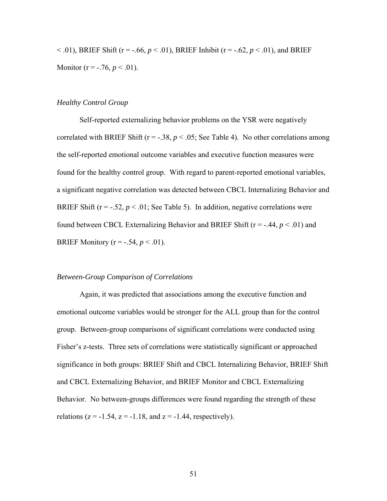$<$  0.01), BRIEF Shift (r = -.66,  $p < 0.01$ ), BRIEF Inhibit (r = -.62,  $p < 0.01$ ), and BRIEF Monitor ( $r = -.76$ ,  $p < .01$ ).

### *Healthy Control Group*

 Self-reported externalizing behavior problems on the YSR were negatively correlated with BRIEF Shift ( $r = -0.38$ ,  $p < 0.05$ ; See Table 4). No other correlations among the self-reported emotional outcome variables and executive function measures were found for the healthy control group. With regard to parent-reported emotional variables, a significant negative correlation was detected between CBCL Internalizing Behavior and BRIEF Shift ( $r = -0.52$ ,  $p < 0.01$ ; See Table 5). In addition, negative correlations were found between CBCL Externalizing Behavior and BRIEF Shift ( $r = -0.44$ ,  $p < 0.01$ ) and **BRIEF Monitory (** $r = -.54, p < .01$ **).** 

### *Between-Group Comparison of Correlations*

Again, it was predicted that associations among the executive function and emotional outcome variables would be stronger for the ALL group than for the control group. Between-group comparisons of significant correlations were conducted using Fisher's z-tests. Three sets of correlations were statistically significant or approached significance in both groups: BRIEF Shift and CBCL Internalizing Behavior, BRIEF Shift and CBCL Externalizing Behavior, and BRIEF Monitor and CBCL Externalizing Behavior. No between-groups differences were found regarding the strength of these relations ( $z = -1.54$ ,  $z = -1.18$ , and  $z = -1.44$ , respectively).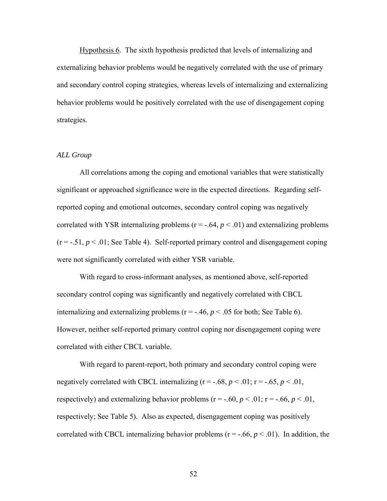Hypothesis 6. The sixth hypothesis predicted that levels of internalizing and externalizing behavior problems would be negatively correlated with the use of primary and secondary control coping strategies, whereas levels of internalizing and externalizing behavior problems would be positively correlated with the use of disengagement coping strategies.

### *ALL Group*

All correlations among the coping and emotional variables that were statistically significant or approached significance were in the expected directions. Regarding selfreported coping and emotional outcomes, secondary control coping was negatively correlated with YSR internalizing problems  $(r = -.64, p < .01)$  and externalizing problems  $(r = -.51, p < .01$ ; See Table 4). Self-reported primary control and disengagement coping were not significantly correlated with either YSR variable.

With regard to cross-informant analyses, as mentioned above, self-reported secondary control coping was significantly and negatively correlated with CBCL internalizing and externalizing problems ( $r = -0.46$ ,  $p < 0.05$  for both; See Table 6). However, neither self-reported primary control coping nor disengagement coping were correlated with either CBCL variable.

 With regard to parent-report, both primary and secondary control coping were negatively correlated with CBCL internalizing  $(r = -.68, p < .01; r = -.65, p < .01,$ respectively) and externalizing behavior problems ( $r = -.60$ ,  $p < .01$ ;  $r = -.66$ ,  $p < .01$ , respectively; See Table 5). Also as expected, disengagement coping was positively correlated with CBCL internalizing behavior problems ( $r = -0.6$ ,  $p < 0.01$ ). In addition, the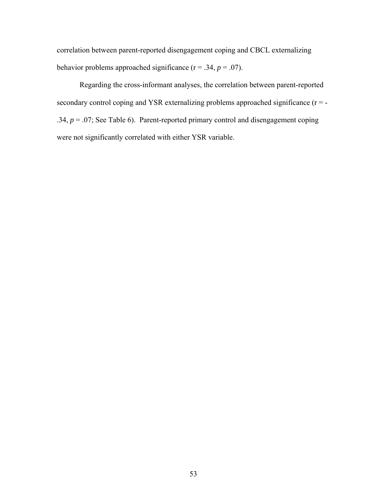correlation between parent-reported disengagement coping and CBCL externalizing behavior problems approached significance  $(r = .34, p = .07)$ .

Regarding the cross-informant analyses, the correlation between parent-reported secondary control coping and YSR externalizing problems approached significance  $(r = -$ .34,  $p = .07$ ; See Table 6). Parent-reported primary control and disengagement coping were not significantly correlated with either YSR variable.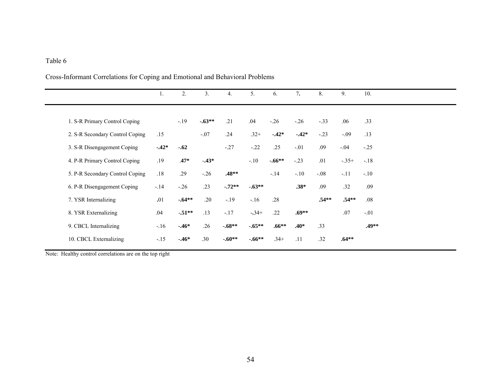# Cross-Informant Correlations for Coping and Emotional and Behavioral Problems

|                                 | 1.      | 2.      | 3.      | 4.       | 5.       | 6.       | 7.      | 8.      | 9.      | 10.     |
|---------------------------------|---------|---------|---------|----------|----------|----------|---------|---------|---------|---------|
|                                 |         |         |         |          |          |          |         |         |         |         |
| 1. S-R Primary Control Coping   |         | $-.19$  | $-63**$ | .21      | .04      | $-.26$   | $-.26$  | $-.33$  | .06     | .33     |
| 2. S-R Secondary Control Coping | .15     |         | $-.07$  | .24      | $.32+$   | $-42*$   | $-42*$  | $-.23$  | $-.09$  | .13     |
| 3. S-R Disengagement Coping     | $-.42*$ | $-.62$  |         | $-.27$   | $-.22$   | .25      | $-.01$  | .09     | $-.04$  | $-.25$  |
| 4. P-R Primary Control Coping   | .19     | $.47*$  | $-.43*$ |          | $-.10$   | $-.66**$ | $-.23$  | .01     | $-.35+$ | $-.18$  |
| 5. P-R Secondary Control Coping | .18     | .29     | $-.26$  | $.48**$  |          | $-14$    | $-.10$  | $-.08$  | $-11$   | $-.10$  |
| 6. P-R Disengagement Coping     | $-.14$  | $-.26$  | .23     | $-.72**$ | $-.63**$ |          | $.38*$  | .09     | .32     | .09     |
| 7. YSR Internalizing            | .01     | $-64**$ | .20     | $-19$    | $-16$    | .28      |         | $.54**$ | $.54**$ | .08     |
| 8. YSR Externalizing            | .04     | $-51**$ | .13     | $-.17$   | $-34+$   | .22      | $.69**$ |         | .07     | $-.01$  |
| 9. CBCL Internalizing           | $-.16$  | $-.46*$ | .26     | $-68**$  | $-.65**$ | $.66**$  | $.40*$  | .33     |         | $.49**$ |
| 10. CBCL Externalizing          | $-.15$  | $-46*$  | .30     | $-.60**$ | $-.66**$ | $.34+$   | .11     | .32     | $.64**$ |         |

Note: Healthy control correlations are on the top right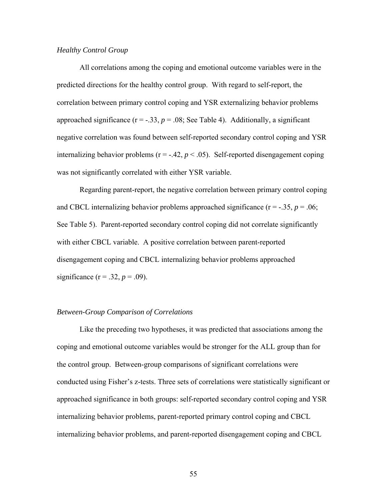## *Healthy Control Group*

 All correlations among the coping and emotional outcome variables were in the predicted directions for the healthy control group. With regard to self-report, the correlation between primary control coping and YSR externalizing behavior problems approached significance ( $r = -0.33$ ,  $p = 0.08$ ; See Table 4). Additionally, a significant negative correlation was found between self-reported secondary control coping and YSR internalizing behavior problems ( $r = -.42$ ,  $p < .05$ ). Self-reported disengagement coping was not significantly correlated with either YSR variable.

 Regarding parent-report, the negative correlation between primary control coping and CBCL internalizing behavior problems approached significance  $(r = -.35, p = .06;$ See Table 5). Parent-reported secondary control coping did not correlate significantly with either CBCL variable. A positive correlation between parent-reported disengagement coping and CBCL internalizing behavior problems approached significance ( $r = .32$ ,  $p = .09$ ).

### *Between-Group Comparison of Correlations*

Like the preceding two hypotheses, it was predicted that associations among the coping and emotional outcome variables would be stronger for the ALL group than for the control group. Between-group comparisons of significant correlations were conducted using Fisher's z-tests. Three sets of correlations were statistically significant or approached significance in both groups: self-reported secondary control coping and YSR internalizing behavior problems, parent-reported primary control coping and CBCL internalizing behavior problems, and parent-reported disengagement coping and CBCL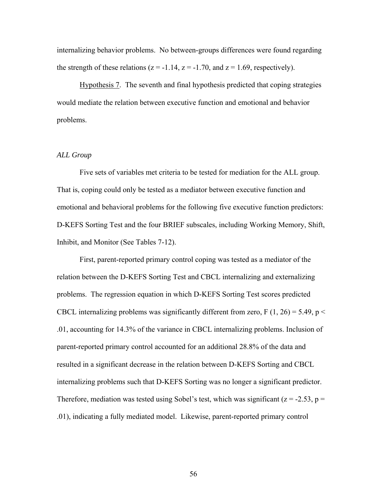internalizing behavior problems. No between-groups differences were found regarding the strength of these relations ( $z = -1.14$ ,  $z = -1.70$ , and  $z = 1.69$ , respectively).

Hypothesis 7. The seventh and final hypothesis predicted that coping strategies would mediate the relation between executive function and emotional and behavior problems.

### *ALL Group*

Five sets of variables met criteria to be tested for mediation for the ALL group. That is, coping could only be tested as a mediator between executive function and emotional and behavioral problems for the following five executive function predictors: D-KEFS Sorting Test and the four BRIEF subscales, including Working Memory, Shift, Inhibit, and Monitor (See Tables 7-12).

First, parent-reported primary control coping was tested as a mediator of the relation between the D-KEFS Sorting Test and CBCL internalizing and externalizing problems. The regression equation in which D-KEFS Sorting Test scores predicted CBCL internalizing problems was significantly different from zero,  $F(1, 26) = 5.49$ ,  $p <$ .01, accounting for 14.3% of the variance in CBCL internalizing problems. Inclusion of parent-reported primary control accounted for an additional 28.8% of the data and resulted in a significant decrease in the relation between D-KEFS Sorting and CBCL internalizing problems such that D-KEFS Sorting was no longer a significant predictor. Therefore, mediation was tested using Sobel's test, which was significant ( $z = -2.53$ ,  $p =$ .01), indicating a fully mediated model. Likewise, parent-reported primary control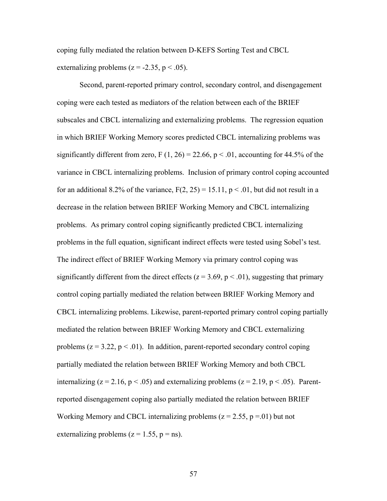coping fully mediated the relation between D-KEFS Sorting Test and CBCL externalizing problems ( $z = -2.35$ ,  $p < .05$ ).

Second, parent-reported primary control, secondary control, and disengagement coping were each tested as mediators of the relation between each of the BRIEF subscales and CBCL internalizing and externalizing problems. The regression equation in which BRIEF Working Memory scores predicted CBCL internalizing problems was significantly different from zero, F  $(1, 26) = 22.66$ , p < .01, accounting for 44.5% of the variance in CBCL internalizing problems. Inclusion of primary control coping accounted for an additional 8.2% of the variance,  $F(2, 25) = 15.11$ ,  $p < .01$ , but did not result in a decrease in the relation between BRIEF Working Memory and CBCL internalizing problems. As primary control coping significantly predicted CBCL internalizing problems in the full equation, significant indirect effects were tested using Sobel's test. The indirect effect of BRIEF Working Memory via primary control coping was significantly different from the direct effects ( $z = 3.69$ ,  $p < .01$ ), suggesting that primary control coping partially mediated the relation between BRIEF Working Memory and CBCL internalizing problems. Likewise, parent-reported primary control coping partially mediated the relation between BRIEF Working Memory and CBCL externalizing problems  $(z = 3.22, p < .01)$ . In addition, parent-reported secondary control coping partially mediated the relation between BRIEF Working Memory and both CBCL internalizing ( $z = 2.16$ ,  $p < .05$ ) and externalizing problems ( $z = 2.19$ ,  $p < .05$ ). Parentreported disengagement coping also partially mediated the relation between BRIEF Working Memory and CBCL internalizing problems  $(z = 2.55, p = .01)$  but not externalizing problems ( $z = 1.55$ ,  $p = ns$ ).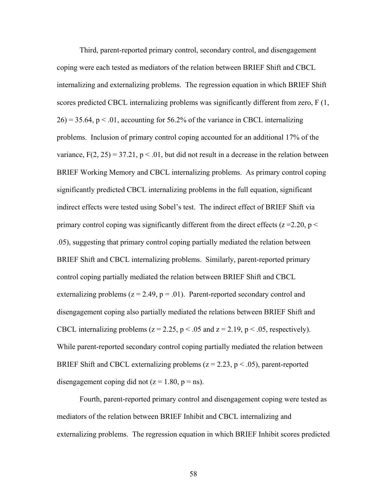Third, parent-reported primary control, secondary control, and disengagement coping were each tested as mediators of the relation between BRIEF Shift and CBCL internalizing and externalizing problems. The regression equation in which BRIEF Shift scores predicted CBCL internalizing problems was significantly different from zero, F (1,  $26$ ) = 35.64, p < .01, accounting for 56.2% of the variance in CBCL internalizing problems. Inclusion of primary control coping accounted for an additional 17% of the variance,  $F(2, 25) = 37.21$ ,  $p < .01$ , but did not result in a decrease in the relation between BRIEF Working Memory and CBCL internalizing problems. As primary control coping significantly predicted CBCL internalizing problems in the full equation, significant indirect effects were tested using Sobel's test. The indirect effect of BRIEF Shift via primary control coping was significantly different from the direct effects ( $z = 2.20$ ,  $p <$ .05), suggesting that primary control coping partially mediated the relation between BRIEF Shift and CBCL internalizing problems. Similarly, parent-reported primary control coping partially mediated the relation between BRIEF Shift and CBCL externalizing problems  $(z = 2.49, p = .01)$ . Parent-reported secondary control and disengagement coping also partially mediated the relations between BRIEF Shift and CBCL internalizing problems ( $z = 2.25$ ,  $p < .05$  and  $z = 2.19$ ,  $p < .05$ , respectively). While parent-reported secondary control coping partially mediated the relation between BRIEF Shift and CBCL externalizing problems ( $z = 2.23$ ,  $p < .05$ ), parent-reported disengagement coping did not  $(z = 1.80, p = ns)$ .

Fourth, parent-reported primary control and disengagement coping were tested as mediators of the relation between BRIEF Inhibit and CBCL internalizing and externalizing problems. The regression equation in which BRIEF Inhibit scores predicted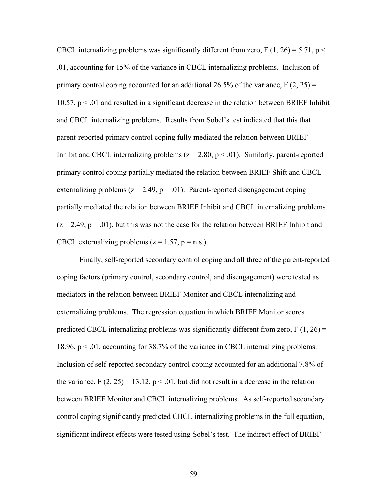CBCL internalizing problems was significantly different from zero, F (1, 26) = 5.71, p  $\le$ .01, accounting for 15% of the variance in CBCL internalizing problems. Inclusion of primary control coping accounted for an additional 26.5% of the variance,  $F(2, 25) =$ 10.57,  $p < 01$  and resulted in a significant decrease in the relation between BRIEF Inhibit and CBCL internalizing problems. Results from Sobel's test indicated that this that parent-reported primary control coping fully mediated the relation between BRIEF Inhibit and CBCL internalizing problems  $(z = 2.80, p < .01)$ . Similarly, parent-reported primary control coping partially mediated the relation between BRIEF Shift and CBCL externalizing problems  $(z = 2.49, p = .01)$ . Parent-reported disengagement coping partially mediated the relation between BRIEF Inhibit and CBCL internalizing problems  $(z = 2.49, p = .01)$ , but this was not the case for the relation between BRIEF Inhibit and CBCL externalizing problems  $(z = 1.57, p = n.s.).$ 

 Finally, self-reported secondary control coping and all three of the parent-reported coping factors (primary control, secondary control, and disengagement) were tested as mediators in the relation between BRIEF Monitor and CBCL internalizing and externalizing problems. The regression equation in which BRIEF Monitor scores predicted CBCL internalizing problems was significantly different from zero,  $F(1, 26) =$ 18.96, p < .01, accounting for 38.7% of the variance in CBCL internalizing problems. Inclusion of self-reported secondary control coping accounted for an additional 7.8% of the variance,  $F(2, 25) = 13.12$ ,  $p < .01$ , but did not result in a decrease in the relation between BRIEF Monitor and CBCL internalizing problems. As self-reported secondary control coping significantly predicted CBCL internalizing problems in the full equation, significant indirect effects were tested using Sobel's test. The indirect effect of BRIEF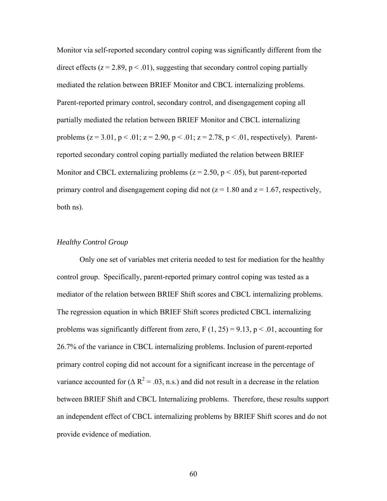Monitor via self-reported secondary control coping was significantly different from the direct effects  $(z = 2.89, p < .01)$ , suggesting that secondary control coping partially mediated the relation between BRIEF Monitor and CBCL internalizing problems. Parent-reported primary control, secondary control, and disengagement coping all partially mediated the relation between BRIEF Monitor and CBCL internalizing problems ( $z = 3.01$ ,  $p < .01$ ;  $z = 2.90$ ,  $p < .01$ ;  $z = 2.78$ ,  $p < .01$ , respectively). Parentreported secondary control coping partially mediated the relation between BRIEF Monitor and CBCL externalizing problems ( $z = 2.50$ ,  $p < .05$ ), but parent-reported primary control and disengagement coping did not ( $z = 1.80$  and  $z = 1.67$ , respectively, both ns).

## *Healthy Control Group*

Only one set of variables met criteria needed to test for mediation for the healthy control group. Specifically, parent-reported primary control coping was tested as a mediator of the relation between BRIEF Shift scores and CBCL internalizing problems. The regression equation in which BRIEF Shift scores predicted CBCL internalizing problems was significantly different from zero,  $F(1, 25) = 9.13$ ,  $p < .01$ , accounting for 26.7% of the variance in CBCL internalizing problems. Inclusion of parent-reported primary control coping did not account for a significant increase in the percentage of variance accounted for ( $\Delta R^2 = .03$ , n.s.) and did not result in a decrease in the relation between BRIEF Shift and CBCL Internalizing problems. Therefore, these results support an independent effect of CBCL internalizing problems by BRIEF Shift scores and do not provide evidence of mediation.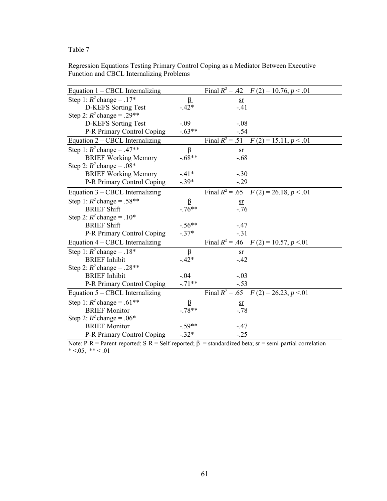# Regression Equations Testing Primary Control Coping as a Mediator Between Executive Function and CBCL Internalizing Problems

| Equation $1 - \text{CBCL}$ Internalizing |          | Final $R^2$ = .42 $F(2)$ = 10.76, $p < .01$ |
|------------------------------------------|----------|---------------------------------------------|
| Step 1: $R^2$ change = .17*              | $\beta$  | <u>sr</u>                                   |
| D-KEFS Sorting Test                      | $-.42*$  | $-41$                                       |
| Step 2: $R^2$ change = .29**             |          |                                             |
| <b>D-KEFS</b> Sorting Test               | $-.09$   | $-.08$                                      |
| P-R Primary Control Coping               | $-.63**$ | $-.54$                                      |
| Equation 2 – CBCL Internalizing          |          | Final $R^2$ = .51 $F(2)$ = 15.11, $p < .01$ |
| Step 1: $R^2$ change = .47**             | $\beta$  | sr                                          |
| <b>BRIEF Working Memory</b>              | $-.68**$ | $-0.68$                                     |
| Step 2: $R^2$ change = .08*              |          |                                             |
| <b>BRIEF Working Memory</b>              | $-41*$   | $-.30$                                      |
| P-R Primary Control Coping               | $-.39*$  | $-.29$                                      |
| Equation 3 – CBCL Internalizing          |          | Final $R^2$ = .65 $F(2)$ = 26.18, $p < .01$ |
| Step 1: $R^2$ change = .58**             | $\beta$  | $\overline{\text{sr}}$                      |
| <b>BRIEF Shift</b>                       | $-76**$  | $-.76$                                      |
| Step 2: $R^2$ change = .10*              |          |                                             |
| <b>BRIEF Shift</b>                       | $-.56**$ | $-.47$                                      |
| P-R Primary Control Coping               | $-.37*$  | $-.31$                                      |
| Equation 4 – CBCL Internalizing          |          | Final $R^2$ = .46 $F(2)$ = 10.57, $p < 01$  |
| Step 1: $R^2$ change = .18*              | β        | <u>sr</u>                                   |
| <b>BRIEF</b> Inhibit                     | $-.42*$  | $-42$                                       |
| Step 2: $R^2$ change = .28**             |          |                                             |
| <b>BRIEF</b> Inhibit                     | $-.04$   | $-.03$                                      |
| P-R Primary Control Coping               | $-71**$  | $-.53$                                      |
| Equation 5 – CBCL Internalizing          |          | Final $R^2$ = .65 $F(2)$ = 26.23, p < 01    |
| Step 1: $R^2$ change = .61**             | $\beta$  | sr                                          |
| <b>BRIEF Monitor</b>                     | $-.78**$ | $-.78$                                      |
| Step 2: $R^2$ change = .06*              |          |                                             |
| <b>BRIEF Monitor</b>                     | $-.59**$ | $-.47$                                      |
| P-R Primary Control Coping               | $-.32*$  | $-.25$                                      |

Note: P-R = Parent-reported; S-R = Self-reported;  $β$  = standardized beta; sr = semi-partial correlation \*  $< .05,$  \*\*  $< .01$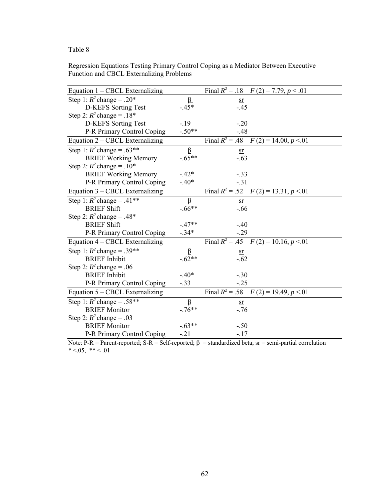# Regression Equations Testing Primary Control Coping as a Mediator Between Executive Function and CBCL Externalizing Problems

| Equation 1 – CBCL Externalizing |          | Final $R^2$ = .18 $F(2) = 7.79, p < .01$            |
|---------------------------------|----------|-----------------------------------------------------|
| Step 1: $R^2$ change = .20*     | $\beta$  | $sr$                                                |
| <b>D-KEFS</b> Sorting Test      | $-.45*$  | $-.45$                                              |
| Step 2: $R^2$ change = .18*     |          |                                                     |
| <b>D-KEFS</b> Sorting Test      | $-19$    | $-.20$                                              |
| P-R Primary Control Coping      | $-.50**$ | $-48$                                               |
| Equation 2 – CBCL Externalizing |          | Final $R^2 = .48$ $\overline{F}(2) = 14.00, p < 01$ |
| Step 1: $R^2$ change = .63**    | $\beta$  | sr                                                  |
| <b>BRIEF Working Memory</b>     | $-.65**$ | $-.63$                                              |
| Step 2: $R^2$ change = .10*     |          |                                                     |
| <b>BRIEF Working Memory</b>     | $-.42*$  | $-.33$                                              |
| P-R Primary Control Coping      | $-.40*$  | $-.31$                                              |
| Equation 3 – CBCL Externalizing |          | Final $R^2 = .52$ $F(2) = 13.31, p < 01$            |
| Step 1: $R^2$ change = .41**    | $\beta$  | $\overline{\text{sr}}$                              |
| <b>BRIEF Shift</b>              | $-.66**$ | $-.66$                                              |
| Step 2: $R^2$ change = .48*     |          |                                                     |
| <b>BRIEF Shift</b>              | $-47**$  | $-40$                                               |
| P-R Primary Control Coping      | $-.34*$  | $-.29$                                              |
| Equation 4 – CBCL Externalizing |          | Final $R^2$ = .45 $F(2)$ = 10.16, $p < 01$          |
| Step 1: $R^2$ change = .39**    | β        | $\overline{\text{sr}}$                              |
| <b>BRIEF</b> Inhibit            | $-.62**$ | $-.62$                                              |
| Step 2: $R^2$ change = .06      |          |                                                     |
| <b>BRIEF</b> Inhibit            | $-.40*$  | $-.30$                                              |
| P-R Primary Control Coping      | $-.33$   | $-.25$                                              |
| Equation 5 – CBCL Externalizing |          | Final $R^2 = .58$ $F(2) = 19.49, p < 01$            |
| Step 1: $R^2$ change = .58**    | β        | $sr$                                                |
| <b>BRIEF Monitor</b>            | $-76**$  | $-.76$                                              |
| Step 2: $R^2$ change = .03      |          |                                                     |
| <b>BRIEF Monitor</b>            | $-63**$  | $-.50$                                              |
| P-R Primary Control Coping      | $-.21$   | $-17$                                               |

Note: P-R = Parent-reported; S-R = Self-reported; β = standardized beta; sr = semi-partial correlation  $* < 0.05, ** < 0.01$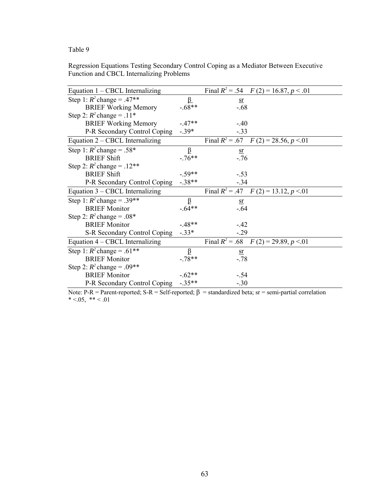# Regression Equations Testing Secondary Control Coping as a Mediator Between Executive Function and CBCL Internalizing Problems

| Equation $1 - \text{CBCL}$ Internalizing |          | Final $R^2$ = .54 $F(2)$ = 16.87, $p < .01$          |
|------------------------------------------|----------|------------------------------------------------------|
| Step 1: $R^2$ change = .47**             | <u>ß</u> | $\overline{\text{sr}}$                               |
| <b>BRIEF Working Memory</b>              | $-.68**$ | $-0.68$                                              |
| Step 2: $R^2$ change = .11*              |          |                                                      |
| <b>BRIEF Working Memory</b>              | $-.47**$ | $-.40$                                               |
| P-R Secondary Control Coping             | $-.39*$  | $-.33$                                               |
| Equation 2 – CBCL Internalizing          |          | Final $R^2$ = .67 $F(2)$ = 28.56, $p < 01$           |
| Step 1: $R^2$ change = .58*              | β        | sr                                                   |
| <b>BRIEF Shift</b>                       | $-.76**$ | $-76$                                                |
| Step 2: $R^2$ change = .12**             |          |                                                      |
| <b>BRIEF Shift</b>                       | $-.59**$ | $-.53$                                               |
| P-R Secondary Control Coping             | $-.38**$ | $-.34$                                               |
| Equation 3 – CBCL Internalizing          |          | Final $R^2 = .47$ $\overline{F}(2) = 13.12, p < .01$ |
| Step 1: $R^2$ change = .39**             | $\beta$  | $\overline{\text{sr}}$                               |
| <b>BRIEF Monitor</b>                     | $-.64**$ | $-.64$                                               |
| Step 2: $R^2$ change = .08*              |          |                                                      |
| <b>BRIEF Monitor</b>                     | $-.48**$ | $-.42$                                               |
| S-R Secondary Control Coping             | $-.33*$  | $-.29$                                               |
| Equation 4 – CBCL Internalizing          |          | Final $R^2$ = .68 $F(2)$ = 29.89, $p < 01$           |
| Step 1: $R^2$ change = .61**             | β        | <u>sr</u>                                            |
| <b>BRIEF Monitor</b>                     | $-78**$  | $-.78$                                               |
| Step 2: $R^2$ change = .09**             |          |                                                      |
| <b>BRIEF Monitor</b>                     | $-.62**$ | $-.54$                                               |
| P-R Secondary Control Coping             | $-.35**$ | $-.30$                                               |

Note: P-R = Parent-reported; S-R = Self-reported;  $\beta$  = standardized beta; sr = semi-partial correlation  $* < 0.05, ** < 0.01$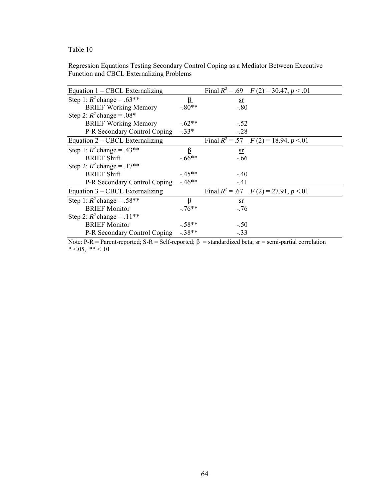Regression Equations Testing Secondary Control Coping as a Mediator Between Executive Function and CBCL Externalizing Problems

| Equation 1 – CBCL Externalizing    |          | Final $R^2 = .69$ $F(2) = 30.47, p < .01$  |  |
|------------------------------------|----------|--------------------------------------------|--|
| Step 1: $R^2$ change = .63**       | <u>ß</u> | $\mathbf{S}$ r                             |  |
| <b>BRIEF Working Memory</b>        | $-.80**$ | $-.80$                                     |  |
| Step 2: $R^2$ change = .08*        |          |                                            |  |
| <b>BRIEF Working Memory</b>        | $-.62**$ | $-52$                                      |  |
| P-R Secondary Control Coping -.33* |          | $-.28$                                     |  |
| Equation 2 – CBCL Externalizing    |          | Final $R^2 = .57$ $F(2) = 18.94, p < .01$  |  |
| Step 1: $R^2$ change = .43**       | β        | <u>sr</u>                                  |  |
| <b>BRIEF Shift</b>                 | $-.66**$ | $-.66$                                     |  |
| Step 2: $R^2$ change = .17**       |          |                                            |  |
| <b>BRIEF Shift</b>                 | $-45**$  | $-.40$                                     |  |
| P-R Secondary Control Coping       | $-46**$  | $-41$                                      |  |
| Equation 3 – CBCL Externalizing    |          | Final $R^2$ = .67 $F(2)$ = 27.91, $p < 01$ |  |
| Step 1: $R^2$ change = .58**       | β        | <u>sr</u>                                  |  |
| <b>BRIEF Monitor</b>               | $-76***$ | $-76$                                      |  |
| Step 2: $R^2$ change = .11**       |          |                                            |  |
| <b>BRIEF Monitor</b>               | $-.58**$ | $-.50$                                     |  |
| P-R Secondary Control Coping       | $-.38**$ | $-.33$                                     |  |

Note: P-R = Parent-reported; S-R = Self-reported;  $β$  = standardized beta; sr = semi-partial correlation  $* < 0.05, ** < 0.01$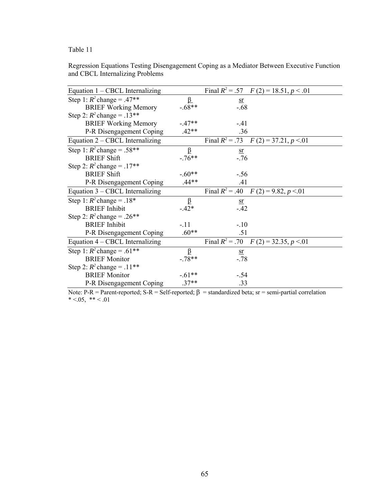|                                 | Regression Equations Testing Disengagement Coping as a Mediator Between Executive Function |  |  |
|---------------------------------|--------------------------------------------------------------------------------------------|--|--|
| and CBCL Internalizing Problems |                                                                                            |  |  |

Note: P-R = Parent-reported; S-R = Self-reported;  $\beta$  = standardized beta; sr = semi-partial correlation  $* < 0.05, ** < 0.01$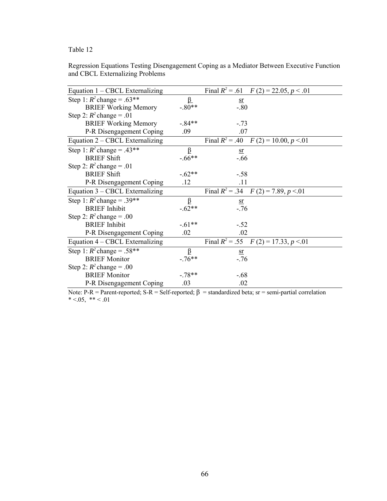|                                 | Regression Equations Testing Disengagement Coping as a Mediator Between Executive Function |  |  |
|---------------------------------|--------------------------------------------------------------------------------------------|--|--|
| and CBCL Externalizing Problems |                                                                                            |  |  |

| Equation 1 – CBCL Externalizing |          | Final $R^2$ = .61 $F(2)$ = 22.05, $p < .01$ |
|---------------------------------|----------|---------------------------------------------|
| Step 1: $R^2$ change = .63**    | <u>ß</u> | <u>sr</u>                                   |
| <b>BRIEF Working Memory</b>     | $-.80**$ | $-.80$                                      |
| Step 2: $R^2$ change = .01      |          |                                             |
| <b>BRIEF Working Memory</b>     | $-.84**$ | $-.73$                                      |
| P-R Disengagement Coping        | .09      | .07                                         |
| Equation 2 – CBCL Externalizing |          | Final $R^2$ = .40 $F(2)$ = 10.00, $p < 01$  |
| Step 1: $R^2$ change = .43**    | $\beta$  | sr                                          |
| <b>BRIEF Shift</b>              | $-.66**$ | $-0.66$                                     |
| Step 2: $R^2$ change = .01      |          |                                             |
| <b>BRIEF Shift</b>              | $-.62**$ | $-.58$                                      |
| P-R Disengagement Coping        | .12      | .11                                         |
| Equation 3 – CBCL Externalizing |          | Final $R^2 = .34$ $F(2) = 7.89, p < .01$    |
| Step 1: $R^2$ change = .39**    | β        | $\mathbf{S}$ r                              |
| <b>BRIEF</b> Inhibit            | $-.62**$ | $-.76$                                      |
| Step 2: $R^2$ change = .00      |          |                                             |
| <b>BRIEF</b> Inhibit            | $-.61**$ | $-.52$                                      |
| P-R Disengagement Coping        | .02      | .02                                         |
| Equation 4 – CBCL Externalizing |          | Final $R^2$ = .55 $F(2)$ = 17.33, $p < 01$  |
| Step 1: $R^2$ change = .58**    | β        | <u>sr</u>                                   |
| <b>BRIEF Monitor</b>            | $-76**$  | $-.76$                                      |
| Step 2: $R^2$ change = .00      |          |                                             |
| <b>BRIEF Monitor</b>            | $-78**$  | $-68$                                       |
| P-R Disengagement Coping        | .03      | .02                                         |

Note: P-R = Parent-reported; S-R = Self-reported;  $\beta$  = standardized beta; sr = semi-partial correlation  $* < 0.05, ** < 0.01$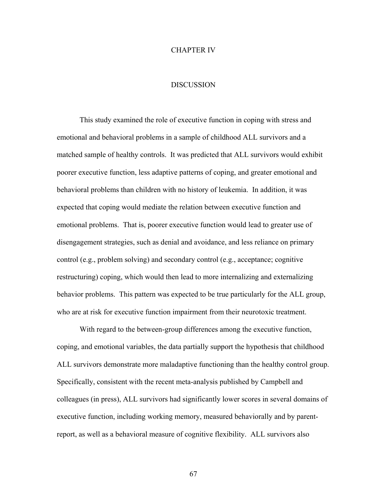## CHAPTER IV

# **DISCUSSION**

 This study examined the role of executive function in coping with stress and emotional and behavioral problems in a sample of childhood ALL survivors and a matched sample of healthy controls. It was predicted that ALL survivors would exhibit poorer executive function, less adaptive patterns of coping, and greater emotional and behavioral problems than children with no history of leukemia. In addition, it was expected that coping would mediate the relation between executive function and emotional problems. That is, poorer executive function would lead to greater use of disengagement strategies, such as denial and avoidance, and less reliance on primary control (e.g., problem solving) and secondary control (e.g., acceptance; cognitive restructuring) coping, which would then lead to more internalizing and externalizing behavior problems. This pattern was expected to be true particularly for the ALL group, who are at risk for executive function impairment from their neurotoxic treatment.

With regard to the between-group differences among the executive function, coping, and emotional variables, the data partially support the hypothesis that childhood ALL survivors demonstrate more maladaptive functioning than the healthy control group. Specifically, consistent with the recent meta-analysis published by Campbell and colleagues (in press), ALL survivors had significantly lower scores in several domains of executive function, including working memory, measured behaviorally and by parentreport, as well as a behavioral measure of cognitive flexibility. ALL survivors also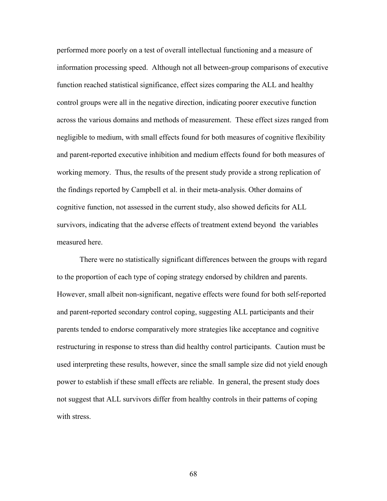performed more poorly on a test of overall intellectual functioning and a measure of information processing speed. Although not all between-group comparisons of executive function reached statistical significance, effect sizes comparing the ALL and healthy control groups were all in the negative direction, indicating poorer executive function across the various domains and methods of measurement. These effect sizes ranged from negligible to medium, with small effects found for both measures of cognitive flexibility and parent-reported executive inhibition and medium effects found for both measures of working memory. Thus, the results of the present study provide a strong replication of the findings reported by Campbell et al. in their meta-analysis. Other domains of cognitive function, not assessed in the current study, also showed deficits for ALL survivors, indicating that the adverse effects of treatment extend beyond the variables measured here.

There were no statistically significant differences between the groups with regard to the proportion of each type of coping strategy endorsed by children and parents. However, small albeit non-significant, negative effects were found for both self-reported and parent-reported secondary control coping, suggesting ALL participants and their parents tended to endorse comparatively more strategies like acceptance and cognitive restructuring in response to stress than did healthy control participants. Caution must be used interpreting these results, however, since the small sample size did not yield enough power to establish if these small effects are reliable. In general, the present study does not suggest that ALL survivors differ from healthy controls in their patterns of coping with stress.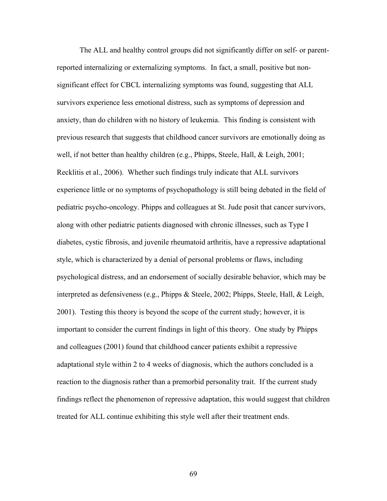The ALL and healthy control groups did not significantly differ on self- or parentreported internalizing or externalizing symptoms. In fact, a small, positive but nonsignificant effect for CBCL internalizing symptoms was found, suggesting that ALL survivors experience less emotional distress, such as symptoms of depression and anxiety, than do children with no history of leukemia. This finding is consistent with previous research that suggests that childhood cancer survivors are emotionally doing as well, if not better than healthy children (e.g., Phipps, Steele, Hall, & Leigh, 2001; Recklitis et al., 2006). Whether such findings truly indicate that ALL survivors experience little or no symptoms of psychopathology is still being debated in the field of pediatric psycho-oncology. Phipps and colleagues at St. Jude posit that cancer survivors, along with other pediatric patients diagnosed with chronic illnesses, such as Type I diabetes, cystic fibrosis, and juvenile rheumatoid arthritis, have a repressive adaptational style, which is characterized by a denial of personal problems or flaws, including psychological distress, and an endorsement of socially desirable behavior, which may be interpreted as defensiveness (e.g., Phipps & Steele, 2002; Phipps, Steele, Hall, & Leigh, 2001). Testing this theory is beyond the scope of the current study; however, it is important to consider the current findings in light of this theory. One study by Phipps and colleagues (2001) found that childhood cancer patients exhibit a repressive adaptational style within 2 to 4 weeks of diagnosis, which the authors concluded is a reaction to the diagnosis rather than a premorbid personality trait. If the current study findings reflect the phenomenon of repressive adaptation, this would suggest that children treated for ALL continue exhibiting this style well after their treatment ends.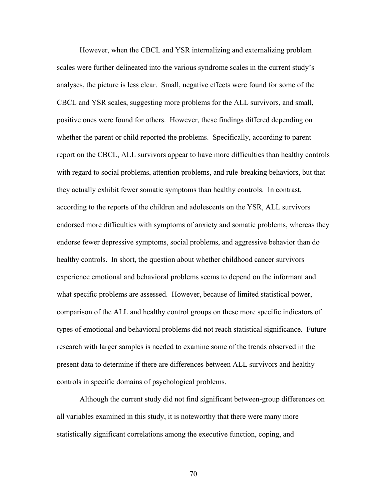However, when the CBCL and YSR internalizing and externalizing problem scales were further delineated into the various syndrome scales in the current study's analyses, the picture is less clear. Small, negative effects were found for some of the CBCL and YSR scales, suggesting more problems for the ALL survivors, and small, positive ones were found for others. However, these findings differed depending on whether the parent or child reported the problems. Specifically, according to parent report on the CBCL, ALL survivors appear to have more difficulties than healthy controls with regard to social problems, attention problems, and rule-breaking behaviors, but that they actually exhibit fewer somatic symptoms than healthy controls. In contrast, according to the reports of the children and adolescents on the YSR, ALL survivors endorsed more difficulties with symptoms of anxiety and somatic problems, whereas they endorse fewer depressive symptoms, social problems, and aggressive behavior than do healthy controls. In short, the question about whether childhood cancer survivors experience emotional and behavioral problems seems to depend on the informant and what specific problems are assessed. However, because of limited statistical power, comparison of the ALL and healthy control groups on these more specific indicators of types of emotional and behavioral problems did not reach statistical significance. Future research with larger samples is needed to examine some of the trends observed in the present data to determine if there are differences between ALL survivors and healthy controls in specific domains of psychological problems.

Although the current study did not find significant between-group differences on all variables examined in this study, it is noteworthy that there were many more statistically significant correlations among the executive function, coping, and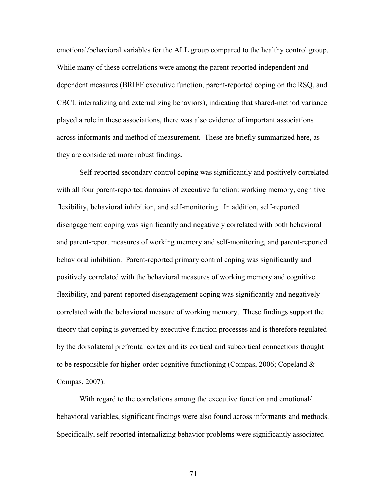emotional/behavioral variables for the ALL group compared to the healthy control group. While many of these correlations were among the parent-reported independent and dependent measures (BRIEF executive function, parent-reported coping on the RSQ, and CBCL internalizing and externalizing behaviors), indicating that shared-method variance played a role in these associations, there was also evidence of important associations across informants and method of measurement. These are briefly summarized here, as they are considered more robust findings.

Self-reported secondary control coping was significantly and positively correlated with all four parent-reported domains of executive function: working memory, cognitive flexibility, behavioral inhibition, and self-monitoring. In addition, self-reported disengagement coping was significantly and negatively correlated with both behavioral and parent-report measures of working memory and self-monitoring, and parent-reported behavioral inhibition. Parent-reported primary control coping was significantly and positively correlated with the behavioral measures of working memory and cognitive flexibility, and parent-reported disengagement coping was significantly and negatively correlated with the behavioral measure of working memory. These findings support the theory that coping is governed by executive function processes and is therefore regulated by the dorsolateral prefrontal cortex and its cortical and subcortical connections thought to be responsible for higher-order cognitive functioning (Compas, 2006; Copeland & Compas, 2007).

With regard to the correlations among the executive function and emotional/ behavioral variables, significant findings were also found across informants and methods. Specifically, self-reported internalizing behavior problems were significantly associated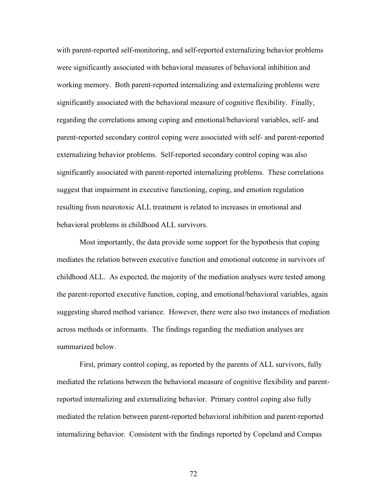with parent-reported self-monitoring, and self-reported externalizing behavior problems were significantly associated with behavioral measures of behavioral inhibition and working memory. Both parent-reported internalizing and externalizing problems were significantly associated with the behavioral measure of cognitive flexibility. Finally, regarding the correlations among coping and emotional/behavioral variables, self- and parent-reported secondary control coping were associated with self- and parent-reported externalizing behavior problems. Self-reported secondary control coping was also significantly associated with parent-reported internalizing problems. These correlations suggest that impairment in executive functioning, coping, and emotion regulation resulting from neurotoxic ALL treatment is related to increases in emotional and behavioral problems in childhood ALL survivors.

Most importantly, the data provide some support for the hypothesis that coping mediates the relation between executive function and emotional outcome in survivors of childhood ALL. As expected, the majority of the mediation analyses were tested among the parent-reported executive function, coping, and emotional/behavioral variables, again suggesting shared method variance. However, there were also two instances of mediation across methods or informants. The findings regarding the mediation analyses are summarized below.

First, primary control coping, as reported by the parents of ALL survivors, fully mediated the relations between the behavioral measure of cognitive flexibility and parentreported internalizing and externalizing behavior. Primary control coping also fully mediated the relation between parent-reported behavioral inhibition and parent-reported internalizing behavior. Consistent with the findings reported by Copeland and Compas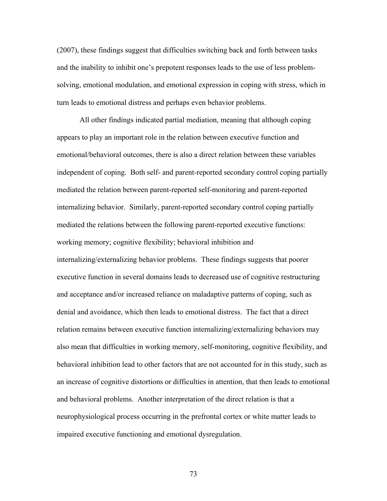(2007), these findings suggest that difficulties switching back and forth between tasks and the inability to inhibit one's prepotent responses leads to the use of less problemsolving, emotional modulation, and emotional expression in coping with stress, which in turn leads to emotional distress and perhaps even behavior problems.

All other findings indicated partial mediation, meaning that although coping appears to play an important role in the relation between executive function and emotional/behavioral outcomes, there is also a direct relation between these variables independent of coping. Both self- and parent-reported secondary control coping partially mediated the relation between parent-reported self-monitoring and parent-reported internalizing behavior. Similarly, parent-reported secondary control coping partially mediated the relations between the following parent-reported executive functions: working memory; cognitive flexibility; behavioral inhibition and internalizing/externalizing behavior problems. These findings suggests that poorer executive function in several domains leads to decreased use of cognitive restructuring and acceptance and/or increased reliance on maladaptive patterns of coping, such as denial and avoidance, which then leads to emotional distress. The fact that a direct relation remains between executive function internalizing/externalizing behaviors may also mean that difficulties in working memory, self-monitoring, cognitive flexibility, and behavioral inhibition lead to other factors that are not accounted for in this study, such as an increase of cognitive distortions or difficulties in attention, that then leads to emotional and behavioral problems. Another interpretation of the direct relation is that a neurophysiological process occurring in the prefrontal cortex or white matter leads to impaired executive functioning and emotional dysregulation.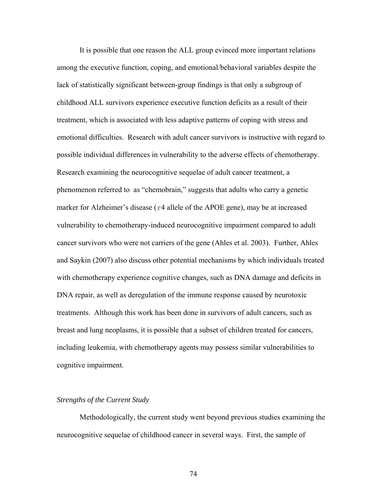It is possible that one reason the ALL group evinced more important relations among the executive function, coping, and emotional/behavioral variables despite the lack of statistically significant between-group findings is that only a subgroup of childhood ALL survivors experience executive function deficits as a result of their treatment, which is associated with less adaptive patterns of coping with stress and emotional difficulties. Research with adult cancer survivors is instructive with regard to possible individual differences in vulnerability to the adverse effects of chemotherapy. Research examining the neurocognitive sequelae of adult cancer treatment, a phenomenon referred to as "chemobrain," suggests that adults who carry a genetic marker for Alzheimer's disease ( $\varepsilon$ 4 allele of the APOE gene), may be at increased vulnerability to chemotherapy-induced neurocognitive impairment compared to adult cancer survivors who were not carriers of the gene (Ahles et al. 2003). Further, Ahles and Saykin (2007) also discuss other potential mechanisms by which individuals treated with chemotherapy experience cognitive changes, such as DNA damage and deficits in DNA repair, as well as deregulation of the immune response caused by neurotoxic treatments. Although this work has been done in survivors of adult cancers, such as breast and lung neoplasms, it is possible that a subset of children treated for cancers, including leukemia, with chemotherapy agents may possess similar vulnerabilities to cognitive impairment.

# *Strengths of the Current Study*

Methodologically, the current study went beyond previous studies examining the neurocognitive sequelae of childhood cancer in several ways. First, the sample of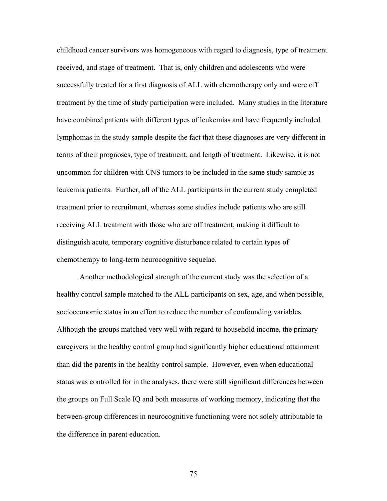childhood cancer survivors was homogeneous with regard to diagnosis, type of treatment received, and stage of treatment. That is, only children and adolescents who were successfully treated for a first diagnosis of ALL with chemotherapy only and were off treatment by the time of study participation were included. Many studies in the literature have combined patients with different types of leukemias and have frequently included lymphomas in the study sample despite the fact that these diagnoses are very different in terms of their prognoses, type of treatment, and length of treatment. Likewise, it is not uncommon for children with CNS tumors to be included in the same study sample as leukemia patients. Further, all of the ALL participants in the current study completed treatment prior to recruitment, whereas some studies include patients who are still receiving ALL treatment with those who are off treatment, making it difficult to distinguish acute, temporary cognitive disturbance related to certain types of chemotherapy to long-term neurocognitive sequelae.

 Another methodological strength of the current study was the selection of a healthy control sample matched to the ALL participants on sex, age, and when possible, socioeconomic status in an effort to reduce the number of confounding variables. Although the groups matched very well with regard to household income, the primary caregivers in the healthy control group had significantly higher educational attainment than did the parents in the healthy control sample. However, even when educational status was controlled for in the analyses, there were still significant differences between the groups on Full Scale IQ and both measures of working memory, indicating that the between-group differences in neurocognitive functioning were not solely attributable to the difference in parent education.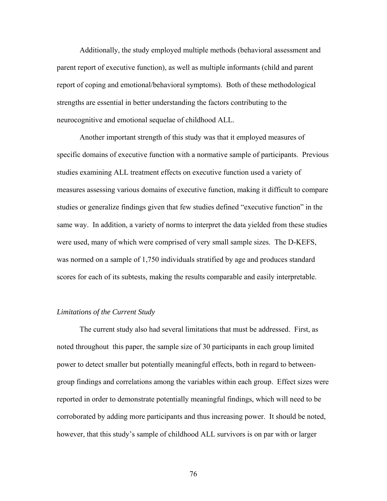Additionally, the study employed multiple methods (behavioral assessment and parent report of executive function), as well as multiple informants (child and parent report of coping and emotional/behavioral symptoms). Both of these methodological strengths are essential in better understanding the factors contributing to the neurocognitive and emotional sequelae of childhood ALL.

Another important strength of this study was that it employed measures of specific domains of executive function with a normative sample of participants. Previous studies examining ALL treatment effects on executive function used a variety of measures assessing various domains of executive function, making it difficult to compare studies or generalize findings given that few studies defined "executive function" in the same way. In addition, a variety of norms to interpret the data yielded from these studies were used, many of which were comprised of very small sample sizes. The D-KEFS, was normed on a sample of 1,750 individuals stratified by age and produces standard scores for each of its subtests, making the results comparable and easily interpretable.

# *Limitations of the Current Study*

The current study also had several limitations that must be addressed. First, as noted throughout this paper, the sample size of 30 participants in each group limited power to detect smaller but potentially meaningful effects, both in regard to betweengroup findings and correlations among the variables within each group. Effect sizes were reported in order to demonstrate potentially meaningful findings, which will need to be corroborated by adding more participants and thus increasing power. It should be noted, however, that this study's sample of childhood ALL survivors is on par with or larger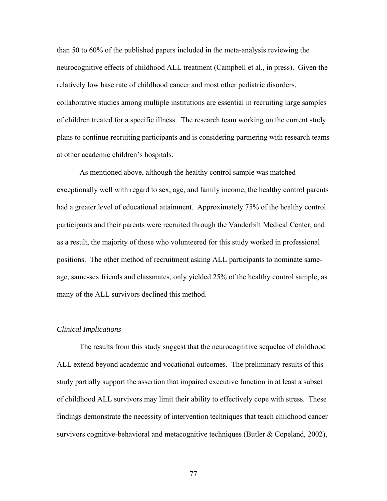than 50 to 60% of the published papers included in the meta-analysis reviewing the neurocognitive effects of childhood ALL treatment (Campbell et al., in press). Given the relatively low base rate of childhood cancer and most other pediatric disorders, collaborative studies among multiple institutions are essential in recruiting large samples of children treated for a specific illness. The research team working on the current study plans to continue recruiting participants and is considering partnering with research teams at other academic children's hospitals.

As mentioned above, although the healthy control sample was matched exceptionally well with regard to sex, age, and family income, the healthy control parents had a greater level of educational attainment. Approximately 75% of the healthy control participants and their parents were recruited through the Vanderbilt Medical Center, and as a result, the majority of those who volunteered for this study worked in professional positions. The other method of recruitment asking ALL participants to nominate sameage, same-sex friends and classmates, only yielded 25% of the healthy control sample, as many of the ALL survivors declined this method.

#### *Clinical Implications*

The results from this study suggest that the neurocognitive sequelae of childhood ALL extend beyond academic and vocational outcomes. The preliminary results of this study partially support the assertion that impaired executive function in at least a subset of childhood ALL survivors may limit their ability to effectively cope with stress. These findings demonstrate the necessity of intervention techniques that teach childhood cancer survivors cognitive-behavioral and metacognitive techniques (Butler  $\&$  Copeland, 2002),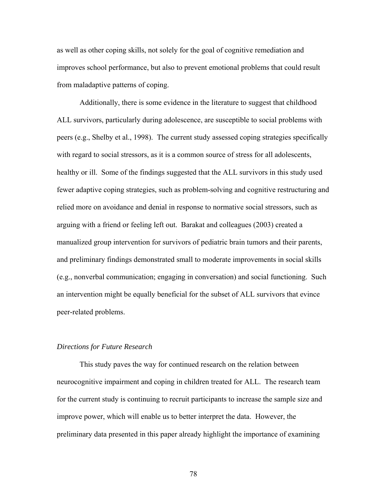as well as other coping skills, not solely for the goal of cognitive remediation and improves school performance, but also to prevent emotional problems that could result from maladaptive patterns of coping.

Additionally, there is some evidence in the literature to suggest that childhood ALL survivors, particularly during adolescence, are susceptible to social problems with peers (e.g., Shelby et al., 1998). The current study assessed coping strategies specifically with regard to social stressors, as it is a common source of stress for all adolescents, healthy or ill. Some of the findings suggested that the ALL survivors in this study used fewer adaptive coping strategies, such as problem-solving and cognitive restructuring and relied more on avoidance and denial in response to normative social stressors, such as arguing with a friend or feeling left out. Barakat and colleagues (2003) created a manualized group intervention for survivors of pediatric brain tumors and their parents, and preliminary findings demonstrated small to moderate improvements in social skills (e.g., nonverbal communication; engaging in conversation) and social functioning. Such an intervention might be equally beneficial for the subset of ALL survivors that evince peer-related problems.

# *Directions for Future Research*

This study paves the way for continued research on the relation between neurocognitive impairment and coping in children treated for ALL. The research team for the current study is continuing to recruit participants to increase the sample size and improve power, which will enable us to better interpret the data. However, the preliminary data presented in this paper already highlight the importance of examining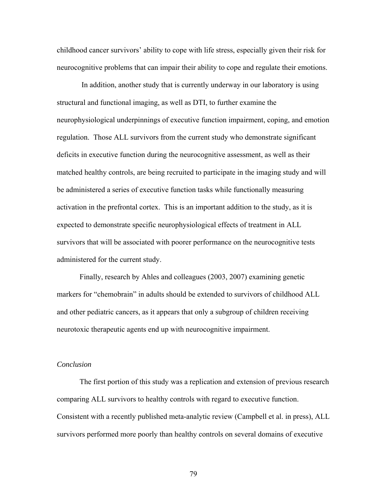childhood cancer survivors' ability to cope with life stress, especially given their risk for neurocognitive problems that can impair their ability to cope and regulate their emotions.

 In addition, another study that is currently underway in our laboratory is using structural and functional imaging, as well as DTI, to further examine the neurophysiological underpinnings of executive function impairment, coping, and emotion regulation. Those ALL survivors from the current study who demonstrate significant deficits in executive function during the neurocognitive assessment, as well as their matched healthy controls, are being recruited to participate in the imaging study and will be administered a series of executive function tasks while functionally measuring activation in the prefrontal cortex. This is an important addition to the study, as it is expected to demonstrate specific neurophysiological effects of treatment in ALL survivors that will be associated with poorer performance on the neurocognitive tests administered for the current study.

 Finally, research by Ahles and colleagues (2003, 2007) examining genetic markers for "chemobrain" in adults should be extended to survivors of childhood ALL and other pediatric cancers, as it appears that only a subgroup of children receiving neurotoxic therapeutic agents end up with neurocognitive impairment.

## *Conclusion*

 The first portion of this study was a replication and extension of previous research comparing ALL survivors to healthy controls with regard to executive function. Consistent with a recently published meta-analytic review (Campbell et al. in press), ALL survivors performed more poorly than healthy controls on several domains of executive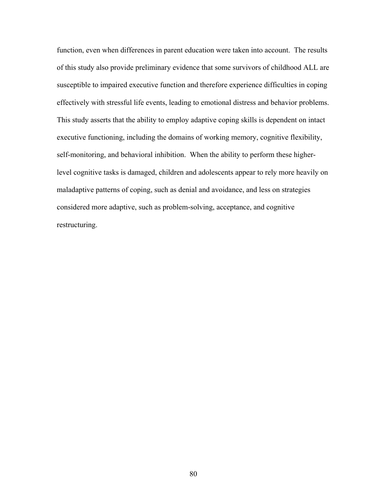function, even when differences in parent education were taken into account. The results of this study also provide preliminary evidence that some survivors of childhood ALL are susceptible to impaired executive function and therefore experience difficulties in coping effectively with stressful life events, leading to emotional distress and behavior problems. This study asserts that the ability to employ adaptive coping skills is dependent on intact executive functioning, including the domains of working memory, cognitive flexibility, self-monitoring, and behavioral inhibition. When the ability to perform these higherlevel cognitive tasks is damaged, children and adolescents appear to rely more heavily on maladaptive patterns of coping, such as denial and avoidance, and less on strategies considered more adaptive, such as problem-solving, acceptance, and cognitive restructuring.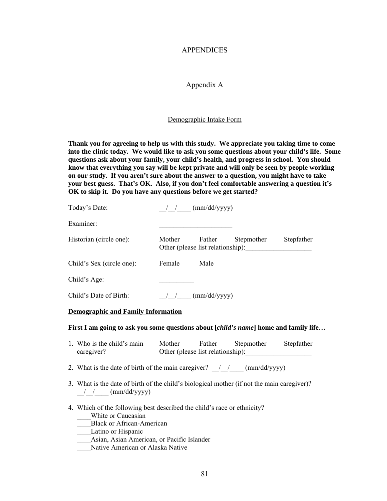# APPENDICES

# Appendix A

#### Demographic Intake Form

**Thank you for agreeing to help us with this study. We appreciate you taking time to come into the clinic today. We would like to ask you some questions about your child's life. Some questions ask about your family, your child's health, and progress in school. You should know that everything you say will be kept private and will only be seen by people working on our study. If you aren't sure about the answer to a question, you might have to take your best guess. That's OK. Also, if you don't feel comfortable answering a question it's OK to skip it. Do you have any questions before we get started?** 

| Today's Date:             |        | (mm/dd/yyyy)                                |            |            |
|---------------------------|--------|---------------------------------------------|------------|------------|
| Examiner:                 |        |                                             |            |            |
| Historian (circle one):   | Mother | Father<br>Other (please list relationship): | Stepmother | Stepfather |
| Child's Sex (circle one): | Female | Male                                        |            |            |
| Child's Age:              |        |                                             |            |            |
| Child's Date of Birth:    |        | (mm/dd/yyyy)                                |            |            |

#### **Demographic and Family Information**

#### **First I am going to ask you some questions about [***child's name***] home and family life…**

| 1. Who is the child's main | Mother | Father                            | Stepmother | Stepfather |
|----------------------------|--------|-----------------------------------|------------|------------|
| caregiver?                 |        | Other (please list relationship): |            |            |

- 2. What is the date of birth of the main caregiver?  $\angle$  /  $\angle$  (mm/dd/yyyy)
- 3. What is the date of birth of the child's biological mother (if not the main caregiver)?  $/$  / (mm/dd/yyyy)
- 4. Which of the following best described the child's race or ethnicity?
	- White or Caucasian
	- \_\_\_\_Black or African-American
	- Latino or Hispanic
	- \_\_\_\_Asian, Asian American, or Pacific Islander
	- Native American or Alaska Native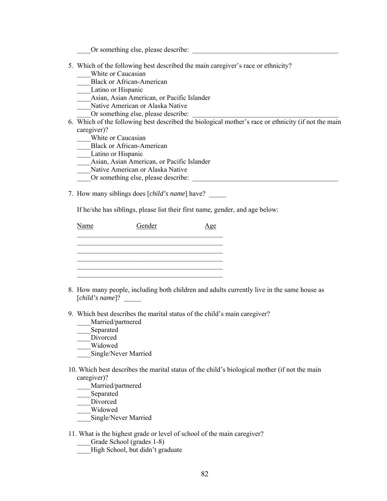\_\_\_\_Or something else, please describe: \_\_\_\_\_\_\_\_\_\_\_\_\_\_\_\_\_\_\_\_\_\_\_\_\_\_\_\_\_\_\_\_\_\_\_\_\_\_\_\_\_\_

- 5. Which of the following best described the main caregiver's race or ethnicity?
	- White or Caucasian
	- \_\_\_\_Black or African-American
	- Latino or Hispanic
	- \_\_\_\_Asian, Asian American, or Pacific Islander
	- Native American or Alaska Native
	- Or something else, please describe:
- 6. Which of the following best described the biological mother's race or ethnicity (if not the main caregiver)?
	- White or Caucasian
	- \_\_\_\_Black or African-American
	- Latino or Hispanic
	- \_\_\_\_Asian, Asian American, or Pacific Islander
	- Native American or Alaska Native
	- Or something else, please describe:
- 7. How many siblings does [*child's name*] have?

If he/she has siblings, please list their first name, gender, and age below:

| Name | Gender | Age |
|------|--------|-----|
|      |        |     |
|      |        |     |
|      |        |     |
|      |        |     |

- 8. How many people, including both children and adults currently live in the same house as [*child's name*]? \_\_\_\_\_
- 9. Which best describes the marital status of the child's main caregiver?
	- \_\_\_\_Married/partnered
	- \_\_\_\_Separated
	- Divorced
	- \_\_\_\_Widowed
	- \_\_\_\_Single/Never Married
- 10. Which best describes the marital status of the child's biological mother (if not the main caregiver)?
	- \_\_\_\_Married/partnered
	- \_\_\_\_Separated
	- Divorced
	- \_\_\_\_Widowed
	- \_\_\_\_Single/Never Married
- 11. What is the highest grade or level of school of the main caregiver?
	- Grade School (grades 1-8)
	- High School, but didn't graduate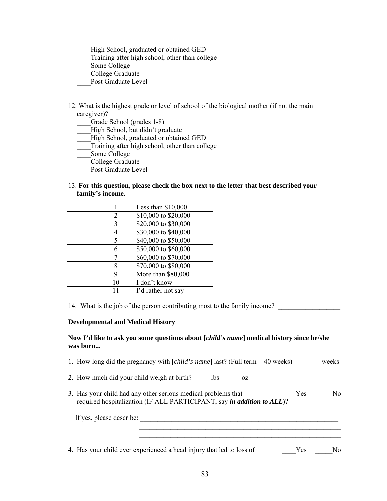- High School, graduated or obtained GED
- Training after high school, other than college
- Some College
- \_\_\_\_College Graduate
- Post Graduate Level
- 12. What is the highest grade or level of school of the biological mother (if not the main caregiver)?
	- \_\_\_\_Grade School (grades 1-8)
	- High School, but didn't graduate
	- High School, graduated or obtained GED
	- Training after high school, other than college
	- Some College
	- \_\_\_\_College Graduate
	- Post Graduate Level
- 13. **For this question, please check the box next to the letter that best described your family's income.**

|    | Less than $$10,000$  |
|----|----------------------|
| 2  | \$10,000 to \$20,000 |
| 3  | \$20,000 to \$30,000 |
|    | \$30,000 to \$40,000 |
| 5  | \$40,000 to \$50,000 |
| 6  | \$50,000 to \$60,000 |
|    | \$60,000 to \$70,000 |
| 8  | \$70,000 to \$80,000 |
| 9  | More than \$80,000   |
| 10 | I don't know         |
|    | I'd rather not say   |

14. What is the job of the person contributing most to the family income?

### **Developmental and Medical History**

## **Now I'd like to ask you some questions about [***child's name***] medical history since he/she was born...**

- 1. How long did the pregnancy with [*child's name*] last? (Full term = 40 weeks) weeks
- 2. How much did your child weigh at birth? lbs oz
- 3. Has your child had any other serious medical problems that \_\_\_\_\_\_\_Yes \_\_\_\_\_No required hospitalization (IF ALL PARTICIPANT, say *in addition to ALL*)?

| If yes, please describe: |  |
|--------------------------|--|
|                          |  |

4. Has your child ever experienced a head injury that led to loss of Yes No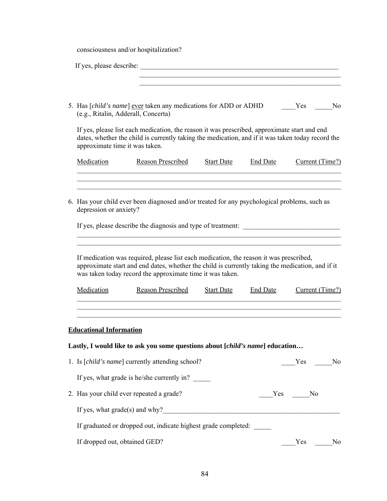consciousness and/or hospitalization?

| If yes, please describe:<br><u> 1980 - Jan Barbara, martxa al II-lea (h. 1980).</u>                                                                                                                                                                     |
|---------------------------------------------------------------------------------------------------------------------------------------------------------------------------------------------------------------------------------------------------------|
| 5. Has [child's name] ever taken any medications for ADD or ADHD<br>Yes<br>N <sub>0</sub><br>(e.g., Ritalin, Adderall, Concerta)                                                                                                                        |
| If yes, please list each medication, the reason it was prescribed, approximate start and end<br>dates, whether the child is currently taking the medication, and if it was taken today record the<br>approximate time it was taken.                     |
| Medication<br><b>Reason Prescribed</b><br><b>End Date</b><br>Current (Time?)<br><b>Start Date</b>                                                                                                                                                       |
| 6. Has your child ever been diagnosed and/or treated for any psychological problems, such as<br>depression or anxiety?                                                                                                                                  |
| If yes, please describe the diagnosis and type of treatment:                                                                                                                                                                                            |
| If medication was required, please list each medication, the reason it was prescribed,<br>approximate start and end dates, whether the child is currently taking the medication, and if it<br>was taken today record the approximate time it was taken. |
| Medication<br><b>Reason Prescribed</b><br><b>Start Date</b><br>Current (Time?)<br><b>End Date</b>                                                                                                                                                       |
| <b>Educational Information</b>                                                                                                                                                                                                                          |
| Lastly, I would like to ask you some questions about [child's name] education                                                                                                                                                                           |
| 1. Is [ <i>child's name</i> ] currently attending school?<br>No<br>Yes                                                                                                                                                                                  |
| If yes, what grade is he/she currently in?                                                                                                                                                                                                              |
| 2. Has your child ever repeated a grade?<br>Yes No                                                                                                                                                                                                      |
|                                                                                                                                                                                                                                                         |
| If graduated or dropped out, indicate highest grade completed:                                                                                                                                                                                          |
| If dropped out, obtained GED?<br>Yes<br>No                                                                                                                                                                                                              |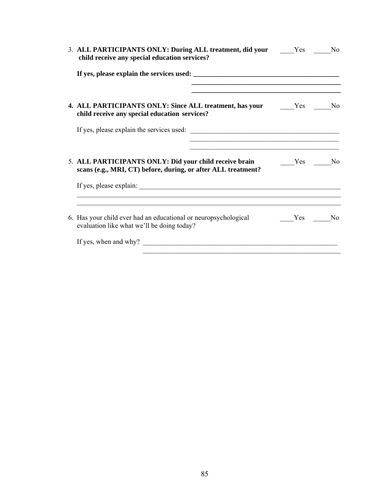| 3. ALL PARTICIPANTS ONLY: During ALL treatment, did your Yes No<br>child receive any special education services?        |        |  |
|-------------------------------------------------------------------------------------------------------------------------|--------|--|
|                                                                                                                         |        |  |
| 4. ALL PARTICIPANTS ONLY: Since ALL treatment, has your Yes Mo<br>child receive any special education services?         |        |  |
|                                                                                                                         |        |  |
| 5. ALL PARTICIPANTS ONLY: Did your child receive brain<br>scans (e.g., MRI, CT) before, during, or after ALL treatment? | Yes No |  |
|                                                                                                                         |        |  |
| 6. Has your child ever had an educational or neuropsychological<br>evaluation like what we'll be doing today?           | Yes No |  |
|                                                                                                                         |        |  |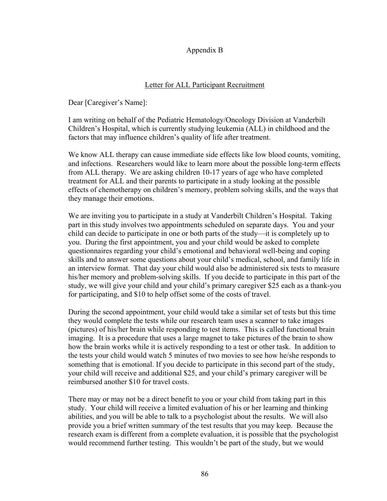# Appendix B

# Letter for ALL Participant Recruitment

Dear [Caregiver's Name]:

I am writing on behalf of the Pediatric Hematology/Oncology Division at Vanderbilt Children's Hospital, which is currently studying leukemia (ALL) in childhood and the factors that may influence children's quality of life after treatment.

We know ALL therapy can cause immediate side effects like low blood counts, vomiting, and infections. Researchers would like to learn more about the possible long-term effects from ALL therapy. We are asking children 10-17 years of age who have completed treatment for ALL and their parents to participate in a study looking at the possible effects of chemotherapy on children's memory, problem solving skills, and the ways that they manage their emotions.

We are inviting you to participate in a study at Vanderbilt Children's Hospital. Taking part in this study involves two appointments scheduled on separate days. You and your child can decide to participate in one or both parts of the study—it is completely up to you. During the first appointment, you and your child would be asked to complete questionnaires regarding your child's emotional and behavioral well-being and coping skills and to answer some questions about your child's medical, school, and family life in an interview format. That day your child would also be administered six tests to measure his/her memory and problem-solving skills. If you decide to participate in this part of the study, we will give your child and your child's primary caregiver \$25 each as a thank-you for participating, and \$10 to help offset some of the costs of travel.

During the second appointment, your child would take a similar set of tests but this time they would complete the tests while our research team uses a scanner to take images (pictures) of his/her brain while responding to test items. This is called functional brain imaging. It is a procedure that uses a large magnet to take pictures of the brain to show how the brain works while it is actively responding to a test or other task. In addition to the tests your child would watch 5 minutes of two movies to see how he/she responds to something that is emotional. If you decide to participate in this second part of the study, your child will receive and additional \$25, and your child's primary caregiver will be reimbursed another \$10 for travel costs.

There may or may not be a direct benefit to you or your child from taking part in this study. Your child will receive a limited evaluation of his or her learning and thinking abilities, and you will be able to talk to a psychologist about the results. We will also provide you a brief written summary of the test results that you may keep. Because the research exam is different from a complete evaluation, it is possible that the psychologist would recommend further testing. This wouldn't be part of the study, but we would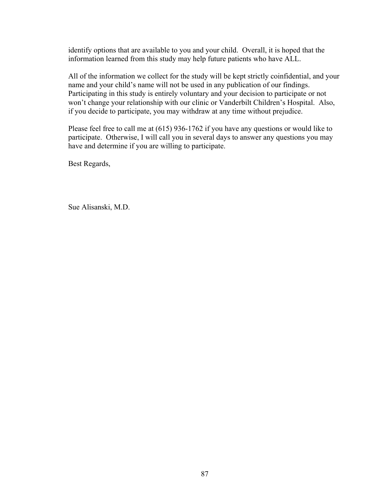identify options that are available to you and your child. Overall, it is hoped that the information learned from this study may help future patients who have ALL.

All of the information we collect for the study will be kept strictly coinfidential, and your name and your child's name will not be used in any publication of our findings. Participating in this study is entirely voluntary and your decision to participate or not won't change your relationship with our clinic or Vanderbilt Children's Hospital. Also, if you decide to participate, you may withdraw at any time without prejudice.

Please feel free to call me at (615) 936-1762 if you have any questions or would like to participate. Otherwise, I will call you in several days to answer any questions you may have and determine if you are willing to participate.

Best Regards,

Sue Alisanski, M.D.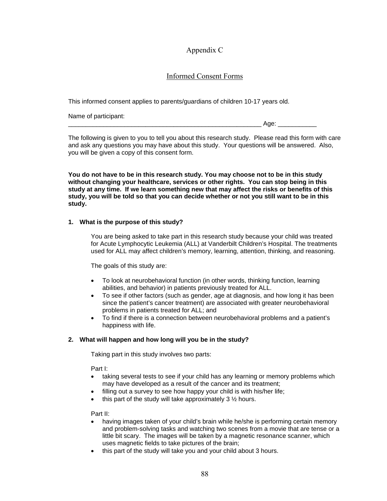# Appendix C

# Informed Consent Forms

This informed consent applies to parents/guardians of children 10-17 years old.

Name of participant:

 $A$ ge:  $\Box$ 

The following is given to you to tell you about this research study. Please read this form with care and ask any questions you may have about this study. Your questions will be answered. Also, you will be given a copy of this consent form.

**You do not have to be in this research study. You may choose not to be in this study without changing your healthcare, services or other rights. You can stop being in this study at any time. If we learn something new that may affect the risks or benefits of this study, you will be told so that you can decide whether or not you still want to be in this study.** 

# **1. What is the purpose of this study?**

You are being asked to take part in this research study because your child was treated for Acute Lymphocytic Leukemia (ALL) at Vanderbilt Children's Hospital. The treatments used for ALL may affect children's memory, learning, attention, thinking, and reasoning.

The goals of this study are:

- To look at neurobehavioral function (in other words, thinking function, learning abilities, and behavior) in patients previously treated for ALL.
- To see if other factors (such as gender, age at diagnosis, and how long it has been since the patient's cancer treatment) are associated with greater neurobehavioral problems in patients treated for ALL; and
- To find if there is a connection between neurobehavioral problems and a patient's happiness with life.

# **2. What will happen and how long will you be in the study?**

Taking part in this study involves two parts:

Part I:

- taking several tests to see if your child has any learning or memory problems which may have developed as a result of the cancer and its treatment;
- filling out a survey to see how happy your child is with his/her life;
- this part of the study will take approximately  $3\frac{1}{2}$  hours.

Part II:

- having images taken of your child's brain while he/she is performing certain memory and problem-solving tasks and watching two scenes from a movie that are tense or a little bit scary. The images will be taken by a magnetic resonance scanner, which uses magnetic fields to take pictures of the brain;
- this part of the study will take you and your child about 3 hours.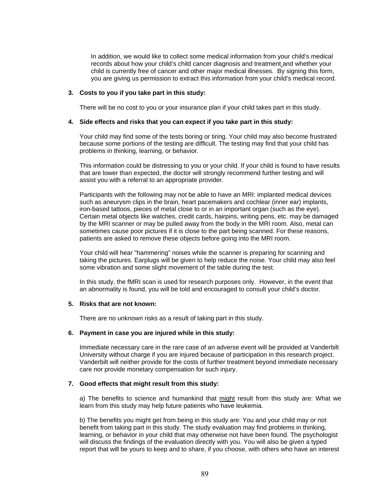In addition, we would like to collect some medical information from your child's medical records about how your child's child cancer diagnosis and treatment and whether your child is currently free of cancer and other major medical illnesses. By signing this form, you are giving us permission to extract this information from your child's medical record.

#### **3. Costs to you if you take part in this study:**

There will be no cost to you or your insurance plan if your child takes part in this study.

#### **4. Side effects and risks that you can expect if you take part in this study:**

Your child may find some of the tests boring or tiring. Your child may also become frustrated because some portions of the testing are difficult. The testing may find that your child has problems in thinking, learning, or behavior.

This information could be distressing to you or your child. If your child is found to have results that are lower than expected, the doctor will strongly recommend further testing and will assist you with a referral to an appropriate provider.

Participants with the following may not be able to have an MRI: implanted medical devices such as aneurysm clips in the brain, heart pacemakers and cochlear (inner ear) implants, iron-based tattoos, pieces of metal close to or in an important organ (such as the eye). Certain metal objects like watches, credit cards, hairpins, writing pens, etc. may be damaged by the MRI scanner or may be pulled away from the body in the MRI room. Also, metal can sometimes cause poor pictures if it is close to the part being scanned. For these reasons, patients are asked to remove these objects before going into the MRI room.

Your child will hear "hammering" noises while the scanner is preparing for scanning and taking the pictures. Earplugs will be given to help reduce the noise. Your child may also feel some vibration and some slight movement of the table during the test.

In this study, the fMRI scan is used for research purposes only. However, in the event that an abnormality is found, you will be told and encouraged to consult your child's doctor.

## **5. Risks that are not known:**

There are no unknown risks as a result of taking part in this study.

### **6. Payment in case you are injured while in this study:**

Immediate necessary care in the rare case of an adverse event will be provided at Vanderbilt University without charge if you are injured because of participation in this research project. Vanderbilt will neither provide for the costs of further treatment beyond immediate necessary care nor provide monetary compensation for such injury.

### **7. Good effects that might result from this study:**

a) The benefits to science and humankind that might result from this study are: What we learn from this study may help future patients who have leukemia.

b) The benefits you might get from being in this study are: You and your child may or not benefit from taking part in this study. The study evaluation may find problems in thinking, learning, or behavior in your child that may otherwise not have been found. The psychologist will discuss the findings of the evaluation directly with you. You will also be given a typed report that will be yours to keep and to share, if you choose, with others who have an interest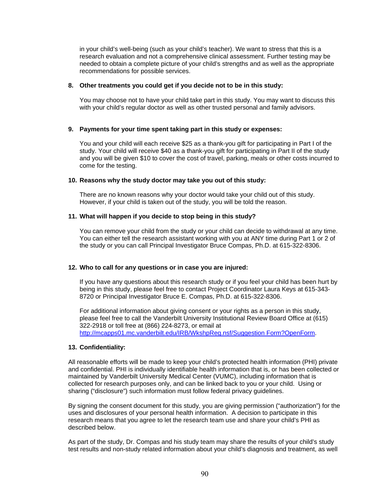in your child's well-being (such as your child's teacher). We want to stress that this is a research evaluation and not a comprehensive clinical assessment. Further testing may be needed to obtain a complete picture of your child's strengths and as well as the appropriate recommendations for possible services.

### **8. Other treatments you could get if you decide not to be in this study:**

You may choose not to have your child take part in this study. You may want to discuss this with your child's regular doctor as well as other trusted personal and family advisors.

### **9. Payments for your time spent taking part in this study or expenses:**

You and your child will each receive \$25 as a thank-you gift for participating in Part I of the study. Your child will receive \$40 as a thank-you gift for participating in Part II of the study and you will be given \$10 to cover the cost of travel, parking, meals or other costs incurred to come for the testing.

#### **10. Reasons why the study doctor may take you out of this study:**

There are no known reasons why your doctor would take your child out of this study. However, if your child is taken out of the study, you will be told the reason.

#### **11. What will happen if you decide to stop being in this study?**

You can remove your child from the study or your child can decide to withdrawal at any time. You can either tell the research assistant working with you at ANY time during Part 1 or 2 of the study or you can call Principal Investigator Bruce Compas, Ph.D. at 615-322-8306.

### **12. Who to call for any questions or in case you are injured:**

If you have any questions about this research study or if you feel your child has been hurt by being in this study, please feel free to contact Project Coordinator Laura Keys at 615-343- 8720 or Principal Investigator Bruce E. Compas, Ph.D. at 615-322-8306.

For additional information about giving consent or your rights as a person in this study, please feel free to call the Vanderbilt University Institutional Review Board Office at (615) 322-2918 or toll free at (866) 224-8273, or email at [http://mcapps01.mc.vanderbilt.edu/IRB/WkshpReg.nsf/Suggestion Form?OpenForm](http://mcapps01.mc.vanderbilt.edu/IRB/WkshpReg.nsf/Suggestion%20Form?OpenForm).

### **13. Confidentiality:**

All reasonable efforts will be made to keep your child's protected health information (PHI) private and confidential. PHI is individually identifiable health information that is, or has been collected or maintained by Vanderbilt University Medical Center (VUMC), including information that is collected for research purposes only, and can be linked back to you or your child. Using or sharing ("disclosure") such information must follow federal privacy guidelines.

By signing the consent document for this study, you are giving permission ("authorization") for the uses and disclosures of your personal health information. A decision to participate in this research means that you agree to let the research team use and share your child's PHI as described below.

As part of the study, Dr. Compas and his study team may share the results of your child's study test results and non-study related information about your child's diagnosis and treatment, as well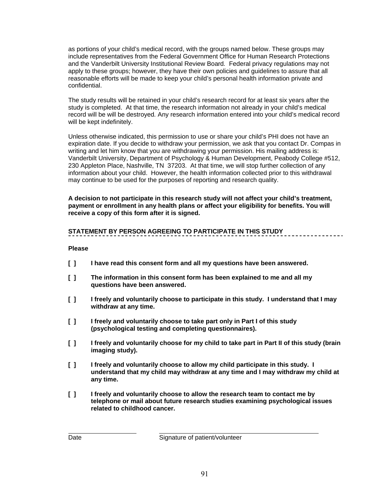as portions of your child's medical record, with the groups named below. These groups may include representatives from the Federal Government Office for Human Research Protections and the Vanderbilt University Institutional Review Board*.* Federal privacy regulations may not apply to these groups; however, they have their own policies and guidelines to assure that all reasonable efforts will be made to keep your child's personal health information private and confidential.

The study results will be retained in your child's research record for at least six years after the study is completed. At that time, the research information not already in your child's medical record will be will be destroyed*.* Any research information entered into your child's medical record will be kept indefinitely.

Unless otherwise indicated, this permission to use or share your child's PHI does not have an expiration date. If you decide to withdraw your permission, we ask that you contact Dr. Compas in writing and let him know that you are withdrawing your permission. His mailing address is: Vanderbilt University, Department of Psychology & Human Development, Peabody College #512, 230 Appleton Place, Nashville, TN 37203. At that time, we will stop further collection of any information about your child. However, the health information collected prior to this withdrawal may continue to be used for the purposes of reporting and research quality.

**A decision to not participate in this research study will not affect your child's treatment, payment or enrollment in any health plans or affect your eligibility for benefits. You will receive a copy of this form after it is signed.** 

# **STATEMENT BY PERSON AGREEING TO PARTICIPATE IN THIS STUDY**

## **Please**

- **[ ] I have read this consent form and all my questions have been answered.**
- **[ ] The information in this consent form has been explained to me and all my questions have been answered.**
- **[ ] I freely and voluntarily choose to participate in this study. I understand that I may withdraw at any time.**
- **[ ] I freely and voluntarily choose to take part only in Part I of this study (psychological testing and completing questionnaires).**
- **[ ] I freely and voluntarily choose for my child to take part in Part II of this study (brain imaging study).**
- **[ ] I freely and voluntarily choose to allow my child participate in this study. I understand that my child may withdraw at any time and I may withdraw my child at any time.**
- **[ ] I freely and voluntarily choose to allow the research team to contact me by telephone or mail about future research studies examining psychological issues related to childhood cancer.**

Date Signature of patient/volunteer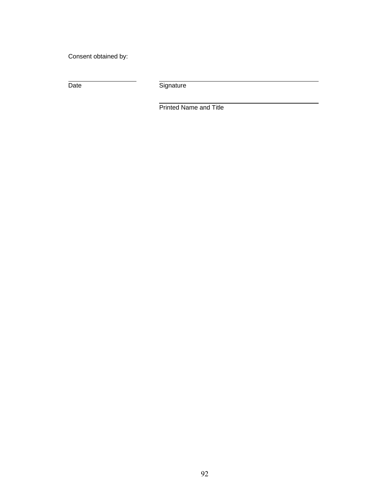Consent obtained by:

Date

Signature

Printed Name and Title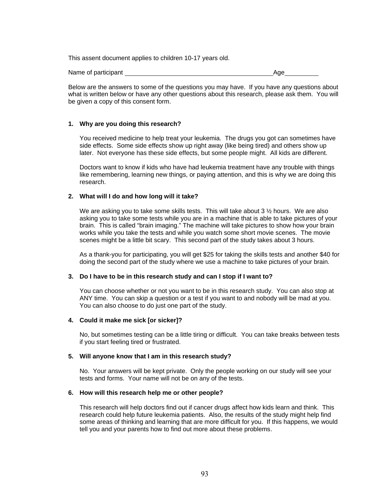This assent document applies to children 10-17 years old.

Name of participant Age and Age and Age Age and Age and Age and Age and Age and Age and Age and Age and Age and Age

Below are the answers to some of the questions you may have. If you have any questions about what is written below or have any other questions about this research, please ask them. You will be given a copy of this consent form.

### **1. Why are you doing this research?**

You received medicine to help treat your leukemia. The drugs you got can sometimes have side effects. Some side effects show up right away (like being tired) and others show up later. Not everyone has these side effects, but some people might. All kids are different.

Doctors want to know if kids who have had leukemia treatment have any trouble with things like remembering, learning new things, or paying attention, and this is why we are doing this research.

### **2. What will I do and how long will it take?**

We are asking you to take some skills tests. This will take about 3  $\frac{1}{2}$  hours. We are also asking you to take some tests while you are in a machine that is able to take pictures of your brain. This is called "brain imaging." The machine will take pictures to show how your brain works while you take the tests and while you watch some short movie scenes. The movie scenes might be a little bit scary. This second part of the study takes about 3 hours.

As a thank-you for participating, you will get \$25 for taking the skills tests and another \$40 for doing the second part of the study where we use a machine to take pictures of your brain.

### **3. Do I have to be in this research study and can I stop if I want to?**

You can choose whether or not you want to be in this research study. You can also stop at ANY time. You can skip a question or a test if you want to and nobody will be mad at you. You can also choose to do just one part of the study.

## **4. Could it make me sick [or sicker]?**

No, but sometimes testing can be a little tiring or difficult. You can take breaks between tests if you start feeling tired or frustrated.

### **5. Will anyone know that I am in this research study?**

No. Your answers will be kept private. Only the people working on our study will see your tests and forms. Your name will not be on any of the tests.

#### **6. How will this research help me or other people?**

This research will help doctors find out if cancer drugs affect how kids learn and think. This research could help future leukemia patients. Also, the results of the study might help find some areas of thinking and learning that are more difficult for you. If this happens, we would tell you and your parents how to find out more about these problems.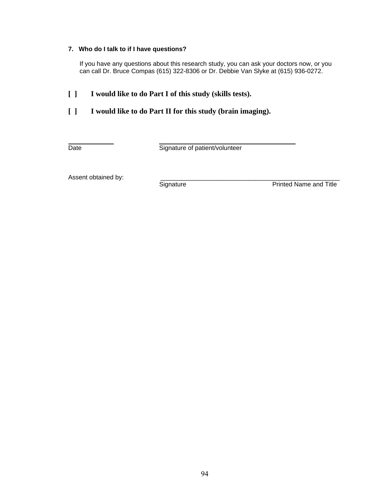# **7. Who do I talk to if I have questions?**

If you have any questions about this research study, you can ask your doctors now, or you can call Dr. Bruce Compas (615) 322-8306 or Dr. Debbie Van Slyke at (615) 936-0272.

# **[ ] I would like to do Part I of this study (skills tests).**

# **[ ] I would like to do Part II for this study (brain imaging).**

Date **Date** Signature of patient/volunteer

Assent obtained by:<br>
Signature

Printed Name and Title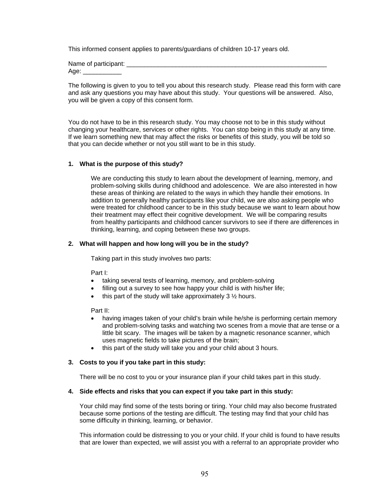This informed consent applies to parents/guardians of children 10-17 years old.

Name of participant: Age:

The following is given to you to tell you about this research study. Please read this form with care and ask any questions you may have about this study. Your questions will be answered. Also, you will be given a copy of this consent form.

You do not have to be in this research study. You may choose not to be in this study without changing your healthcare, services or other rights. You can stop being in this study at any time. If we learn something new that may affect the risks or benefits of this study, you will be told so that you can decide whether or not you still want to be in this study.

### **1. What is the purpose of this study?**

We are conducting this study to learn about the development of learning, memory, and problem-solving skills during childhood and adolescence. We are also interested in how these areas of thinking are related to the ways in which they handle their emotions. In addition to generally healthy participants like your child, we are also asking people who were treated for childhood cancer to be in this study because we want to learn about how their treatment may effect their cognitive development. We will be comparing results from healthy participants and childhood cancer survivors to see if there are differences in thinking, learning, and coping between these two groups.

### **2. What will happen and how long will you be in the study?**

Taking part in this study involves two parts:

Part I:

- taking several tests of learning, memory, and problem-solving
- filling out a survey to see how happy your child is with his/her life;
- this part of the study will take approximately  $3\frac{1}{2}$  hours.

Part II:

- having images taken of your child's brain while he/she is performing certain memory and problem-solving tasks and watching two scenes from a movie that are tense or a little bit scary. The images will be taken by a magnetic resonance scanner, which uses magnetic fields to take pictures of the brain;
- this part of the study will take you and your child about 3 hours.

### **3. Costs to you if you take part in this study:**

There will be no cost to you or your insurance plan if your child takes part in this study.

#### **4. Side effects and risks that you can expect if you take part in this study:**

Your child may find some of the tests boring or tiring. Your child may also become frustrated because some portions of the testing are difficult. The testing may find that your child has some difficulty in thinking, learning, or behavior.

This information could be distressing to you or your child. If your child is found to have results that are lower than expected, we will assist you with a referral to an appropriate provider who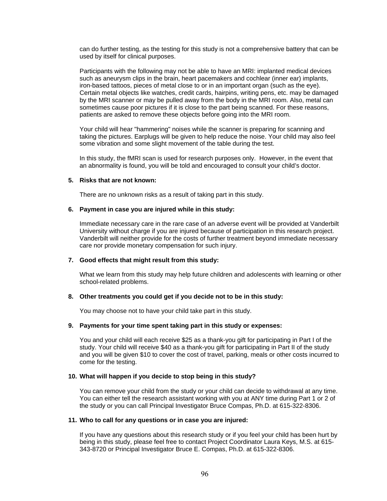can do further testing, as the testing for this study is not a comprehensive battery that can be used by itself for clinical purposes.

Participants with the following may not be able to have an MRI: implanted medical devices such as aneurysm clips in the brain, heart pacemakers and cochlear (inner ear) implants, iron-based tattoos, pieces of metal close to or in an important organ (such as the eye). Certain metal objects like watches, credit cards, hairpins, writing pens, etc. may be damaged by the MRI scanner or may be pulled away from the body in the MRI room. Also, metal can sometimes cause poor pictures if it is close to the part being scanned. For these reasons, patients are asked to remove these objects before going into the MRI room.

Your child will hear "hammering" noises while the scanner is preparing for scanning and taking the pictures. Earplugs will be given to help reduce the noise. Your child may also feel some vibration and some slight movement of the table during the test.

In this study, the fMRI scan is used for research purposes only. However, in the event that an abnormality is found, you will be told and encouraged to consult your child's doctor.

#### **5. Risks that are not known:**

There are no unknown risks as a result of taking part in this study.

#### **6. Payment in case you are injured while in this study:**

Immediate necessary care in the rare case of an adverse event will be provided at Vanderbilt University without charge if you are injured because of participation in this research project. Vanderbilt will neither provide for the costs of further treatment beyond immediate necessary care nor provide monetary compensation for such injury.

### **7. Good effects that might result from this study:**

What we learn from this study may help future children and adolescents with learning or other school-related problems.

#### **8. Other treatments you could get if you decide not to be in this study:**

You may choose not to have your child take part in this study.

### **9. Payments for your time spent taking part in this study or expenses:**

You and your child will each receive \$25 as a thank-you gift for participating in Part I of the study. Your child will receive \$40 as a thank-you gift for participating in Part II of the study and you will be given \$10 to cover the cost of travel, parking, meals or other costs incurred to come for the testing.

#### **10. What will happen if you decide to stop being in this study?**

You can remove your child from the study or your child can decide to withdrawal at any time. You can either tell the research assistant working with you at ANY time during Part 1 or 2 of the study or you can call Principal Investigator Bruce Compas, Ph.D. at 615-322-8306.

#### **11. Who to call for any questions or in case you are injured:**

If you have any questions about this research study or if you feel your child has been hurt by being in this study, please feel free to contact Project Coordinator Laura Keys, M.S. at 615- 343-8720 or Principal Investigator Bruce E. Compas, Ph.D. at 615-322-8306.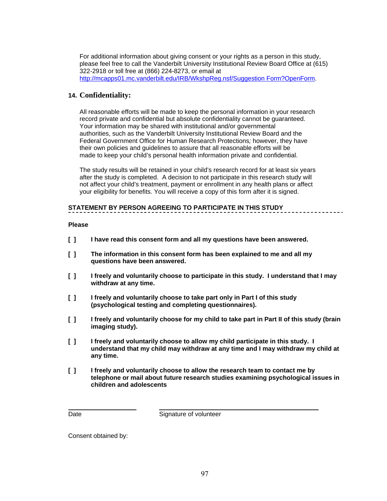For additional information about giving consent or your rights as a person in this study, please feel free to call the Vanderbilt University Institutional Review Board Office at (615) 322-2918 or toll free at (866) 224-8273, or email at [http://mcapps01.mc.vanderbilt.edu/IRB/WkshpReg.nsf/Suggestion Form?OpenForm](http://mcapps01.mc.vanderbilt.edu/IRB/WkshpReg.nsf/Suggestion%20Form?OpenForm).

# **14. Confidentiality:**

All reasonable efforts will be made to keep the personal information in your research record private and confidential but absolute confidentiality cannot be guaranteed. Your information may be shared with institutional and/or governmental authorities, such as the Vanderbilt University Institutional Review Board and the Federal Government Office for Human Research Protections*;* however, they have their own policies and guidelines to assure that all reasonable efforts will be made to keep your child's personal health information private and confidential.

The study results will be retained in your child's research record for at least six years after the study is completed. A decision to not participate in this research study will not affect your child's treatment, payment or enrollment in any health plans or affect your eligibility for benefits. You will receive a copy of this form after it is signed.

# **STATEMENT BY PERSON AGREEING TO PARTICIPATE IN THIS STUDY**

## **Please**

- **[ ] I have read this consent form and all my questions have been answered.**
- **[ ] The information in this consent form has been explained to me and all my questions have been answered.**
- **[ ] I freely and voluntarily choose to participate in this study. I understand that I may withdraw at any time.**
- **[ ] I freely and voluntarily choose to take part only in Part I of this study (psychological testing and completing questionnaires).**
- **[ ] I freely and voluntarily choose for my child to take part in Part II of this study (brain imaging study).**
- **[ ] I freely and voluntarily choose to allow my child participate in this study. I understand that my child may withdraw at any time and I may withdraw my child at any time.**
- **[ ] I freely and voluntarily choose to allow the research team to contact me by telephone or mail about future research studies examining psychological issues in children and adolescents**

Date Signature of volunteer

Consent obtained by: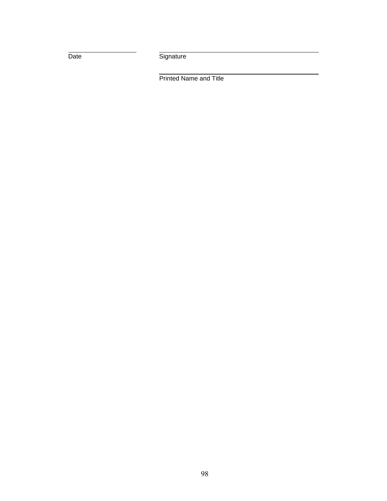Date

Signature

Printed Name and Title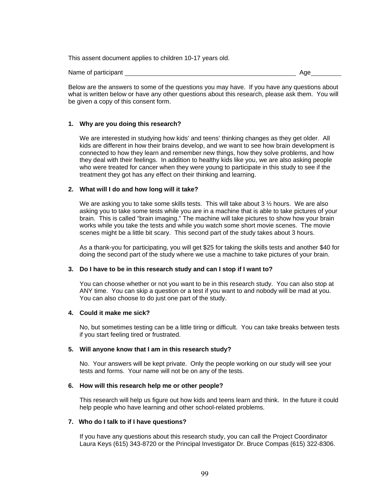This assent document applies to children 10-17 years old.

Name of participant Age and Age and Age and Age and Age and Age and Age and Age and Age and Age and Age and Age

Below are the answers to some of the questions you may have. If you have any questions about what is written below or have any other questions about this research, please ask them. You will be given a copy of this consent form.

#### **1. Why are you doing this research?**

We are interested in studying how kids' and teens' thinking changes as they get older. All kids are different in how their brains develop, and we want to see how brain development is connected to how they learn and remember new things, how they solve problems, and how they deal with their feelings. In addition to healthy kids like you, we are also asking people who were treated for cancer when they were young to participate in this study to see if the treatment they got has any effect on their thinking and learning.

#### **2. What will I do and how long will it take?**

We are asking you to take some skills tests. This will take about  $3\frac{1}{2}$  hours. We are also asking you to take some tests while you are in a machine that is able to take pictures of your brain. This is called "brain imaging." The machine will take pictures to show how your brain works while you take the tests and while you watch some short movie scenes. The movie scenes might be a little bit scary. This second part of the study takes about 3 hours.

As a thank-you for participating, you will get \$25 for taking the skills tests and another \$40 for doing the second part of the study where we use a machine to take pictures of your brain.

### **3. Do I have to be in this research study and can I stop if I want to?**

You can choose whether or not you want to be in this research study. You can also stop at ANY time. You can skip a question or a test if you want to and nobody will be mad at you. You can also choose to do just one part of the study.

#### **4. Could it make me sick?**

No, but sometimes testing can be a little tiring or difficult. You can take breaks between tests if you start feeling tired or frustrated.

#### **5. Will anyone know that I am in this research study?**

No. Your answers will be kept private. Only the people working on our study will see your tests and forms. Your name will not be on any of the tests.

#### **6. How will this research help me or other people?**

This research will help us figure out how kids and teens learn and think. In the future it could help people who have learning and other school-related problems.

#### **7. Who do I talk to if I have questions?**

If you have any questions about this research study, you can call the Project Coordinator Laura Keys (615) 343-8720 or the Principal Investigator Dr. Bruce Compas (615) 322-8306.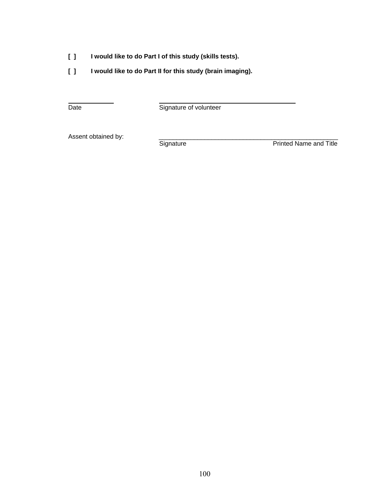- **[ ] I would like to do Part I of this study (skills tests).**
- **[ ] I would like to do Part II for this study (brain imaging).**

Date

Signature of volunteer

Assent obtained by: <br>
Signature

**Printed Name and Title**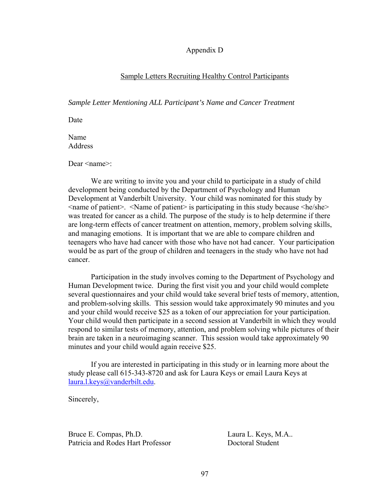Appendix D

# Sample Letters Recruiting Healthy Control Participants

*Sample Letter Mentioning ALL Participant's Name and Cancer Treatment* 

Date

Name **Address** 

Dear <name>:

 We are writing to invite you and your child to participate in a study of child development being conducted by the Department of Psychology and Human Development at Vanderbilt University. Your child was nominated for this study by <name of patient>. <Name of patient> is participating in this study because <he/she> was treated for cancer as a child. The purpose of the study is to help determine if there are long-term effects of cancer treatment on attention, memory, problem solving skills, and managing emotions. It is important that we are able to compare children and teenagers who have had cancer with those who have not had cancer. Your participation would be as part of the group of children and teenagers in the study who have not had cancer.

 Participation in the study involves coming to the Department of Psychology and Human Development twice. During the first visit you and your child would complete several questionnaires and your child would take several brief tests of memory, attention, and problem-solving skills. This session would take approximately 90 minutes and you and your child would receive \$25 as a token of our appreciation for your participation. Your child would then participate in a second session at Vanderbilt in which they would respond to similar tests of memory, attention, and problem solving while pictures of their brain are taken in a neuroimaging scanner. This session would take approximately 90 minutes and your child would again receive \$25.

 If you are interested in participating in this study or in learning more about the study please call 615-343-8720 and ask for Laura Keys or email Laura Keys at [laura.l.keys@vanderbilt.edu](mailto:laura.l.keys@vanderbilt.edu).

Sincerely,

Bruce E. Compas, Ph.D. Laura L. Keys, M.A.. Patricia and Rodes Hart Professor<br>
Doctoral Student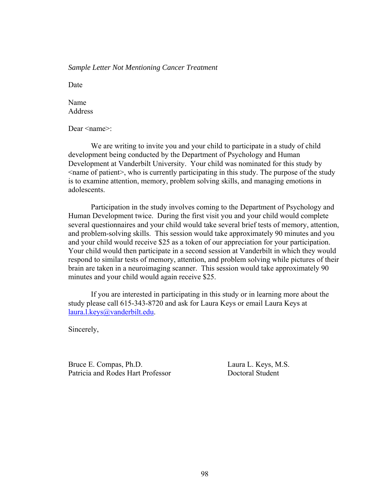# *Sample Letter Not Mentioning Cancer Treatment*

Date

Name Address

Dear <name>:

 We are writing to invite you and your child to participate in a study of child development being conducted by the Department of Psychology and Human Development at Vanderbilt University. Your child was nominated for this study by <name of patient>, who is currently participating in this study. The purpose of the study is to examine attention, memory, problem solving skills, and managing emotions in adolescents.

 Participation in the study involves coming to the Department of Psychology and Human Development twice. During the first visit you and your child would complete several questionnaires and your child would take several brief tests of memory, attention, and problem-solving skills. This session would take approximately 90 minutes and you and your child would receive \$25 as a token of our appreciation for your participation. Your child would then participate in a second session at Vanderbilt in which they would respond to similar tests of memory, attention, and problem solving while pictures of their brain are taken in a neuroimaging scanner. This session would take approximately 90 minutes and your child would again receive \$25.

 If you are interested in participating in this study or in learning more about the study please call 615-343-8720 and ask for Laura Keys or email Laura Keys at [laura.l.keys@vanderbilt.edu](mailto:laura.l.keys@vanderbilt.edu).

Sincerely,

Bruce E. Compas, Ph.D. Laura L. Keys, M.S. Patricia and Rodes Hart Professor **Doctoral Student**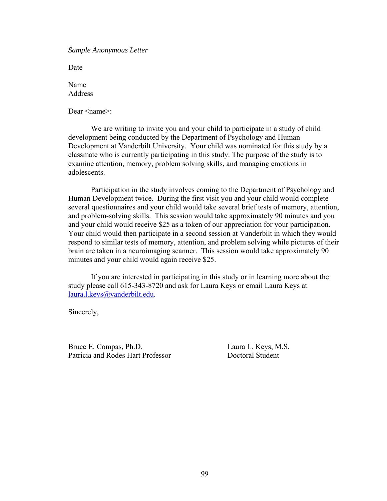*Sample Anonymous Letter* 

Date

Name Address

Dear <name>:

 We are writing to invite you and your child to participate in a study of child development being conducted by the Department of Psychology and Human Development at Vanderbilt University. Your child was nominated for this study by a classmate who is currently participating in this study. The purpose of the study is to examine attention, memory, problem solving skills, and managing emotions in adolescents.

 Participation in the study involves coming to the Department of Psychology and Human Development twice. During the first visit you and your child would complete several questionnaires and your child would take several brief tests of memory, attention, and problem-solving skills. This session would take approximately 90 minutes and you and your child would receive \$25 as a token of our appreciation for your participation. Your child would then participate in a second session at Vanderbilt in which they would respond to similar tests of memory, attention, and problem solving while pictures of their brain are taken in a neuroimaging scanner. This session would take approximately 90 minutes and your child would again receive \$25.

 If you are interested in participating in this study or in learning more about the study please call 615-343-8720 and ask for Laura Keys or email Laura Keys at [laura.l.keys@vanderbilt.edu](mailto:laura.l.keys@vanderbilt.edu).

Sincerely,

Bruce E. Compas, Ph.D. Laura L. Keys, M.S. Patricia and Rodes Hart Professor Doctoral Student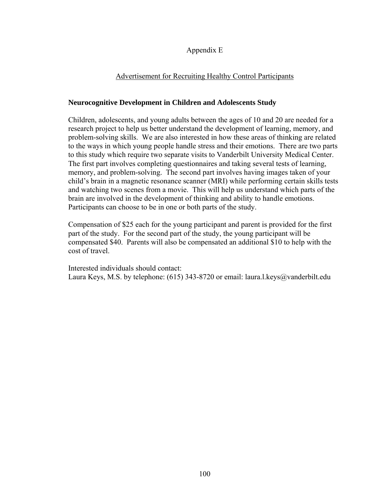## Appendix E

## Advertisement for Recruiting Healthy Control Participants

## **Neurocognitive Development in Children and Adolescents Study**

Children, adolescents, and young adults between the ages of 10 and 20 are needed for a research project to help us better understand the development of learning, memory, and problem-solving skills. We are also interested in how these areas of thinking are related to the ways in which young people handle stress and their emotions. There are two parts to this study which require two separate visits to Vanderbilt University Medical Center. The first part involves completing questionnaires and taking several tests of learning, memory, and problem-solving. The second part involves having images taken of your child's brain in a magnetic resonance scanner (MRI) while performing certain skills tests and watching two scenes from a movie. This will help us understand which parts of the brain are involved in the development of thinking and ability to handle emotions. Participants can choose to be in one or both parts of the study.

Compensation of \$25 each for the young participant and parent is provided for the first part of the study. For the second part of the study, the young participant will be compensated \$40. Parents will also be compensated an additional \$10 to help with the cost of travel.

Interested individuals should contact: Laura Keys, M.S. by telephone: (615) 343-8720 or email: laura.l.keys@vanderbilt.edu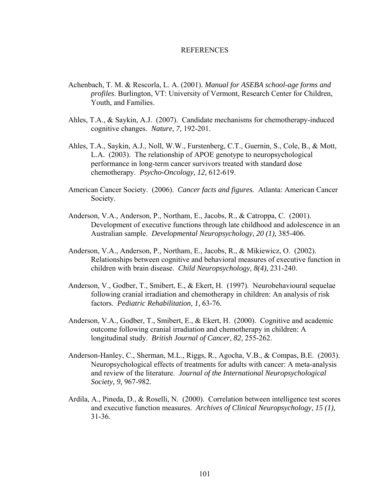## REFERENCES

- Achenbach, T. M. & Rescorla, L. A. (2001). *Manual for ASEBA school-age forms and profiles*. Burlington, VT: University of Vermont, Research Center for Children, Youth, and Families.
- Ahles, T.A., & Saykin, A.J. (2007). Candidate mechanisms for chemotherapy-induced cognitive changes. *Nature, 7,* 192-201.
- Ahles, T.A., Saykin, A.J., Noll, W.W., Furstenberg, C.T., Guernin, S., Cole, B., & Mott, L.A. (2003). The relationship of APOE genotype to neuropsychological performance in long-term cancer survivors treated with standard dose chemotherapy. *Psycho-Oncology, 12,* 612-619.
- American Cancer Society. (2006). *Cancer facts and figures.* Atlanta: American Cancer Society.
- Anderson, V.A., Anderson, P., Northam, E., Jacobs, R., & Catroppa, C. (2001). Development of executive functions through late childhood and adolescence in an Australian sample. *Developmental Neuropsychology, 20 (1),* 385-406.
- Anderson, V.A., Anderson, P., Northam, E., Jacobs, R., & Mikiewicz, O. (2002). Relationships between cognitive and behavioral measures of executive function in children with brain disease. *Child Neuropsychology, 8(4),* 231-240.
- Anderson, V., Godber, T., Smibert, E., & Ekert, H. (1997). Neurobehavioural sequelae following cranial irradiation and chemotherapy in children: An analysis of risk factors. *Pediatric Rehabilitation, 1,* 63-76.
- Anderson, V.A., Godber, T., Smibert, E., & Ekert, H. (2000). Cognitive and academic outcome following cranial irradiation and chemotherapy in children: A longitudinal study. *British Journal of Cancer, 82,* 255-262.
- Anderson-Hanley, C., Sherman, M.L., Riggs, R., Agocha, V.B., & Compas, B.E. (2003). Neuropsychological effects of treatments for adults with cancer: A meta-analysis and review of the literature. *Journal of the International Neuropsychological Society, 9,* 967-982*.*
- Ardila, A., Pineda, D., & Roselli, N. (2000). Correlation between intelligence test scores and executive function measures. *Archives of Clinical Neuropsychology, 15 (1),*  31-36.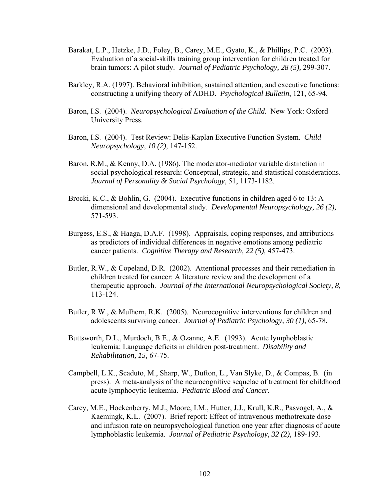- Barakat, L.P., Hetzke, J.D., Foley, B., Carey, M.E., Gyato, K., & Phillips, P.C. (2003). Evaluation of a social-skills training group intervention for children treated for brain tumors: A pilot study. *Journal of Pediatric Psychology, 28 (5),* 299-307.
- Barkley, R.A. (1997). Behavioral inhibition, sustained attention, and executive functions: constructing a unifying theory of ADHD. *Psychological Bulletin*, 121, 65-94.
- Baron, I.S. (2004). *Neuropsychological Evaluation of the Child.* New York: Oxford University Press.
- Baron, I.S. (2004). Test Review: Delis-Kaplan Executive Function System. *Child Neuropsychology, 10 (2),* 147-152.
- Baron, R.M., & Kenny, D.A. (1986). The moderator-mediator variable distinction in social psychological research: Conceptual, strategic, and statistical considerations. *Journal of Personality & Social Psychology*, 51, 1173-1182.
- Brocki, K.C., & Bohlin, G. (2004). Executive functions in children aged 6 to 13: A dimensional and developmental study. *Developmental Neuropsychology, 26 (2),*  571-593.
- Burgess, E.S., & Haaga, D.A.F. (1998). Appraisals, coping responses, and attributions as predictors of individual differences in negative emotions among pediatric cancer patients. *Cognitive Therapy and Research, 22 (5),* 457-473.
- Butler, R.W., & Copeland, D.R. (2002). Attentional processes and their remediation in children treated for cancer: A literature review and the development of a therapeutic approach. *Journal of the International Neuropsychological Society, 8,*  113-124.
- Butler, R.W., & Mulhern, R.K. (2005). Neurocognitive interventions for children and adolescents surviving cancer. *Journal of Pediatric Psychology, 30 (1),* 65-78.
- Buttsworth, D.L., Murdoch, B.E., & Ozanne, A.E. (1993). Acute lymphoblastic leukemia: Language deficits in children post-treatment. *Disability and Rehabilitation, 15,* 67-75.
- Campbell, L.K., Scaduto, M., Sharp, W., Dufton, L., Van Slyke, D., & Compas, B. (in press). A meta-analysis of the neurocognitive sequelae of treatment for childhood acute lymphocytic leukemia. *Pediatric Blood and Cancer.*
- Carey, M.E., Hockenberry, M.J., Moore, I.M., Hutter, J.J., Krull, K.R., Pasvogel, A., & Kaemingk, K.L. (2007). Brief report: Effect of intravenous methotrexate dose and infusion rate on neuropsychological function one year after diagnosis of acute lymphoblastic leukemia. *Journal of Pediatric Psychology, 32 (2),* 189-193.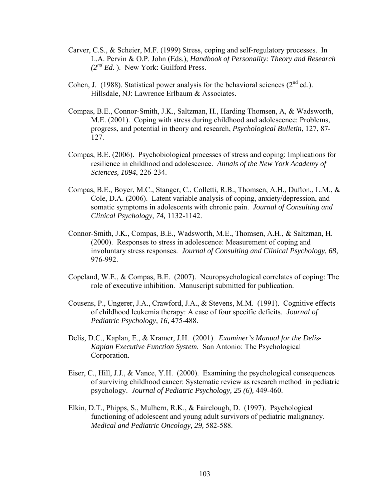- Carver, C.S., & Scheier, M.F. (1999) Stress, coping and self-regulatory processes. In L.A. Pervin & O.P. John (Eds.), *Handbook of Personality: Theory and Research (2nd Ed.* ). New York: Guilford Press.
- Cohen, J. (1988). Statistical power analysis for the behavioral sciences  $(2^{nd}$  ed.). Hillsdale, NJ: Lawrence Erlbaum & Associates.
- Compas, B.E., Connor-Smith, J.K., Saltzman, H., Harding Thomsen, A, & Wadsworth, M.E. (2001). Coping with stress during childhood and adolescence: Problems, progress, and potential in theory and research, *Psychological Bulletin*, 127, 87- 127.
- Compas, B.E. (2006). Psychobiological processes of stress and coping: Implications for resilience in childhood and adolescence. *Annals of the New York Academy of Sciences, 1094*, 226-234.
- Compas, B.E., Boyer, M.C., Stanger, C., Colletti, R.B., Thomsen, A.H., Dufton,, L.M., & Cole, D.A. (2006). Latent variable analysis of coping, anxiety/depression, and somatic symptoms in adolescents with chronic pain. *Journal of Consulting and Clinical Psychology, 74,* 1132-1142.
- Connor-Smith, J.K., Compas, B.E., Wadsworth, M.E., Thomsen, A.H., & Saltzman, H. (2000). Responses to stress in adolescence: Measurement of coping and involuntary stress responses. *Journal of Consulting and Clinical Psychology, 68,*  976-992.
- Copeland, W.E., & Compas, B.E. (2007). Neuropsychological correlates of coping: The role of executive inhibition. Manuscript submitted for publication.
- Cousens, P., Ungerer, J.A., Crawford, J.A., & Stevens, M.M. (1991). Cognitive effects of childhood leukemia therapy: A case of four specific deficits. *Journal of Pediatric Psychology, 16,* 475-488.
- Delis, D.C., Kaplan, E., & Kramer, J.H. (2001). *Examiner's Manual for the Delis-Kaplan Executive Function System.* San Antonio: The Psychological Corporation.
- Eiser, C., Hill, J.J., & Vance, Y.H. (2000). Examining the psychological consequences of surviving childhood cancer: Systematic review as research method in pediatric psychology. *Journal of Pediatric Psychology, 25 (6),* 449-460.
- Elkin, D.T., Phipps, S., Mulhern, R.K., & Fairclough, D. (1997). Psychological functioning of adolescent and young adult survivors of pediatric malignancy. *Medical and Pediatric Oncology, 29,* 582-588.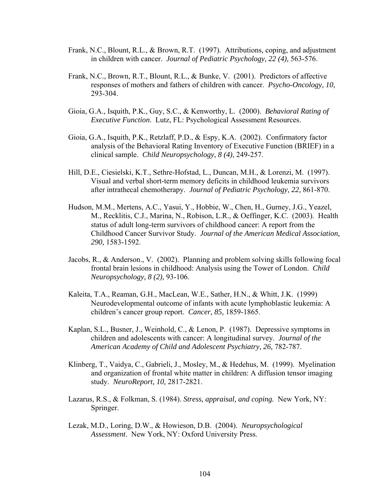- Frank, N.C., Blount, R.L., & Brown, R.T. (1997). Attributions, coping, and adjustment in children with cancer. *Journal of Pediatric Psychology, 22 (4),* 563-576.
- Frank, N.C., Brown, R.T., Blount, R.L., & Bunke, V. (2001). Predictors of affective responses of mothers and fathers of children with cancer. *Psycho-Oncology, 10,*  293-304.
- Gioia, G.A., Isquith, P.K., Guy, S.C., & Kenworthy, L. (2000). *Behavioral Rating of Executive Function*. Lutz, FL: Psychological Assessment Resources.
- Gioia, G.A., Isquith, P.K., Retzlaff, P.D., & Espy, K.A. (2002). Confirmatory factor analysis of the Behavioral Rating Inventory of Executive Function (BRIEF) in a clinical sample. *Child Neuropsychology, 8 (4)*, 249-257.
- Hill, D.E., Ciesielski, K.T., Sethre-Hofstad, L., Duncan, M.H., & Lorenzi, M. (1997). Visual and verbal short-term memory deficits in childhood leukemia survivors after intrathecal chemotherapy. *Journal of Pediatric Psychology, 22,* 861-870.
- Hudson, M.M., Mertens, A.C., Yasui, Y., Hobbie, W., Chen, H., Gurney, J.G., Yeazel, M., Recklitis, C.J., Marina, N., Robison, L.R., & Oeffinger, K.C. (2003). Health status of adult long-term survivors of childhood cancer: A report from the Childhood Cancer Survivor Study. *Journal of the American Medical Association, 290,* 1583-1592.
- Jacobs, R., & Anderson., V. (2002). Planning and problem solving skills following focal frontal brain lesions in childhood: Analysis using the Tower of London. *Child Neuropsychology, 8 (2),* 93-106.
- Kaleita, T.A., Reaman, G.H., MacLean, W.E., Sather, H.N., & Whitt, J.K. (1999) Neurodevelopmental outcome of infants with acute lymphoblastic leukemia: A children's cancer group report. *Cancer, 85,* 1859-1865.
- Kaplan, S.L., Busner, J., Weinhold, C., & Lenon, P. (1987). Depressive symptoms in children and adolescents with cancer: A longitudinal survey. *Journal of the*  American Academy of Child and Adolescent Psychiatry, 26, 782-787.
- Klinberg, T., Vaidya, C., Gabrieli, J., Mosley, M., & Hedehus, M. (1999). Myelination and organization of frontal white matter in children: A diffusion tensor imaging study. *NeuroReport, 10,* 2817-2821.
- Lazarus, R.S., & Folkman, S. (1984). *Stress, appraisal, and coping.* New York, NY: Springer.
- Lezak, M.D., Loring, D.W., & Howieson, D.B. (2004). *Neuropsychological Assessment*. New York, NY: Oxford University Press.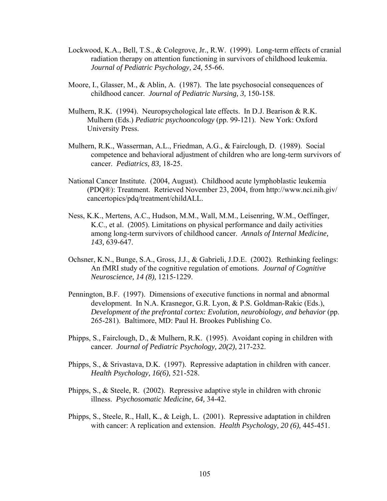- Lockwood, K.A., Bell, T.S., & Colegrove, Jr., R.W. (1999). Long-term effects of cranial radiation therapy on attention functioning in survivors of childhood leukemia. *Journal of Pediatric Psychology, 24,* 55-66.
- Moore, I., Glasser, M., & Ablin, A. (1987). The late psychosocial consequences of childhood cancer. *Journal of Pediatric Nursing, 3,* 150-158.
- Mulhern, R.K. (1994). Neuropsychological late effects. In D.J. Bearison & R.K. Mulhern (Eds.) *Pediatric psychooncology* (pp. 99-121). New York: Oxford University Press.
- Mulhern, R.K., Wasserman, A.L., Friedman, A.G., & Fairclough, D. (1989). Social competence and behavioral adjustment of children who are long-term survivors of cancer. *Pediatrics, 83,* 18-25.
- National Cancer Institute. (2004, August). Childhood acute lymphoblastic leukemia (PDQ®): Treatment. Retrieved November 23, 2004, from http://www.nci.nih.giv/ cancertopics/pdq/treatment/childALL.
- Ness, K.K., Mertens, A.C., Hudson, M.M., Wall, M.M., Leisenring, W.M., Oeffinger, K.C., et al. (2005). Limitations on physical performance and daily activities among long-term survivors of childhood cancer. *Annals of Internal Medicine, 143,* 639-647.
- Ochsner, K.N., Bunge, S.A., Gross, J.J., & Gabrieli, J.D.E. (2002). Rethinking feelings: An fMRI study of the cognitive regulation of emotions. *Journal of Cognitive Neuroscience, 14 (8),* 1215-1229.
- Pennington, B.F. (1997). Dimensions of executive functions in normal and abnormal development. In N.A. Krasnegor, G.R. Lyon, & P.S. Goldman-Rakic (Eds.), *Development of the prefrontal cortex: Evolution, neurobiology, and behavior (pp.* 265-281). Baltimore, MD: Paul H. Brookes Publishing Co.
- Phipps, S., Fairclough, D., & Mulhern, R.K. (1995). Avoidant coping in children with cancer. *Journal of Pediatric Psychology, 20(2),* 217-232.
- Phipps, S., & Srivastava, D.K. (1997). Repressive adaptation in children with cancer. *Health Psychology, 16(6),* 521-528.
- Phipps, S., & Steele, R. (2002). Repressive adaptive style in children with chronic illness. *Psychosomatic Medicine, 64,* 34-42.
- Phipps, S., Steele, R., Hall, K., & Leigh, L. (2001). Repressive adaptation in children with cancer: A replication and extension. *Health Psychology, 20 (6),* 445-451.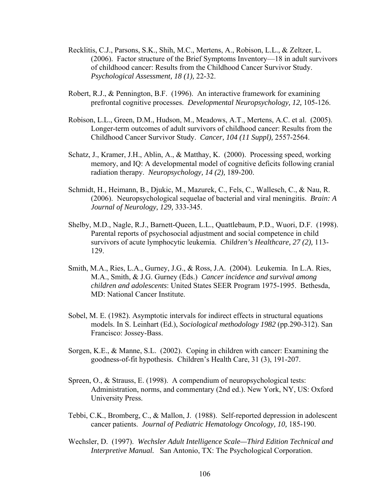- Recklitis, C.J., Parsons, S.K., Shih, M.C., Mertens, A., Robison, L.L., & Zeltzer, L. (2006). Factor structure of the Brief Symptoms Inventory—18 in adult survivors of childhood cancer: Results from the Childhood Cancer Survivor Study. *Psychological Assessment, 18 (1),* 22-32.
- Robert, R.J., & Pennington, B.F. (1996). An interactive framework for examining prefrontal cognitive processes. *Developmental Neuropsychology, 12,* 105-126.
- Robison, L.L., Green, D.M., Hudson, M., Meadows, A.T., Mertens, A.C. et al. (2005). Longer-term outcomes of adult survivors of childhood cancer: Results from the Childhood Cancer Survivor Study. *Cancer, 104 (11 Suppl),* 2557-2564.
- Schatz, J., Kramer, J.H., Ablin, A., & Matthay, K. (2000). Processing speed, working memory, and IQ: A developmental model of cognitive deficits following cranial radiation therapy. *Neuropsychology, 14 (2),* 189-200.
- Schmidt, H., Heimann, B., Djukic, M., Mazurek, C., Fels, C., Wallesch, C., & Nau, R. (2006). Neuropsychological sequelae of bacterial and viral meningitis. *Brain: A Journal of Neurology, 129,* 333-345.
- Shelby, M.D., Nagle, R.J., Barnett-Queen, L.L., Quattlebaum, P.D., Wuori, D.F. (1998). Parental reports of psychosocial adjustment and social competence in child survivors of acute lymphocytic leukemia. *Children's Healthcare, 27 (2),* 113- 129.
- Smith, M.A., Ries, L.A., Gurney, J.G., & Ross, J.A. (2004). Leukemia. In L.A. Ries, M.A., Smith, & J.G. Gurney (Eds.) *Cancer incidence and survival among children and adolescents*: United States SEER Program 1975-1995. Bethesda, MD: National Cancer Institute.
- Sobel, M. E. (1982). Asymptotic intervals for indirect effects in structural equations models. In S. Leinhart (Ed.), *Sociological methodology 1982* (pp.290-312). San Francisco: Jossey-Bass.
- Sorgen, K.E., & Manne, S.L. (2002). Coping in children with cancer: Examining the goodness-of-fit hypothesis. Children's Health Care, 31 (3), 191-207.
- Spreen, O., & Strauss, E. (1998). A compendium of neuropsychological tests: Administration, norms, and commentary (2nd ed.). New York, NY, US: Oxford University Press.
- Tebbi, C.K., Bromberg, C., & Mallon, J. (1988). Self-reported depression in adolescent cancer patients. *Journal of Pediatric Hematology Oncology, 10,* 185-190.
- Wechsler, D. (1997). *Wechsler Adult Intelligence Scale—Third Edition Technical and Interpretive Manual.* San Antonio, TX: The Psychological Corporation.